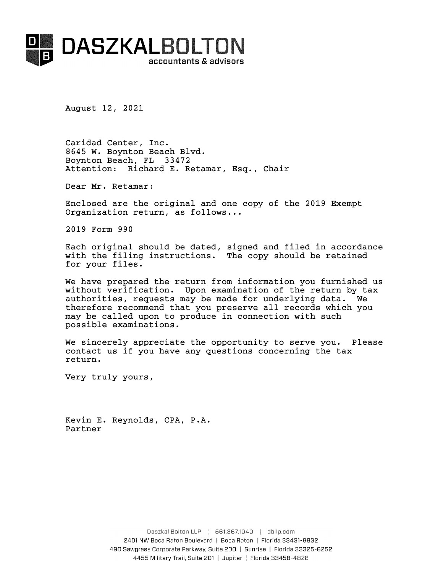

August 12, 2021

Caridad Center, Inc. 8645 W. Boynton Beach Blvd. Boynton Beach, FL 33472 Attention: Richard E. Retamar, Esq., Chair

Dear Mr. Retamar:

Enclosed are the original and one copy of the 2019 Exempt Organization return, as follows...

2019 Form 990

Each original should be dated, signed and filed in accordance with the filing instructions. The copy should be retained for your files.

We have prepared the return from information you furnished us without verification. Upon examination of the return by tax authorities, requests may be made for underlying data. We therefore recommend that you preserve all records which you may be called upon to produce in connection with such possible examinations.

We sincerely appreciate the opportunity to serve you. Please contact us if you have any questions concerning the tax return.

Very truly yours,

Kevin E. Reynolds, CPA, P.A. Partner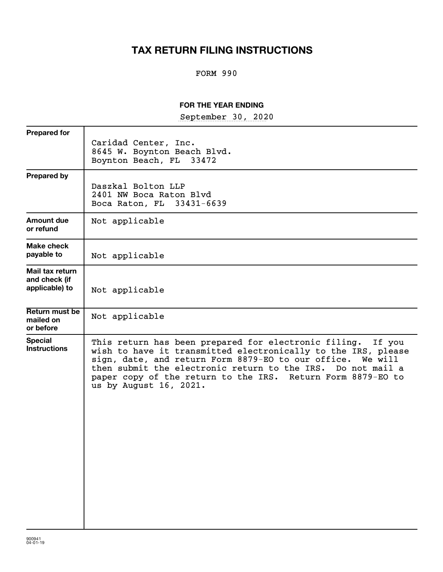# **TAX RETURN FILING INSTRUCTIONS**

## FORM 990

## **FOR THE YEAR ENDING**

September 30, 2020

| <b>Prepared for</b>                                |                                                                                                                                                                                                                                                                                                                                                    |
|----------------------------------------------------|----------------------------------------------------------------------------------------------------------------------------------------------------------------------------------------------------------------------------------------------------------------------------------------------------------------------------------------------------|
|                                                    | Caridad Center, Inc.<br>8645 W. Boynton Beach Blvd.<br>Boynton Beach, FL<br>33472                                                                                                                                                                                                                                                                  |
| <b>Prepared by</b>                                 | Daszkal Bolton LLP<br>2401 NW Boca Raton Blvd<br>Boca Raton, FL 33431-6639                                                                                                                                                                                                                                                                         |
| Amount due<br>or refund                            | Not applicable                                                                                                                                                                                                                                                                                                                                     |
| Make check<br>payable to                           | Not applicable                                                                                                                                                                                                                                                                                                                                     |
| Mail tax return<br>and check (if<br>applicable) to | Not applicable                                                                                                                                                                                                                                                                                                                                     |
| Return must be<br>mailed on<br>or before           | Not applicable                                                                                                                                                                                                                                                                                                                                     |
| <b>Special</b><br><b>Instructions</b>              | This return has been prepared for electronic filing. If you<br>wish to have it transmitted electronically to the IRS, please<br>sign, date, and return Form 8879-EO to our office. We will<br>then submit the electronic return to the IRS. Do not mail a<br>paper copy of the return to the IRS. Return Form 8879-EO to<br>us by August 16, 2021. |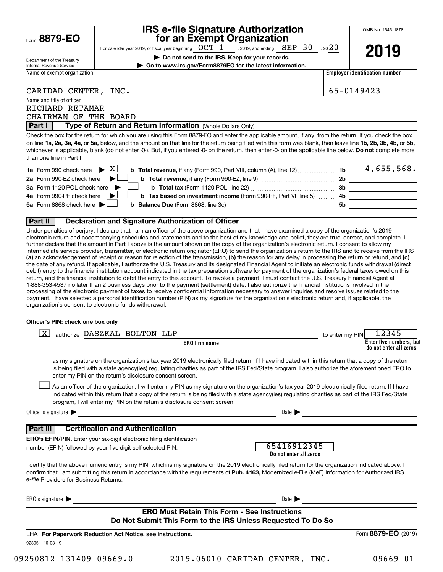| Form 8879-EO |  |
|--------------|--|
|              |  |

# **IRS e-file Signature Authorization**<br>**687 for an Exempt Organization**

OMB No. 1545-1878

Department of the Treasury Internal Revenue Service Name of exempt organization For calendar year 2019, or fiscal year beginning  $\overline{OCT}$  1 , 2019, and ending  $\overline{SEP}$  30 , 20 20 **| Do not send to the IRS. Keep for your records.** , 2019, and ending  $\,$   $\rm SEP$   $\,$   $\,30$ 

**| Go to www.irs.gov/Form8879EO for the latest information.**



**Employer identification number**

| $65 - 014942$ |  |  |  |  |
|---------------|--|--|--|--|
|---------------|--|--|--|--|

| CARIDAD<br>CENTER,        | INC. | ЧД<br>7 — 11<br>$\mathbf{H}$<br>92 ط |
|---------------------------|------|--------------------------------------|
| Name and title of officer |      |                                      |

RICHARD RETAMAR CHAIRMAN OF THE BOARD

**Part I** | Type of Return and Return Information (Whole Dollars Only)

on line 1a, 2a, 3a, 4a, or 5a, below, and the amount on that line for the return being filed with this form was blank, then leave line 1b, 2b, 3b, 4b, or 5b, whichever is applicable, blank (do not enter -0-). But, if you entered -0- on the return, then enter -0- on the applicable line below. **Do not** complete more Check the box for the return for which you are using this Form 8879-EO and enter the applicable amount, if any, from the return. If you check the box than one line in Part I.

| <b>1a</b> Form 990 check here $\triangleright \boxed{X}$<br><b>b</b> Total revenue, if any (Form 990, Part VIII, column (A), line 12) $\ldots$ 1b |     | 4,655,568. |
|---------------------------------------------------------------------------------------------------------------------------------------------------|-----|------------|
| 2a Form 990-EZ check here $\blacktriangleright$<br><b>b</b> Total revenue, if any (Form 990-EZ, line 9)                                           | 2b  |            |
| 3a Form 1120-POL check here $\blacktriangleright$ $\Box$<br><b>b</b> Total tax (Form 1120-POL, line 22)                                           | 3b  |            |
| 4a Form 990-PF check here $\blacktriangleright$<br><b>b</b> Tax based on investment income (Form 990-PF, Part VI, line 5) 4b                      |     |            |
| 5a Form 8868 check here $\blacktriangleright$                                                                                                     | .5b |            |
|                                                                                                                                                   |     |            |

#### **Part II Declaration and Signature Authorization of Officer**

(a) an acknowledgement of receipt or reason for rejection of the transmission, (b) the reason for any delay in processing the return or refund, and (c) Under penalties of perjury, I declare that I am an officer of the above organization and that I have examined a copy of the organization's 2019 electronic return and accompanying schedules and statements and to the best of my knowledge and belief, they are true, correct, and complete. I further declare that the amount in Part I above is the amount shown on the copy of the organization's electronic return. I consent to allow my intermediate service provider, transmitter, or electronic return originator (ERO) to send the organization's return to the IRS and to receive from the IRS the date of any refund. If applicable, I authorize the U.S. Treasury and its designated Financial Agent to initiate an electronic funds withdrawal (direct debit) entry to the financial institution account indicated in the tax preparation software for payment of the organization's federal taxes owed on this return, and the financial institution to debit the entry to this account. To revoke a payment, I must contact the U.S. Treasury Financial Agent at 1-888-353-4537 no later than 2 business days prior to the payment (settlement) date. I also authorize the financial institutions involved in the processing of the electronic payment of taxes to receive confidential information necessary to answer inquiries and resolve issues related to the payment. I have selected a personal identification number (PIN) as my signature for the organization's electronic return and, if applicable, the organization's consent to electronic funds withdrawal.

#### **Officer's PIN: check one box only**

| lauthorize DASZKAL BOLTON LLP<br>$\mathbf{X}$                                                                                                                                                                                                                                                                                                                                    | 12345<br>to enter my PIN                          |
|----------------------------------------------------------------------------------------------------------------------------------------------------------------------------------------------------------------------------------------------------------------------------------------------------------------------------------------------------------------------------------|---------------------------------------------------|
| <b>ERO</b> firm name                                                                                                                                                                                                                                                                                                                                                             | Enter five numbers, but<br>do not enter all zeros |
| as my signature on the organization's tax year 2019 electronically filed return. If I have indicated within this return that a copy of the return<br>is being filed with a state agency(ies) regulating charities as part of the IRS Fed/State program, I also authorize the aforementioned ERO to<br>enter my PIN on the return's disclosure consent screen.                    |                                                   |
| As an officer of the organization, I will enter my PIN as my signature on the organization's tax year 2019 electronically filed return. If I have<br>indicated within this return that a copy of the return is being filed with a state agency(ies) regulating charities as part of the IRS Fed/State<br>program, I will enter my PIN on the return's disclosure consent screen. |                                                   |
| Officer's signature $\blacktriangleright$<br>Date $\blacksquare$                                                                                                                                                                                                                                                                                                                 |                                                   |
| <b>Certification and Authentication</b><br>  Part III                                                                                                                                                                                                                                                                                                                            |                                                   |
| <b>ERO's EFIN/PIN.</b> Enter your six-digit electronic filing identification                                                                                                                                                                                                                                                                                                     |                                                   |
| 65416912345<br>number (EFIN) followed by your five-digit self-selected PIN.<br>Do not enter all zeros                                                                                                                                                                                                                                                                            |                                                   |
| I certify that the above numeric entry is my PIN, which is my signature on the 2019 electronically filed return for the organization indicated above. I                                                                                                                                                                                                                          |                                                   |
| confirm that I am submitting this return in accordance with the requirements of Pub. 4163, Modernized e-File (MeF) Information for Authorized IRS<br>e-file Providers for Business Returns.                                                                                                                                                                                      |                                                   |
| ERO's signature $\blacktriangleright$<br>Date $\blacktriangleright$                                                                                                                                                                                                                                                                                                              |                                                   |
| <b>ERO Must Retain This Form - See Instructions</b>                                                                                                                                                                                                                                                                                                                              |                                                   |
| Do Not Submit This Form to the IRS Unless Requested To Do So                                                                                                                                                                                                                                                                                                                     |                                                   |
| LHA For Paperwork Reduction Act Notice, see instructions.<br>923051 10-03-19                                                                                                                                                                                                                                                                                                     | Form 8879-EO (2019)                               |

09250812 131409 09669.0 2019.06010 CARIDAD CENTER, INC. 09669\_01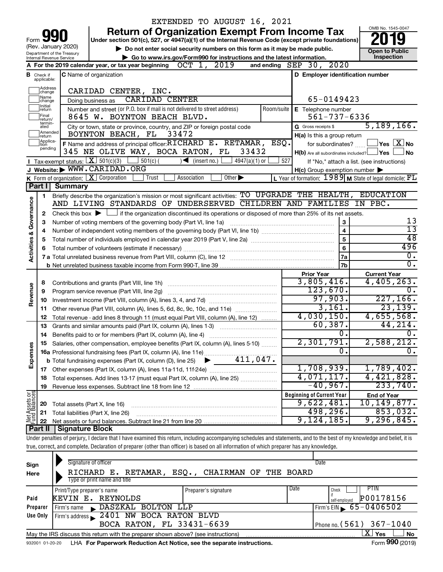|                                                                                                    |                            |                                                        | EXTENDED TO AUGUST 16, 2021                                                                                                                                                |                                                             |                                                                  |
|----------------------------------------------------------------------------------------------------|----------------------------|--------------------------------------------------------|----------------------------------------------------------------------------------------------------------------------------------------------------------------------------|-------------------------------------------------------------|------------------------------------------------------------------|
|                                                                                                    |                            |                                                        | <b>Return of Organization Exempt From Income Tax</b>                                                                                                                       |                                                             | OMB No. 1545-0047                                                |
| Form                                                                                               |                            |                                                        | Under section 501(c), 527, or 4947(a)(1) of the Internal Revenue Code (except private foundations)                                                                         |                                                             |                                                                  |
| (Rev. January 2020)<br>Do not enter social security numbers on this form as it may be made public. |                            |                                                        |                                                                                                                                                                            |                                                             |                                                                  |
|                                                                                                    |                            | Department of the Treasury<br>Internal Revenue Service | Go to www.irs.gov/Form990 for instructions and the latest information.                                                                                                     |                                                             | <b>Open to Public</b><br>Inspection                              |
|                                                                                                    |                            |                                                        | A For the 2019 calendar year, or tax year beginning $OCT$ 1, 2019                                                                                                          | and ending SEP 30, 2020                                     |                                                                  |
| в                                                                                                  | Check if<br>applicable:    |                                                        | <b>C</b> Name of organization                                                                                                                                              | D Employer identification number                            |                                                                  |
|                                                                                                    | Address<br>change          |                                                        | CARIDAD CENTER, INC.                                                                                                                                                       |                                                             |                                                                  |
|                                                                                                    | Name<br> change            |                                                        | CARIDAD CENTER<br>Doing business as                                                                                                                                        | 65-0149423                                                  |                                                                  |
|                                                                                                    | Ilnitial<br> return        |                                                        | Number and street (or P.O. box if mail is not delivered to street address)<br>Room/suite                                                                                   | E Telephone number                                          |                                                                  |
|                                                                                                    | Final                      |                                                        | 8645 W. BOYNTON BEACH BLVD.                                                                                                                                                | $561 - 737 - 6336$                                          |                                                                  |
|                                                                                                    | return/<br>termin-<br>ated |                                                        | City or town, state or province, country, and ZIP or foreign postal code                                                                                                   | G Gross receipts \$                                         | 5, 189, 166.                                                     |
|                                                                                                    | Amended<br>Ireturn         |                                                        | 33472<br>BOYNTON BEACH, FL                                                                                                                                                 | H(a) Is this a group return                                 |                                                                  |
|                                                                                                    | Applica-<br>tion           |                                                        | F Name and address of principal officer: RICHARD E. RETAMAR, ESQ.                                                                                                          | for subordinates?                                           | $ {\mathsf Y}{\mathsf e}{\mathsf s} \mid \overline{{\rm X}} $ No |
|                                                                                                    | pending                    |                                                        | 345 NE OLIVE WAY, BOCA RATON, FL<br>33432                                                                                                                                  | $H(b)$ Are all subordinates included? $\Box$ Yes            | l No                                                             |
|                                                                                                    |                            |                                                        | <b>I</b> Tax-exempt status: $X \ 501(c)(3)$<br>$501(c)$ (<br>$\mathcal{I}$ (insert no.)<br>$4947(a)(1)$ or                                                                 | 527<br>If "No," attach a list. (see instructions)           |                                                                  |
|                                                                                                    |                            |                                                        | J Website: WWW.CARIDAD.ORG                                                                                                                                                 | $H(c)$ Group exemption number $\blacktriangleright$         |                                                                  |
|                                                                                                    |                            |                                                        | <b>K</b> Form of organization: $\boxed{\mathbf{X}}$ Corporation<br>Other $\blacktriangleright$<br>Trust<br>Association                                                     | L Year of formation: $1989$ M State of legal domicile: $FL$ |                                                                  |
|                                                                                                    | Part I                     | <b>Summary</b>                                         |                                                                                                                                                                            |                                                             |                                                                  |
|                                                                                                    | 1                          |                                                        | Briefly describe the organization's mission or most significant activities: TO UPGRADE THE HEALTH, EDUCATION                                                               |                                                             |                                                                  |
| Governance                                                                                         |                            |                                                        | AND LIVING STANDARDS OF UNDERSERVED CHILDREN AND FAMILIES IN PBC.                                                                                                          |                                                             |                                                                  |
|                                                                                                    | 2                          |                                                        | Check this box $\blacktriangleright$ $\Box$ if the organization discontinued its operations or disposed of more than 25% of its net assets.                                |                                                             |                                                                  |
|                                                                                                    | з                          |                                                        | Number of voting members of the governing body (Part VI, line 1a)                                                                                                          |                                                             | 13                                                               |
|                                                                                                    | 4                          |                                                        |                                                                                                                                                                            | $\overline{\mathbf{4}}$                                     | $\overline{13}$                                                  |
|                                                                                                    | 5                          |                                                        |                                                                                                                                                                            | 5                                                           | 48                                                               |
| <b>Activities &amp;</b>                                                                            | 6                          |                                                        |                                                                                                                                                                            | 6                                                           | 496                                                              |
|                                                                                                    |                            |                                                        |                                                                                                                                                                            | 7a                                                          | $\overline{0}$ .                                                 |
|                                                                                                    |                            |                                                        |                                                                                                                                                                            | 7b                                                          | $\overline{0}$ .                                                 |
|                                                                                                    |                            |                                                        |                                                                                                                                                                            | <b>Prior Year</b>                                           | <b>Current Year</b>                                              |
|                                                                                                    | 8                          |                                                        | Contributions and grants (Part VIII, line 1h)                                                                                                                              | 3,805,416.                                                  | 4,405,263.                                                       |
| Revenue                                                                                            | 9                          |                                                        | Program service revenue (Part VIII, line 2g)                                                                                                                               | 123,670.                                                    | 0.                                                               |
|                                                                                                    | 10                         |                                                        |                                                                                                                                                                            | 97,903.                                                     | $227,166$ .                                                      |
|                                                                                                    | 11                         |                                                        | Other revenue (Part VIII, column (A), lines 5, 6d, 8c, 9c, 10c, and 11e)                                                                                                   | 3,161.                                                      | 23, 139.                                                         |
|                                                                                                    | 12                         |                                                        | Total revenue - add lines 8 through 11 (must equal Part VIII, column (A), line 12)                                                                                         | 4,030,150.                                                  | 4,655,568.                                                       |
|                                                                                                    | 13                         |                                                        | Grants and similar amounts paid (Part IX, column (A), lines 1-3)                                                                                                           | 60, 387.                                                    | 44,214.                                                          |
|                                                                                                    | 14                         |                                                        | Benefits paid to or for members (Part IX, column (A), line 4)                                                                                                              | 0.                                                          | 0.                                                               |
|                                                                                                    |                            |                                                        | Salaries, other compensation, employee benefits (Part IX, column (A), lines 5-10)                                                                                          | 2,301,791.                                                  | 2,588,212.                                                       |
| Expenses                                                                                           |                            |                                                        |                                                                                                                                                                            | 0.                                                          | 0.                                                               |
|                                                                                                    |                            |                                                        |                                                                                                                                                                            |                                                             |                                                                  |
|                                                                                                    |                            |                                                        |                                                                                                                                                                            | 1,708,939.                                                  | 1,789,402.                                                       |
|                                                                                                    | 18                         |                                                        | Total expenses. Add lines 13-17 (must equal Part IX, column (A), line 25)                                                                                                  | 4,071,117.                                                  | 4,421,828.                                                       |
|                                                                                                    | 19                         |                                                        |                                                                                                                                                                            | $-40,967$ .                                                 | 233,740.                                                         |
|                                                                                                    |                            |                                                        |                                                                                                                                                                            | <b>Beginning of Current Year</b>                            | <b>End of Year</b>                                               |
|                                                                                                    | 20                         | Total assets (Part X, line 16)                         |                                                                                                                                                                            | 9,622,481.                                                  | 10,149,877.                                                      |
|                                                                                                    | 21                         |                                                        | Total liabilities (Part X, line 26)                                                                                                                                        | 498,296.                                                    | 853,032.                                                         |
| Net Assets or<br>Fund Balances                                                                     | 22                         |                                                        |                                                                                                                                                                            | 9,124,185.                                                  | 9, 296, 845.                                                     |
|                                                                                                    | Part II                    | Signature Block                                        |                                                                                                                                                                            |                                                             |                                                                  |
|                                                                                                    |                            |                                                        | Under penalties of perjury, I declare that I have examined this return, including accompanying schedules and statements, and to the best of my knowledge and belief, it is |                                                             |                                                                  |
|                                                                                                    |                            |                                                        | true, correct, and complete. Declaration of preparer (other than officer) is based on all information of which preparer has any knowledge.                                 |                                                             |                                                                  |
|                                                                                                    |                            |                                                        |                                                                                                                                                                            |                                                             |                                                                  |
| Sign                                                                                               |                            |                                                        | Signature of officer                                                                                                                                                       | Date                                                        |                                                                  |

| வரா      |                                                                                                              |                      |      |                                |  |  |  |
|----------|--------------------------------------------------------------------------------------------------------------|----------------------|------|--------------------------------|--|--|--|
| Here     | RICHARD E. RETAMAR, ESO., CHAIRMAN OF THE BOARD                                                              |                      |      |                                |  |  |  |
|          | Type or print name and title                                                                                 |                      |      |                                |  |  |  |
|          | Print/Type preparer's name                                                                                   | Preparer's signature | Date | PTIN<br>Check                  |  |  |  |
| Paid     | KEVIN E. REYNOLDS                                                                                            |                      |      | P00178156<br>self-emploved     |  |  |  |
| Preparer | Firm's name DASZKAL BOLTON LLP                                                                               |                      |      | Firm's EIN $\sqrt{65-0406502}$ |  |  |  |
| Use Only | Firm's address 2401 NW BOCA RATON BLVD                                                                       |                      |      |                                |  |  |  |
|          | BOCA RATON, FL 33431-6639                                                                                    |                      |      | Phone no. (561) $367 - 1040$   |  |  |  |
|          | ΧI<br>Yes<br><b>No</b><br>May the IRS discuss this return with the preparer shown above? (see instructions)  |                      |      |                                |  |  |  |
|          | Form 990 (2019)<br>LHA For Paperwork Reduction Act Notice, see the separate instructions.<br>932001 01-20-20 |                      |      |                                |  |  |  |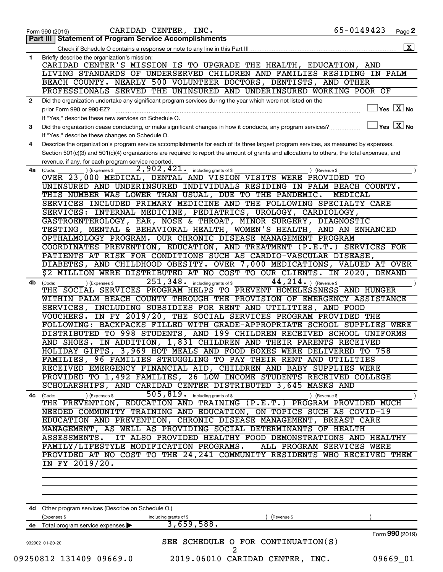|          | CARIDAD CENTER, INC.<br>Form 990 (2019)                                                                                                      | 65-0149423    | Page 2                               |
|----------|----------------------------------------------------------------------------------------------------------------------------------------------|---------------|--------------------------------------|
| Part III | <b>Statement of Program Service Accomplishments</b>                                                                                          |               |                                      |
|          |                                                                                                                                              |               | $\boxed{\mathbf{X}}$                 |
| 1        | Briefly describe the organization's mission:                                                                                                 |               |                                      |
|          | CARIDAD CENTER'S MISSION IS TO UPGRADE THE HEALTH, EDUCATION, AND                                                                            |               |                                      |
|          | LIVING STANDARDS OF UNDERSERVED CHILDREN AND FAMILIES RESIDING IN PALM                                                                       |               |                                      |
|          | BEACH COUNTY. NEARLY 500 VOLUNTEER DOCTORS, DENTISTS, AND OTHER                                                                              |               |                                      |
|          | PROFESSIONALS SERVED THE UNINSURED AND UNDERINSURED WORKING POOR OF                                                                          |               |                                      |
| 2        | Did the organization undertake any significant program services during the year which were not listed on the                                 |               |                                      |
|          | prior Form 990 or 990-EZ?                                                                                                                    |               | $\sqrt{\mathsf{Yes}\ \mathbf{X}}$ No |
|          | If "Yes," describe these new services on Schedule O.                                                                                         |               |                                      |
| 3        | Did the organization cease conducting, or make significant changes in how it conducts, any program services?                                 |               | $\exists$ Yes $\boxed{\text{X}}$ No  |
|          | If "Yes," describe these changes on Schedule O.                                                                                              |               |                                      |
| 4        | Describe the organization's program service accomplishments for each of its three largest program services, as measured by expenses.         |               |                                      |
|          | Section 501(c)(3) and 501(c)(4) organizations are required to report the amount of grants and allocations to others, the total expenses, and |               |                                      |
|          | revenue, if any, for each program service reported.                                                                                          |               |                                      |
| 4a       | 2,902,421.<br>) (Expenses \$<br>including grants of \$<br>) (Revenue \$<br>(Code:                                                            |               |                                      |
|          | OVER 23,000 MEDICAL, DENTAL AND VISION VISITS WERE PROVIDED TO                                                                               |               |                                      |
|          | UNINSURED AND UNDERINSURED INDIVIDUALS RESIDING IN PALM BEACH COUNTY.                                                                        |               |                                      |
|          | THIS NUMBER WAS LOWER THAN USUAL, DUE TO THE PANDEMIC.                                                                                       | MEDICAL       |                                      |
|          | SERVICES INCLUDED PRIMARY MEDICINE AND THE FOLLOWING SPECIALTY CARE                                                                          |               |                                      |
|          | SERVICES: INTERNAL MEDICINE, PEDIATRICS, UROLOGY, CARDIOLOGY,                                                                                |               |                                      |
|          | GASTROENTEROLOGY, EAR, NOSE & THROAT, MINOR SURGERY, DIAGNOSTIC                                                                              |               |                                      |
|          | TESTING, MENTAL & BEHAVIORAL HEALTH, WOMEN'S HEALTH, AND AN ENHANCED                                                                         |               |                                      |
|          | OPTHALMOLOGY PROGRAM. OUR CHRONIC DISEASE MANAGEMENT PROGRAM                                                                                 |               |                                      |
|          | COORDINATES PREVENTION, EDUCATION, AND TREATMENT (P.E.T.)                                                                                    | SERVICES FOR  |                                      |
|          | PATIENTS AT RISK FOR CONDITIONS SUCH AS CARDIO-VASCULAR DISEASE,                                                                             |               |                                      |
|          | DIABETES, AND CHILDHOOD OBESITY. OVER 7,000 MEDICATIONS, VALUED AT OVER                                                                      |               |                                      |
|          | \$2 MILLION WERE DISTRIBUTED AT NO COST TO OUR CLIENTS. IN 2020,                                                                             | <b>DEMAND</b> |                                      |
| 4b       | 251, 348.<br>44, $214.$ (Revenue \$<br>including grants of \$<br>) (Expenses \$<br>(Code:                                                    |               |                                      |
|          | THE SOCIAL SERVICES PROGRAM HELPS TO PREVENT HOMELESSNESS AND HUNGER                                                                         |               |                                      |
|          | WITHIN PALM BEACH COUNTY THROUGH THE PROVISION OF EMERGENCY ASSISTANCE                                                                       |               |                                      |
|          | INCLUDING SUBSIDIES FOR RENT AND UTILITIES, AND FOOD<br>SERVICES,                                                                            |               |                                      |
|          | IN FY 2019/20, THE SOCIAL SERVICES PROGRAM PROVIDED THE<br>VOUCHERS.                                                                         |               |                                      |
|          | BACKPACKS FILLED WITH GRADE-APPROPRIATE SCHOOL SUPPLIES WERE<br>FOLLOWING:                                                                   |               |                                      |
|          | DISTRIBUTED TO 998 STUDENTS, AND 199 CHILDREN RECEIVED SCHOOL UNIFORMS                                                                       |               |                                      |
|          | IN ADDITION, 1,831 CHILDREN AND THEIR PARENTS RECEIVED<br>AND SHOES.                                                                         |               |                                      |
|          | HOLIDAY GIFTS, 3,969 HOT MEALS AND FOOD BOXES WERE DELIVERED TO 758                                                                          |               |                                      |
|          | FAMILIES, 96 FAMILIES STRUGGLING TO PAY THEIR RENT AND UTILITIES                                                                             |               |                                      |
|          | RECEIVED EMERGENCY FINANCIAL AID, CHILDREN AND BABY SUPPLIES WERE                                                                            |               |                                      |
|          | PROVIDED TO 1,492 FAMILIES, 26 LOW INCOME STUDENTS RECEIVED COLLEGE                                                                          |               |                                      |
|          | SCHOLARSHIPS, AND CARIDAD CENTER DISTRIBUTED 3,645 MASKS AND                                                                                 |               |                                      |
| 4с       | 505,819. including grants of \$<br>) (Expenses \$<br>) (Revenue \$<br>(Code:                                                                 |               |                                      |
|          | THE PREVENTION, EDUCATION AND TRAINING (P.E.T.) PROGRAM PROVIDED MUCH                                                                        |               |                                      |
|          | NEEDED COMMUNITY TRAINING AND EDUCATION, ON TOPICS SUCH AS COVID-19<br>EDUCATION AND PREVENTION, CHRONIC DISEASE MANAGEMENT, BREAST CARE     |               |                                      |
|          | MANAGEMENT, AS WELL AS PROVIDING SOCIAL DETERMINANTS OF HEALTH                                                                               |               |                                      |
|          | IT ALSO PROVIDED HEALTHY FOOD DEMONSTRATIONS AND HEALTHY<br>ASSESSMENTS.                                                                     |               |                                      |
|          | FAMILY/LIFESTYLE MODIFICATION PROGRAMS.<br>ALL PROGRAM SERVICES WERE                                                                         |               |                                      |
|          | PROVIDED AT NO COST TO THE 24, 241 COMMUNITY RESIDENTS WHO RECEIVED THEM                                                                     |               |                                      |
|          | IN FY 2019/20.                                                                                                                               |               |                                      |
|          |                                                                                                                                              |               |                                      |
|          |                                                                                                                                              |               |                                      |
|          |                                                                                                                                              |               |                                      |
|          |                                                                                                                                              |               |                                      |
|          |                                                                                                                                              |               |                                      |
|          | 4d Other program services (Describe on Schedule O.)                                                                                          |               |                                      |
|          | (Expenses \$<br>including grants of \$<br>Revenue \$                                                                                         |               |                                      |
|          | 3,659,588.<br>4e Total program service expenses                                                                                              |               |                                      |
|          |                                                                                                                                              |               | Form 990 (2019)                      |
|          | SEE SCHEDULE O FOR CONTINUATION(S)<br>932002 01-20-20                                                                                        |               |                                      |
|          | 2                                                                                                                                            |               |                                      |
|          | 09250812 131409 09669.0<br>2019.06010 CARIDAD CENTER, INC.                                                                                   |               | 09669_01                             |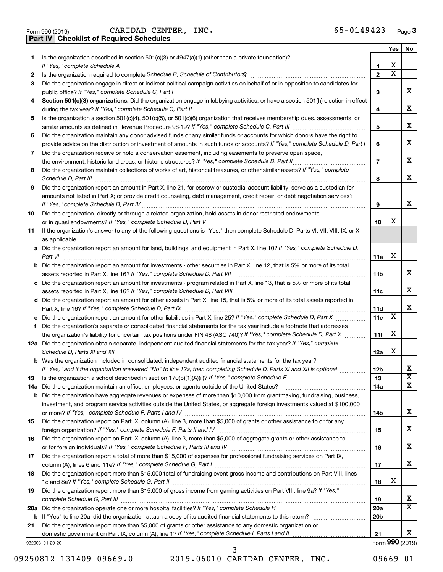| Form 990 (2019) |  |  |
|-----------------|--|--|

Form 990 (2019)  $\begin{array}{cccc} \text{CARIDAD} & \text{CENTER}, & \text{INC.} \end{array}$   $\begin{array}{cccc} \text{65--0149423} & \text{Page} \end{array}$ **Part IV Checklist of Required Schedules**

|    |                                                                                                                                                                                                                                                            |                 | Yes                   | No                      |
|----|------------------------------------------------------------------------------------------------------------------------------------------------------------------------------------------------------------------------------------------------------------|-----------------|-----------------------|-------------------------|
| 1. | Is the organization described in section 501(c)(3) or 4947(a)(1) (other than a private foundation)?                                                                                                                                                        |                 |                       |                         |
|    |                                                                                                                                                                                                                                                            | 1               | х                     |                         |
| 2  |                                                                                                                                                                                                                                                            | $\mathbf{2}$    | $\overline{\text{x}}$ |                         |
| З  | Did the organization engage in direct or indirect political campaign activities on behalf of or in opposition to candidates for                                                                                                                            |                 |                       |                         |
|    |                                                                                                                                                                                                                                                            | 3               |                       | x                       |
| 4  | Section 501(c)(3) organizations. Did the organization engage in lobbying activities, or have a section 501(h) election in effect                                                                                                                           |                 |                       |                         |
|    |                                                                                                                                                                                                                                                            | 4               |                       | x                       |
| 5  | Is the organization a section 501(c)(4), 501(c)(5), or 501(c)(6) organization that receives membership dues, assessments, or                                                                                                                               |                 |                       |                         |
|    |                                                                                                                                                                                                                                                            | 5               |                       | x                       |
| 6  | Did the organization maintain any donor advised funds or any similar funds or accounts for which donors have the right to                                                                                                                                  |                 |                       | х                       |
|    | provide advice on the distribution or investment of amounts in such funds or accounts? If "Yes," complete Schedule D, Part I                                                                                                                               | 6               |                       |                         |
| 7  | Did the organization receive or hold a conservation easement, including easements to preserve open space,                                                                                                                                                  |                 |                       | х                       |
|    |                                                                                                                                                                                                                                                            | $\overline{7}$  |                       |                         |
| 8  | Did the organization maintain collections of works of art, historical treasures, or other similar assets? If "Yes," complete                                                                                                                               |                 |                       | x                       |
|    |                                                                                                                                                                                                                                                            | 8               |                       |                         |
| 9  | Did the organization report an amount in Part X, line 21, for escrow or custodial account liability, serve as a custodian for<br>amounts not listed in Part X; or provide credit counseling, debt management, credit repair, or debt negotiation services? |                 |                       |                         |
|    |                                                                                                                                                                                                                                                            | 9               |                       | x                       |
| 10 | Did the organization, directly or through a related organization, hold assets in donor-restricted endowments                                                                                                                                               |                 |                       |                         |
|    |                                                                                                                                                                                                                                                            | 10              | X                     |                         |
| 11 | If the organization's answer to any of the following questions is "Yes," then complete Schedule D, Parts VI, VII, VIII, IX, or X                                                                                                                           |                 |                       |                         |
|    | as applicable.                                                                                                                                                                                                                                             |                 |                       |                         |
|    | a Did the organization report an amount for land, buildings, and equipment in Part X, line 10? If "Yes," complete Schedule D,                                                                                                                              |                 |                       |                         |
|    |                                                                                                                                                                                                                                                            | 11a             | X                     |                         |
|    | <b>b</b> Did the organization report an amount for investments - other securities in Part X, line 12, that is 5% or more of its total                                                                                                                      |                 |                       |                         |
|    |                                                                                                                                                                                                                                                            | 11 <sub>b</sub> |                       | x                       |
|    | c Did the organization report an amount for investments - program related in Part X, line 13, that is 5% or more of its total                                                                                                                              |                 |                       |                         |
|    |                                                                                                                                                                                                                                                            | 11c             |                       | x                       |
|    | d Did the organization report an amount for other assets in Part X, line 15, that is 5% or more of its total assets reported in                                                                                                                            |                 |                       |                         |
|    |                                                                                                                                                                                                                                                            | 11d             |                       | x                       |
|    |                                                                                                                                                                                                                                                            | 11e             | X                     |                         |
| f. | Did the organization's separate or consolidated financial statements for the tax year include a footnote that addresses                                                                                                                                    |                 |                       |                         |
|    | the organization's liability for uncertain tax positions under FIN 48 (ASC 740)? If "Yes," complete Schedule D, Part X                                                                                                                                     | 11f             | х                     |                         |
|    | 12a Did the organization obtain separate, independent audited financial statements for the tax year? If "Yes," complete                                                                                                                                    |                 |                       |                         |
|    |                                                                                                                                                                                                                                                            | 12a             | X                     |                         |
|    | <b>b</b> Was the organization included in consolidated, independent audited financial statements for the tax year?                                                                                                                                         |                 |                       |                         |
|    | If "Yes," and if the organization answered "No" to line 12a, then completing Schedule D, Parts XI and XII is optional                                                                                                                                      | 12 <sub>b</sub> |                       | х                       |
| 13 |                                                                                                                                                                                                                                                            | 13              |                       | $\overline{\texttt{x}}$ |
|    |                                                                                                                                                                                                                                                            | 14a             |                       | $\overline{\textbf{x}}$ |
|    | <b>b</b> Did the organization have aggregate revenues or expenses of more than \$10,000 from grantmaking, fundraising, business,                                                                                                                           |                 |                       |                         |
|    | investment, and program service activities outside the United States, or aggregate foreign investments valued at \$100,000                                                                                                                                 |                 |                       |                         |
|    |                                                                                                                                                                                                                                                            | 14b             |                       | X                       |
| 15 | Did the organization report on Part IX, column (A), line 3, more than \$5,000 of grants or other assistance to or for any                                                                                                                                  |                 |                       |                         |
|    |                                                                                                                                                                                                                                                            | 15              |                       | x                       |
| 16 | Did the organization report on Part IX, column (A), line 3, more than \$5,000 of aggregate grants or other assistance to                                                                                                                                   |                 |                       |                         |
|    |                                                                                                                                                                                                                                                            | 16              |                       | x                       |
| 17 | Did the organization report a total of more than \$15,000 of expenses for professional fundraising services on Part IX,                                                                                                                                    |                 |                       |                         |
|    |                                                                                                                                                                                                                                                            | 17              |                       | x                       |
| 18 | Did the organization report more than \$15,000 total of fundraising event gross income and contributions on Part VIII, lines                                                                                                                               | 18              | х                     |                         |
| 19 | Did the organization report more than \$15,000 of gross income from gaming activities on Part VIII, line 9a? If "Yes,"                                                                                                                                     |                 |                       |                         |
|    |                                                                                                                                                                                                                                                            | 19              |                       | x                       |
|    |                                                                                                                                                                                                                                                            | 20a             |                       | $\overline{\texttt{X}}$ |
|    |                                                                                                                                                                                                                                                            | 20 <sub>b</sub> |                       |                         |
| 21 | Did the organization report more than \$5,000 of grants or other assistance to any domestic organization or                                                                                                                                                |                 |                       |                         |
|    |                                                                                                                                                                                                                                                            | 21              |                       | x                       |
|    | 932003 01-20-20                                                                                                                                                                                                                                            |                 |                       | Form 990 (2019)         |

09250812 131409 09669.0 2019.06010 CARIDAD CENTER, INC. 09669\_01

3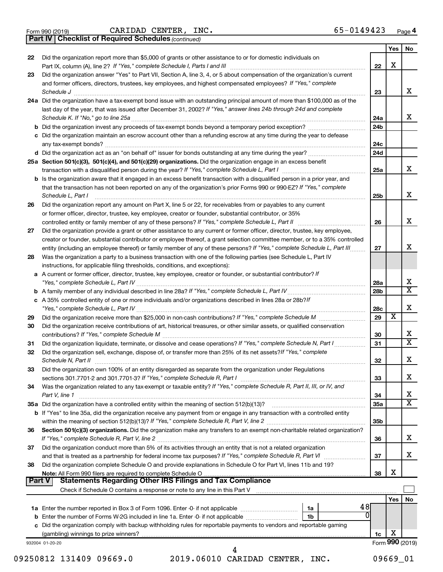|  | Form 990 (2019) |  |
|--|-----------------|--|
|  |                 |  |

Form 990 (2019)  $\begin{array}{cccc} \text{CARIDAD} & \text{CENTER}, & \text{INC.} \end{array}$   $\begin{array}{cccc} \text{65--0149423} & \text{Page} \end{array}$ 

*(continued)* **Part IV Checklist of Required Schedules**

|               |                                                                                                                                     |                        | Yes                     | No                      |
|---------------|-------------------------------------------------------------------------------------------------------------------------------------|------------------------|-------------------------|-------------------------|
| 22            | Did the organization report more than \$5,000 of grants or other assistance to or for domestic individuals on                       |                        |                         |                         |
|               |                                                                                                                                     | 22                     | X                       |                         |
| 23            | Did the organization answer "Yes" to Part VII, Section A, line 3, 4, or 5 about compensation of the organization's current          |                        |                         |                         |
|               | and former officers, directors, trustees, key employees, and highest compensated employees? If "Yes," complete                      |                        |                         |                         |
|               | Schedule J <b>Execute Schedule Schedule Schedule Schedule</b> J <b>Execute Schedule J Execute Schedule J</b>                        | 23                     |                         | x                       |
|               | 24a Did the organization have a tax-exempt bond issue with an outstanding principal amount of more than \$100,000 as of the         |                        |                         |                         |
|               | last day of the year, that was issued after December 31, 2002? If "Yes," answer lines 24b through 24d and complete                  |                        |                         |                         |
|               |                                                                                                                                     | 24a                    |                         | x                       |
|               |                                                                                                                                     | 24b                    |                         |                         |
|               | c Did the organization maintain an escrow account other than a refunding escrow at any time during the year to defease              |                        |                         |                         |
|               |                                                                                                                                     | 24c                    |                         |                         |
|               |                                                                                                                                     | 24d                    |                         |                         |
|               | 25a Section 501(c)(3), 501(c)(4), and 501(c)(29) organizations. Did the organization engage in an excess benefit                    |                        |                         |                         |
|               |                                                                                                                                     | 25a                    |                         | x                       |
|               | <b>b</b> Is the organization aware that it engaged in an excess benefit transaction with a disqualified person in a prior year, and |                        |                         |                         |
|               | that the transaction has not been reported on any of the organization's prior Forms 990 or 990-EZ? If "Yes," complete               |                        |                         |                         |
|               | Schedule L, Part I                                                                                                                  | 25b                    |                         | x                       |
| 26            | Did the organization report any amount on Part X, line 5 or 22, for receivables from or payables to any current                     |                        |                         |                         |
|               | or former officer, director, trustee, key employee, creator or founder, substantial contributor, or 35%                             |                        |                         |                         |
|               | controlled entity or family member of any of these persons? If "Yes," complete Schedule L, Part II                                  | 26                     |                         | x                       |
| 27            | Did the organization provide a grant or other assistance to any current or former officer, director, trustee, key employee,         |                        |                         |                         |
|               | creator or founder, substantial contributor or employee thereof, a grant selection committee member, or to a 35% controlled         |                        |                         | X                       |
|               | entity (including an employee thereof) or family member of any of these persons? If "Yes," complete Schedule L, Part III            | 27                     |                         |                         |
| 28            | Was the organization a party to a business transaction with one of the following parties (see Schedule L, Part IV                   |                        |                         |                         |
|               | instructions, for applicable filing thresholds, conditions, and exceptions):                                                        |                        |                         |                         |
|               | a A current or former officer, director, trustee, key employee, creator or founder, or substantial contributor? If                  |                        |                         | х                       |
|               |                                                                                                                                     | 28a<br>28 <sub>b</sub> |                         | $\overline{\mathtt{x}}$ |
|               | c A 35% controlled entity of one or more individuals and/or organizations described in lines 28a or 28b?If                          |                        |                         |                         |
|               |                                                                                                                                     | 28c                    |                         | x                       |
| 29            |                                                                                                                                     | 29                     | $\overline{\mathbf{X}}$ |                         |
| 30            | Did the organization receive contributions of art, historical treasures, or other similar assets, or qualified conservation         |                        |                         |                         |
|               |                                                                                                                                     | 30                     |                         | x                       |
| 31            | Did the organization liquidate, terminate, or dissolve and cease operations? If "Yes," complete Schedule N, Part I                  | 31                     |                         | $\overline{\mathtt{x}}$ |
| 32            | Did the organization sell, exchange, dispose of, or transfer more than 25% of its net assets? If "Yes," complete                    |                        |                         |                         |
|               |                                                                                                                                     | 32                     |                         | x                       |
| 33            | Did the organization own 100% of an entity disregarded as separate from the organization under Regulations                          |                        |                         |                         |
|               |                                                                                                                                     | 33                     |                         | х                       |
| 34            | Was the organization related to any tax-exempt or taxable entity? If "Yes," complete Schedule R, Part II, III, or IV, and           |                        |                         |                         |
|               | Part V, line 1                                                                                                                      | 34                     |                         | х                       |
|               |                                                                                                                                     | 35a                    |                         | $\overline{\texttt{x}}$ |
|               | b If "Yes" to line 35a, did the organization receive any payment from or engage in any transaction with a controlled entity         |                        |                         |                         |
|               |                                                                                                                                     | 35 <sub>b</sub>        |                         |                         |
| 36            | Section 501(c)(3) organizations. Did the organization make any transfers to an exempt non-charitable related organization?          |                        |                         |                         |
|               |                                                                                                                                     | 36                     |                         | x                       |
| 37            | Did the organization conduct more than 5% of its activities through an entity that is not a related organization                    |                        |                         |                         |
|               |                                                                                                                                     | 37                     |                         | x                       |
| 38            | Did the organization complete Schedule O and provide explanations in Schedule O for Part VI, lines 11b and 19?                      |                        |                         |                         |
| <b>Part V</b> | <b>Statements Regarding Other IRS Filings and Tax Compliance</b>                                                                    | 38                     | x                       |                         |
|               |                                                                                                                                     |                        |                         |                         |
|               |                                                                                                                                     |                        | Yes                     | No                      |
|               | 48<br>1a                                                                                                                            |                        |                         |                         |
|               | 0<br>1 <sub>b</sub>                                                                                                                 |                        |                         |                         |
|               | c Did the organization comply with backup withholding rules for reportable payments to vendors and reportable gaming                |                        |                         |                         |
|               |                                                                                                                                     | 1c                     | х                       |                         |
|               | 932004 01-20-20                                                                                                                     |                        |                         | Form 990 (2019)         |
|               | 4                                                                                                                                   |                        |                         |                         |

09250812 131409 09669.0 2019.06010 CARIDAD CENTER, INC. 09669\_01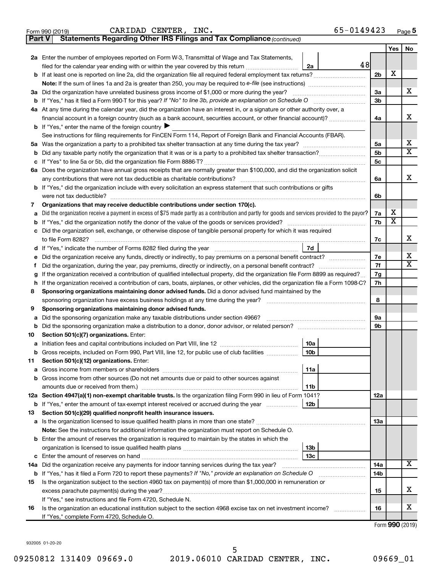|               | 65-0149423<br>CARIDAD CENTER, INC.<br>Form 990 (2019)                                                                                           |                |                       | Page 5                  |
|---------------|-------------------------------------------------------------------------------------------------------------------------------------------------|----------------|-----------------------|-------------------------|
| <b>Part V</b> | Statements Regarding Other IRS Filings and Tax Compliance (continued)                                                                           |                |                       |                         |
|               |                                                                                                                                                 |                | Yes                   | No                      |
|               | 2a Enter the number of employees reported on Form W-3, Transmittal of Wage and Tax Statements,                                                  |                |                       |                         |
|               | 48<br>filed for the calendar year ending with or within the year covered by this return<br>2a                                                   |                |                       |                         |
|               | <b>b</b> If at least one is reported on line 2a, did the organization file all required federal employment tax returns?                         | 2 <sub>b</sub> | х                     |                         |
|               | <b>Note:</b> If the sum of lines 1a and 2a is greater than 250, you may be required to e-file (see instructions)                                |                |                       |                         |
|               | 3a Did the organization have unrelated business gross income of \$1,000 or more during the year?                                                | 3a             |                       | X                       |
|               | <b>b</b> If "Yes," has it filed a Form 990-T for this year? If "No" to line 3b, provide an explanation on Schedule O                            | 3 <sub>b</sub> |                       |                         |
|               | 4a At any time during the calendar year, did the organization have an interest in, or a signature or other authority over, a                    |                |                       |                         |
|               | financial account in a foreign country (such as a bank account, securities account, or other financial account)?                                | 4a             |                       | х                       |
|               | <b>b</b> If "Yes," enter the name of the foreign country $\blacktriangleright$                                                                  |                |                       |                         |
|               | See instructions for filing requirements for FinCEN Form 114, Report of Foreign Bank and Financial Accounts (FBAR).                             |                |                       |                         |
|               |                                                                                                                                                 | 5a             |                       | х                       |
|               |                                                                                                                                                 | 5 <sub>b</sub> |                       | $\overline{\mathtt{x}}$ |
|               |                                                                                                                                                 | 5 <sub>c</sub> |                       |                         |
|               | 6a Does the organization have annual gross receipts that are normally greater than \$100,000, and did the organization solicit                  |                |                       |                         |
|               | any contributions that were not tax deductible as charitable contributions?                                                                     | 6а             |                       | x                       |
|               | b If "Yes," did the organization include with every solicitation an express statement that such contributions or gifts                          |                |                       |                         |
|               | were not tax deductible?                                                                                                                        | 6b             |                       |                         |
| 7             | Organizations that may receive deductible contributions under section 170(c).                                                                   |                |                       |                         |
| а             | Did the organization receive a payment in excess of \$75 made partly as a contribution and partly for goods and services provided to the payor? | 7а             | X                     |                         |
|               | <b>b</b> If "Yes," did the organization notify the donor of the value of the goods or services provided?                                        | 7b             | $\overline{\text{x}}$ |                         |
|               | c Did the organization sell, exchange, or otherwise dispose of tangible personal property for which it was required                             |                |                       |                         |
|               | to file Form 8282?                                                                                                                              | 7c             |                       | х                       |
|               | 7d                                                                                                                                              |                |                       |                         |
| е             |                                                                                                                                                 | 7е             |                       | х                       |
| Ť.            | Did the organization, during the year, pay premiums, directly or indirectly, on a personal benefit contract?                                    | 7f             |                       | $\overline{\mathtt{x}}$ |
| g             | If the organization received a contribution of qualified intellectual property, did the organization file Form 8899 as required?                | 7g             |                       |                         |
|               | h If the organization received a contribution of cars, boats, airplanes, or other vehicles, did the organization file a Form 1098-C?            | 7h             |                       |                         |
| 8             | Sponsoring organizations maintaining donor advised funds. Did a donor advised fund maintained by the                                            |                |                       |                         |
|               | sponsoring organization have excess business holdings at any time during the year?                                                              | 8              |                       |                         |
| 9             | Sponsoring organizations maintaining donor advised funds.                                                                                       |                |                       |                         |
| а             | Did the sponsoring organization make any taxable distributions under section 4966?                                                              | 9а             |                       |                         |
| b             |                                                                                                                                                 | 9 <sub>b</sub> |                       |                         |
| 10            | Section 501(c)(7) organizations. Enter:                                                                                                         |                |                       |                         |
|               | 10a<br>a Initiation fees and capital contributions included on Part VIII, line 12 <i>maching contrast in the set</i>                            |                |                       |                         |
|               | b Gross receipts, included on Form 990, Part VIII, line 12, for public use of club facilities<br>10b                                            |                |                       |                         |
| 11            | Section 501(c)(12) organizations. Enter:                                                                                                        |                |                       |                         |
| а             | 11a                                                                                                                                             |                |                       |                         |
|               | b Gross income from other sources (Do not net amounts due or paid to other sources against                                                      |                |                       |                         |
|               | 11b                                                                                                                                             |                |                       |                         |
|               | 12a Section 4947(a)(1) non-exempt charitable trusts. Is the organization filing Form 990 in lieu of Form 1041?                                  | 12a            |                       |                         |
|               | <b>b</b> If "Yes," enter the amount of tax-exempt interest received or accrued during the year<br>12b                                           |                |                       |                         |
| 13            | Section 501(c)(29) qualified nonprofit health insurance issuers.                                                                                |                |                       |                         |
|               |                                                                                                                                                 | 13a            |                       |                         |
|               | Note: See the instructions for additional information the organization must report on Schedule O.                                               |                |                       |                         |
|               | <b>b</b> Enter the amount of reserves the organization is required to maintain by the states in which the                                       |                |                       |                         |
|               | 13 <sub>b</sub>                                                                                                                                 |                |                       |                         |
|               | 13 <sub>c</sub>                                                                                                                                 |                |                       |                         |
|               |                                                                                                                                                 | 14a            |                       | X                       |
|               | b If "Yes," has it filed a Form 720 to report these payments? If "No," provide an explanation on Schedule O                                     | 14b            |                       |                         |
| 15            | Is the organization subject to the section 4960 tax on payment(s) of more than \$1,000,000 in remuneration or                                   |                |                       |                         |
|               |                                                                                                                                                 | 15             |                       | х                       |
|               | If "Yes," see instructions and file Form 4720, Schedule N.                                                                                      |                |                       |                         |
| 16            | Is the organization an educational institution subject to the section 4968 excise tax on net investment income?                                 | 16             |                       | х                       |
|               | If "Yes," complete Form 4720, Schedule O.                                                                                                       |                |                       |                         |

Form (2019) **990**

932005 01-20-20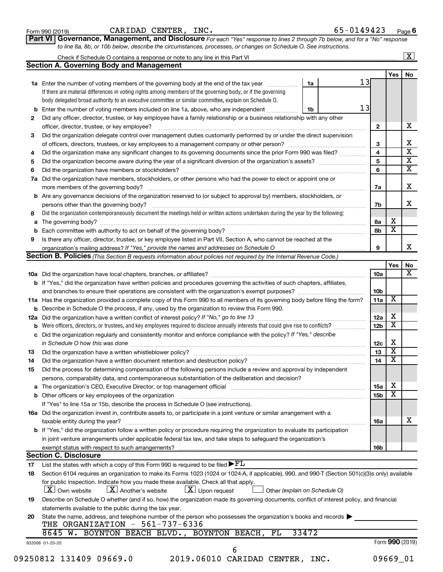| Form 990 (2019) |  |
|-----------------|--|
|-----------------|--|

Form 990 (2019)  $\begin{array}{cccc} \text{CARIDAD} & \text{CENTER}, & \text{INC.} \end{array}$   $\begin{array}{cccc} \text{65--0149423} & \text{Page} \end{array}$ 

**Part VI** Governance, Management, and Disclosure For each "Yes" response to lines 2 through 7b below, and for a "No" response *to line 8a, 8b, or 10b below, describe the circumstances, processes, or changes on Schedule O. See instructions.*

|     | Check if Schedule O contains a response or note to any line in this Part VI [1] [1] [1] [1] [1] [1] [1] [1] [1                                                                      |       |    |    |                 |                         | $\mathbf{X}$            |
|-----|-------------------------------------------------------------------------------------------------------------------------------------------------------------------------------------|-------|----|----|-----------------|-------------------------|-------------------------|
|     | <b>Section A. Governing Body and Management</b>                                                                                                                                     |       |    |    |                 |                         |                         |
|     |                                                                                                                                                                                     |       |    |    |                 | Yes                     | No                      |
|     | 1a Enter the number of voting members of the governing body at the end of the tax year                                                                                              |       | 1a | 13 |                 |                         |                         |
|     | If there are material differences in voting rights among members of the governing body, or if the governing                                                                         |       |    |    |                 |                         |                         |
|     | body delegated broad authority to an executive committee or similar committee, explain on Schedule O.                                                                               |       |    |    |                 |                         |                         |
| b   | Enter the number of voting members included on line 1a, above, who are independent <i></i>                                                                                          |       | 1b | 13 |                 |                         |                         |
| 2   | Did any officer, director, trustee, or key employee have a family relationship or a business relationship with any other                                                            |       |    |    |                 |                         |                         |
|     | officer, director, trustee, or key employee?                                                                                                                                        |       |    |    | $\mathbf{2}$    |                         | x                       |
| 3   | Did the organization delegate control over management duties customarily performed by or under the direct supervision                                                               |       |    |    |                 |                         |                         |
|     |                                                                                                                                                                                     |       |    |    | 3               |                         | х                       |
| 4   | Did the organization make any significant changes to its governing documents since the prior Form 990 was filed?                                                                    |       |    |    | 4               |                         | $\overline{\textbf{x}}$ |
| 5   |                                                                                                                                                                                     |       |    |    | 5               |                         | $\overline{\textbf{X}}$ |
| 6   |                                                                                                                                                                                     |       |    |    | 6               |                         | $\overline{\textbf{x}}$ |
| 7a  | Did the organization have members, stockholders, or other persons who had the power to elect or appoint one or                                                                      |       |    |    |                 |                         |                         |
|     |                                                                                                                                                                                     |       |    |    | 7a              |                         | x                       |
|     |                                                                                                                                                                                     |       |    |    |                 |                         |                         |
| b   | Are any governance decisions of the organization reserved to (or subject to approval by) members, stockholders, or                                                                  |       |    |    |                 |                         | x                       |
|     |                                                                                                                                                                                     |       |    |    | 7b              |                         |                         |
| 8   | Did the organization contemporaneously document the meetings held or written actions undertaken during the year by the following:                                                   |       |    |    |                 |                         |                         |
| а   |                                                                                                                                                                                     |       |    |    | 8а              | х                       |                         |
| b   |                                                                                                                                                                                     |       |    |    | 8b              | $\overline{\textbf{x}}$ |                         |
| 9   | Is there any officer, director, trustee, or key employee listed in Part VII, Section A, who cannot be reached at the                                                                |       |    |    |                 |                         |                         |
|     |                                                                                                                                                                                     |       |    |    | 9               |                         | x                       |
|     | <b>Section B. Policies</b> (This Section B requests information about policies not required by the Internal Revenue Code.)                                                          |       |    |    |                 |                         |                         |
|     |                                                                                                                                                                                     |       |    |    |                 | Yes                     | No                      |
|     |                                                                                                                                                                                     |       |    |    | 10a             |                         | x                       |
|     | <b>b</b> If "Yes," did the organization have written policies and procedures governing the activities of such chapters, affiliates,                                                 |       |    |    |                 |                         |                         |
|     |                                                                                                                                                                                     |       |    |    | 10 <sub>b</sub> |                         |                         |
|     | 11a Has the organization provided a complete copy of this Form 990 to all members of its governing body before filing the form?                                                     |       |    |    | 11a             | х                       |                         |
|     | <b>b</b> Describe in Schedule O the process, if any, used by the organization to review this Form 990.                                                                              |       |    |    |                 |                         |                         |
| 12a |                                                                                                                                                                                     |       |    |    | 12a             | х                       |                         |
| b   | Were officers, directors, or trustees, and key employees required to disclose annually interests that could give rise to conflicts?                                                 |       |    |    | 12 <sub>b</sub> | х                       |                         |
| с   | Did the organization regularly and consistently monitor and enforce compliance with the policy? If "Yes," describe                                                                  |       |    |    |                 |                         |                         |
|     |                                                                                                                                                                                     |       |    |    | 12c             | X                       |                         |
| 13  |                                                                                                                                                                                     |       |    |    | 13              | $\overline{\textbf{x}}$ |                         |
|     |                                                                                                                                                                                     |       |    |    | 14              | $\overline{\mathbf{X}}$ |                         |
| 14  | Did the organization have a written document retention and destruction policy? [11] manufaction model of the organization have a written document retention and destruction policy? |       |    |    |                 |                         |                         |
| 15  | Did the process for determining compensation of the following persons include a review and approval by independent                                                                  |       |    |    |                 |                         |                         |
|     | persons, comparability data, and contemporaneous substantiation of the deliberation and decision?                                                                                   |       |    |    |                 |                         |                         |
| а   |                                                                                                                                                                                     |       |    |    | 15a             | х                       |                         |
|     |                                                                                                                                                                                     |       |    |    | 15 <sub>b</sub> | х                       |                         |
|     | If "Yes" to line 15a or 15b, describe the process in Schedule O (see instructions).                                                                                                 |       |    |    |                 |                         |                         |
|     | 16a Did the organization invest in, contribute assets to, or participate in a joint venture or similar arrangement with a                                                           |       |    |    |                 |                         |                         |
|     | taxable entity during the year?                                                                                                                                                     |       |    |    | 16a             |                         | х                       |
|     | b If "Yes," did the organization follow a written policy or procedure requiring the organization to evaluate its participation                                                      |       |    |    |                 |                         |                         |
|     | in joint venture arrangements under applicable federal tax law, and take steps to safeguard the organization's                                                                      |       |    |    |                 |                         |                         |
|     | exempt status with respect to such arrangements?                                                                                                                                    |       |    |    | 16b             |                         |                         |
|     | <b>Section C. Disclosure</b>                                                                                                                                                        |       |    |    |                 |                         |                         |
| 17  | List the states with which a copy of this Form 990 is required to be filed $\blacktriangleright$ FL                                                                                 |       |    |    |                 |                         |                         |
| 18  | Section 6104 requires an organization to make its Forms 1023 (1024 or 1024-A, if applicable), 990, and 990-T (Section 501(c)(3)s only) available                                    |       |    |    |                 |                         |                         |
|     | for public inspection. Indicate how you made these available. Check all that apply.                                                                                                 |       |    |    |                 |                         |                         |
|     |                                                                                                                                                                                     |       |    |    |                 |                         |                         |
|     | $\lfloor x \rfloor$ Upon request<br><b>X</b> Own website<br>$\lfloor X \rfloor$ Another's website<br>Other (explain on Schedule O)                                                  |       |    |    |                 |                         |                         |
| 19  | Describe on Schedule O whether (and if so, how) the organization made its governing documents, conflict of interest policy, and financial                                           |       |    |    |                 |                         |                         |
|     | statements available to the public during the tax year.                                                                                                                             |       |    |    |                 |                         |                         |
| 20  | State the name, address, and telephone number of the person who possesses the organization's books and records                                                                      |       |    |    |                 |                         |                         |
|     | THE ORGANIZATION - 561-737-6336                                                                                                                                                     |       |    |    |                 |                         |                         |
|     | 8645 W. BOYNTON BEACH BLVD., BOYNTON BEACH,<br>FL                                                                                                                                   | 33472 |    |    |                 |                         |                         |
|     | 932006 01-20-20                                                                                                                                                                     |       |    |    |                 | Form 990 (2019)         |                         |
|     | 6                                                                                                                                                                                   |       |    |    |                 |                         |                         |
|     | 09250812 131409 09669.0<br>2019.06010 CARIDAD CENTER, INC.                                                                                                                          |       |    |    |                 | 09669_01                |                         |
|     |                                                                                                                                                                                     |       |    |    |                 |                         |                         |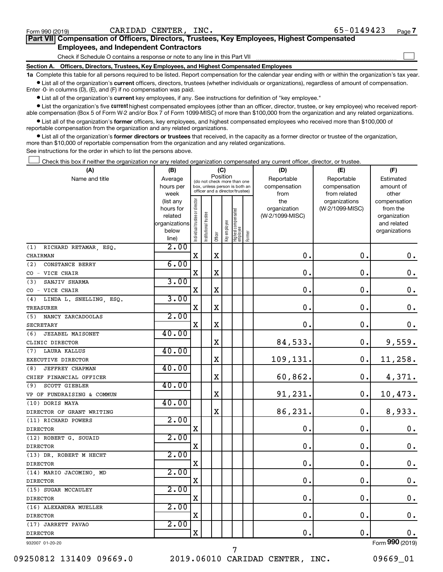$\Box$ 

| Part VII Compensation of Officers, Directors, Trustees, Key Employees, Highest Compensated |  |  |  |
|--------------------------------------------------------------------------------------------|--|--|--|
| <b>Employees, and Independent Contractors</b>                                              |  |  |  |

Check if Schedule O contains a response or note to any line in this Part VII

**Section A. Officers, Directors, Trustees, Key Employees, and Highest Compensated Employees**

**1a**  Complete this table for all persons required to be listed. Report compensation for the calendar year ending with or within the organization's tax year.  $\bullet$  List all of the organization's current officers, directors, trustees (whether individuals or organizations), regardless of amount of compensation.

Enter -0- in columns (D), (E), and (F) if no compensation was paid.

**•** List all of the organization's current key employees, if any. See instructions for definition of "key employee."

• List the organization's five *current* highest compensated employees (other than an officer, director, trustee, or key employee) who received reportable compensation (Box 5 of Form W-2 and/or Box 7 of Form 1099-MISC) of more than \$100,000 from the organization and any related organizations.

 $\bullet$  List all of the organization's former officers, key employees, and highest compensated employees who received more than \$100,000 of reportable compensation from the organization and any related organizations.

**•** List all of the organization's former directors or trustees that received, in the capacity as a former director or trustee of the organization, more than \$10,000 of reportable compensation from the organization and any related organizations.

See instructions for the order in which to list the persons above.

Check this box if neither the organization nor any related organization compensated any current officer, director, or trustee.  $\Box$ 

| (A)                            | (B)                    |                                         |                                                                  |             | (C)          |                                   |        | (D)                 | (E)                              | (F)                      |
|--------------------------------|------------------------|-----------------------------------------|------------------------------------------------------------------|-------------|--------------|-----------------------------------|--------|---------------------|----------------------------------|--------------------------|
| Name and title                 | Average                | Position<br>(do not check more than one |                                                                  |             |              |                                   |        | Reportable          | Reportable                       | Estimated                |
|                                | hours per              |                                         | box, unless person is both an<br>officer and a director/trustee) |             |              |                                   |        | compensation        | compensation                     | amount of                |
|                                | week                   |                                         |                                                                  |             |              |                                   |        | from                | from related                     | other                    |
|                                | (list any<br>hours for | Individual trustee or director          |                                                                  |             |              |                                   |        | the<br>organization | organizations<br>(W-2/1099-MISC) | compensation<br>from the |
|                                | related                |                                         |                                                                  |             |              |                                   |        | (W-2/1099-MISC)     |                                  | organization             |
|                                | organizations          |                                         |                                                                  |             |              |                                   |        |                     |                                  | and related              |
|                                | below                  |                                         | nstitutional trustee                                             |             | Key employee |                                   |        |                     |                                  | organizations            |
|                                | line)                  |                                         |                                                                  | Officer     |              | Highest compensated<br>  employee | Former |                     |                                  |                          |
| RICHARD RETAMAR, ESQ.<br>(1)   | 2.00                   |                                         |                                                                  |             |              |                                   |        |                     |                                  |                          |
| CHAIRMAN                       |                        | $\mathbf x$                             |                                                                  | $\mathbf X$ |              |                                   |        | 0.                  | $\mathbf 0$ .                    | 0.                       |
| <b>CONSTANCE BERRY</b><br>(2)  | 6.00                   |                                         |                                                                  |             |              |                                   |        |                     |                                  |                          |
| CO - VICE CHAIR                |                        | $\mathbf X$                             |                                                                  | $\mathbf X$ |              |                                   |        | 0.                  | $\mathbf 0$ .                    | 0.                       |
| SANJIV SHARMA<br>(3)           | 3.00                   |                                         |                                                                  |             |              |                                   |        |                     |                                  |                          |
| CO - VICE CHAIR                |                        | X                                       |                                                                  | X           |              |                                   |        | $\mathbf 0$ .       | $\mathbf 0$ .                    | $\mathbf 0$ .            |
| LINDA L. SNELLING, ESQ.<br>(4) | 3.00                   |                                         |                                                                  |             |              |                                   |        |                     |                                  |                          |
| TREASURER                      |                        | $\mathbf X$                             |                                                                  | $\mathbf X$ |              |                                   |        | $\mathbf 0$ .       | $\mathbf 0$ .                    | $\boldsymbol{0}$ .       |
| (5) NANCY ZARCADOOLAS          | 2.00                   |                                         |                                                                  |             |              |                                   |        |                     |                                  |                          |
| <b>SECRETARY</b>               |                        | $\mathbf X$                             |                                                                  | $\mathbf X$ |              |                                   |        | $\mathbf 0$ .       | $\mathbf 0$ .                    | 0.                       |
| (6)<br><b>JEZABEL MAISONET</b> | 40.00                  |                                         |                                                                  |             |              |                                   |        |                     |                                  |                          |
| CLINIC DIRECTOR                |                        |                                         |                                                                  | $\mathbf X$ |              |                                   |        | 84,533.             | $\mathbf 0$ .                    | 9,559.                   |
| <b>LAURA KALLUS</b><br>(7)     | 40.00                  |                                         |                                                                  |             |              |                                   |        |                     |                                  |                          |
| EXECUTIVE DIRECTOR             |                        |                                         |                                                                  | $\mathbf X$ |              |                                   |        | 109,131.            | 0.                               | 11,258.                  |
| JEFFREY CHAPMAN<br>(8)         | 40.00                  |                                         |                                                                  |             |              |                                   |        |                     |                                  |                          |
| CHIEF FINANCIAL OFFICER        |                        |                                         |                                                                  | X           |              |                                   |        | 60,862.             | $\mathbf 0$ .                    | 4,371.                   |
| SCOTT GIEBLER<br>(9)           | 40.00                  |                                         |                                                                  |             |              |                                   |        |                     |                                  |                          |
| VP OF FUNDRAISING & COMMUN     |                        |                                         |                                                                  | $\mathbf X$ |              |                                   |        | 91,231.             | 0.                               | 10,473.                  |
| (10) DORIS MAYA                | 40.00                  |                                         |                                                                  |             |              |                                   |        |                     |                                  |                          |
| DIRECTOR OF GRANT WRITING      |                        |                                         |                                                                  | X           |              |                                   |        | 86,231.             | 0.                               | 8,933.                   |
| (11) RICHARD POWERS            | 2.00                   |                                         |                                                                  |             |              |                                   |        |                     |                                  |                          |
| <b>DIRECTOR</b>                |                        | $\mathbf X$                             |                                                                  |             |              |                                   |        | $\mathbf 0$ .       | $\mathbf 0$ .                    | 0.                       |
| (12) ROBERT G. SOUAID          | 2.00                   |                                         |                                                                  |             |              |                                   |        |                     |                                  |                          |
| <b>DIRECTOR</b>                |                        | $\mathbf X$                             |                                                                  |             |              |                                   |        | $\mathbf 0$ .       | $\mathbf 0$ .                    | $\mathbf 0$ .            |
| (13) DR. ROBERT M HECHT        | 2.00                   |                                         |                                                                  |             |              |                                   |        |                     |                                  |                          |
| <b>DIRECTOR</b>                |                        | $\mathbf X$                             |                                                                  |             |              |                                   |        | $\mathbf 0$ .       | $\mathbf 0$ .                    | $\mathbf 0$ .            |
| (14) MARIO JACOMINO, MD        | 2.00                   |                                         |                                                                  |             |              |                                   |        |                     |                                  |                          |
| <b>DIRECTOR</b>                |                        | $\mathbf X$                             |                                                                  |             |              |                                   |        | 0.                  | О.                               | $\mathbf 0$ .            |
| (15) SUGAR MCCAULEY            | 2.00                   |                                         |                                                                  |             |              |                                   |        |                     |                                  |                          |
| <b>DIRECTOR</b>                |                        | $\mathbf X$                             |                                                                  |             |              |                                   |        | $\mathbf 0$ .       | $\mathbf 0$ .                    | 0.                       |
| (16) ALEXANDRA MUELLER         | 2.00                   |                                         |                                                                  |             |              |                                   |        |                     |                                  |                          |
| <b>DIRECTOR</b>                |                        | $\mathbf X$                             |                                                                  |             |              |                                   |        | 0.                  | $\mathbf 0$ .                    | $\mathbf 0$ .            |
| (17) JARRETT PAVAO             | 2.00                   |                                         |                                                                  |             |              |                                   |        |                     |                                  |                          |
| <b>DIRECTOR</b>                |                        | X                                       |                                                                  |             |              |                                   |        | 0.                  | $\mathbf 0$ .                    | $\mathbf 0$ .            |
| 932007 01-20-20                |                        |                                         |                                                                  |             |              |                                   |        |                     |                                  | Form 990 (2019)          |

09250812 131409 09669.0 2019.06010 CARIDAD CENTER, INC. 09669\_01

7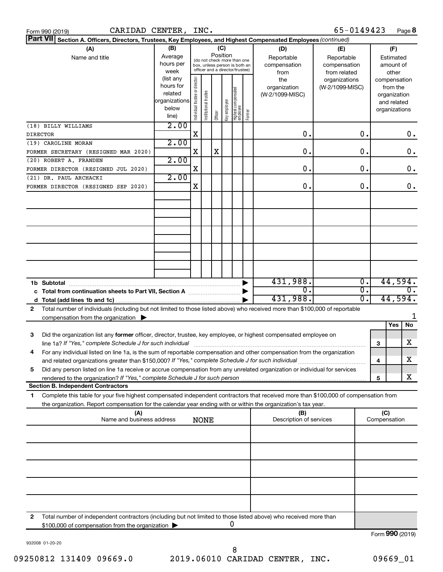| CARIDAD CENTER, INC.<br>Form 990 (2019)                                                                                                                                                                                                                                                                                                                                                                                                                                                                                                                                                                                                                                                                                                                                           |                                                                                                             |                                |                       |                |                          |                                                                                                                                        |        |                                                                                     | 65-0149423                                                                            |                     | Page 8                                                                                                             |
|-----------------------------------------------------------------------------------------------------------------------------------------------------------------------------------------------------------------------------------------------------------------------------------------------------------------------------------------------------------------------------------------------------------------------------------------------------------------------------------------------------------------------------------------------------------------------------------------------------------------------------------------------------------------------------------------------------------------------------------------------------------------------------------|-------------------------------------------------------------------------------------------------------------|--------------------------------|-----------------------|----------------|--------------------------|----------------------------------------------------------------------------------------------------------------------------------------|--------|-------------------------------------------------------------------------------------|---------------------------------------------------------------------------------------|---------------------|--------------------------------------------------------------------------------------------------------------------|
| <b>Part VII</b><br>Section A. Officers, Directors, Trustees, Key Employees, and Highest Compensated Employees (continued)                                                                                                                                                                                                                                                                                                                                                                                                                                                                                                                                                                                                                                                         |                                                                                                             |                                |                       |                |                          |                                                                                                                                        |        |                                                                                     |                                                                                       |                     |                                                                                                                    |
| (A)<br>Name and title                                                                                                                                                                                                                                                                                                                                                                                                                                                                                                                                                                                                                                                                                                                                                             | (B)<br>Average<br>hours per<br>week<br>(list any<br>hours for<br>related<br>organizations<br>below<br>line) | Individual trustee or director | Institutional trustee | (C)<br>Officer | Position<br>Key employee | (do not check more than one<br>box, unless person is both an<br>officer and a director/trustee)<br>  Highest compensated<br>  employee | Former | (D)<br>Reportable<br>compensation<br>from<br>the<br>organization<br>(W-2/1099-MISC) | (E)<br>Reportable<br>compensation<br>from related<br>organizations<br>(W-2/1099-MISC) |                     | (F)<br>Estimated<br>amount of<br>other<br>compensation<br>from the<br>organization<br>and related<br>organizations |
| (18) BILLY WILLIAMS                                                                                                                                                                                                                                                                                                                                                                                                                                                                                                                                                                                                                                                                                                                                                               | 2.00                                                                                                        |                                |                       |                |                          |                                                                                                                                        |        |                                                                                     |                                                                                       |                     |                                                                                                                    |
| <b>DIRECTOR</b>                                                                                                                                                                                                                                                                                                                                                                                                                                                                                                                                                                                                                                                                                                                                                                   |                                                                                                             | X                              |                       |                |                          |                                                                                                                                        |        | 0.                                                                                  | 0.                                                                                    |                     | $0$ .                                                                                                              |
| (19) CAROLINE MORAN                                                                                                                                                                                                                                                                                                                                                                                                                                                                                                                                                                                                                                                                                                                                                               | 2.00                                                                                                        |                                |                       |                |                          |                                                                                                                                        |        |                                                                                     |                                                                                       |                     |                                                                                                                    |
| FORMER SECRETARY (RESIGNED MAR 2020)                                                                                                                                                                                                                                                                                                                                                                                                                                                                                                                                                                                                                                                                                                                                              | 2.00                                                                                                        | X                              |                       | X              |                          |                                                                                                                                        |        | 0.                                                                                  | 0.                                                                                    |                     | 0.                                                                                                                 |
| (20) ROBERT A. FRANDEN<br>FORMER DIRECTOR (RESIGNED JUL 2020)                                                                                                                                                                                                                                                                                                                                                                                                                                                                                                                                                                                                                                                                                                                     |                                                                                                             | X                              |                       |                |                          |                                                                                                                                        |        | 0.                                                                                  | 0.                                                                                    |                     | 0.                                                                                                                 |
| (21) DR. PAUL ARCHACKI                                                                                                                                                                                                                                                                                                                                                                                                                                                                                                                                                                                                                                                                                                                                                            | 2.00                                                                                                        |                                |                       |                |                          |                                                                                                                                        |        |                                                                                     |                                                                                       |                     |                                                                                                                    |
| FORMER DIRECTOR (RESIGNED SEP 2020)                                                                                                                                                                                                                                                                                                                                                                                                                                                                                                                                                                                                                                                                                                                                               |                                                                                                             | X                              |                       |                |                          |                                                                                                                                        |        | 0.                                                                                  | 0.                                                                                    |                     | 0.                                                                                                                 |
| c Total from continuation sheets to Part VII, Section A manuscription<br>Total number of individuals (including but not limited to those listed above) who received more than \$100,000 of reportable<br>$\mathbf{2}$<br>compensation from the organization $\blacktriangleright$<br>3<br>Did the organization list any former officer, director, trustee, key employee, or highest compensated employee on<br>For any individual listed on line 1a, is the sum of reportable compensation and other compensation from the organization<br>and related organizations greater than \$150,000? If "Yes," complete Schedule J for such individual<br>Did any person listed on line 1a receive or accrue compensation from any unrelated organization or individual for services<br>5 |                                                                                                             |                                |                       |                |                          |                                                                                                                                        | ▶<br>▶ | 431,988.<br>σ.<br>431,988.                                                          | $\overline{0}$ .<br>$\overline{0}$ .<br>$\overline{0}$ .                              | 3<br>4              | 44,594.<br>$\overline{0}$ .<br>44,594.<br>Yes<br>No<br>x<br>X                                                      |
| <b>Section B. Independent Contractors</b>                                                                                                                                                                                                                                                                                                                                                                                                                                                                                                                                                                                                                                                                                                                                         |                                                                                                             |                                |                       |                |                          |                                                                                                                                        |        |                                                                                     |                                                                                       | 5                   | x                                                                                                                  |
| Complete this table for your five highest compensated independent contractors that received more than \$100,000 of compensation from<br>1.                                                                                                                                                                                                                                                                                                                                                                                                                                                                                                                                                                                                                                        |                                                                                                             |                                |                       |                |                          |                                                                                                                                        |        |                                                                                     |                                                                                       |                     |                                                                                                                    |
| the organization. Report compensation for the calendar year ending with or within the organization's tax year.                                                                                                                                                                                                                                                                                                                                                                                                                                                                                                                                                                                                                                                                    |                                                                                                             |                                |                       |                |                          |                                                                                                                                        |        |                                                                                     |                                                                                       |                     |                                                                                                                    |
| (A)<br>Name and business address                                                                                                                                                                                                                                                                                                                                                                                                                                                                                                                                                                                                                                                                                                                                                  |                                                                                                             |                                | <b>NONE</b>           |                |                          |                                                                                                                                        |        | (B)<br>Description of services                                                      |                                                                                       | (C)<br>Compensation |                                                                                                                    |
| Total number of independent contractors (including but not limited to those listed above) who received more than<br>2                                                                                                                                                                                                                                                                                                                                                                                                                                                                                                                                                                                                                                                             |                                                                                                             |                                |                       |                |                          |                                                                                                                                        |        |                                                                                     |                                                                                       |                     |                                                                                                                    |
| \$100,000 of compensation from the organization                                                                                                                                                                                                                                                                                                                                                                                                                                                                                                                                                                                                                                                                                                                                   |                                                                                                             |                                |                       |                |                          | 0                                                                                                                                      |        |                                                                                     |                                                                                       |                     |                                                                                                                    |

932008 01-20-20

Form (2019) **990**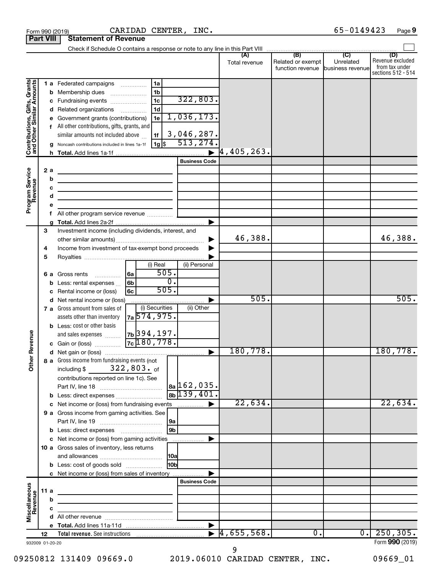| <b>Part VIII</b>                                          |             |                        | <b>Statement of Revenue</b>                                                                                                                                                                                                                                                             |                                                                                                   |                                                      |               |                                                          |           |                                                                 |
|-----------------------------------------------------------|-------------|------------------------|-----------------------------------------------------------------------------------------------------------------------------------------------------------------------------------------------------------------------------------------------------------------------------------------|---------------------------------------------------------------------------------------------------|------------------------------------------------------|---------------|----------------------------------------------------------|-----------|-----------------------------------------------------------------|
|                                                           |             |                        |                                                                                                                                                                                                                                                                                         |                                                                                                   |                                                      |               |                                                          |           |                                                                 |
|                                                           |             |                        |                                                                                                                                                                                                                                                                                         |                                                                                                   |                                                      | Total revenue | Related or exempt<br>function revenue   business revenue | Unrelated | (D)<br>Revenue excluded<br>from tax under<br>sections 512 - 514 |
| Contributions, Gifts, Grants<br>and Other Similar Amounts |             |                        | 1 a Federated campaigns<br><b>b</b> Membership dues<br>c Fundraising events<br>d Related organizations<br>e Government grants (contributions)<br>f All other contributions, gifts, grants, and<br>similar amounts not included above<br>g Noncash contributions included in lines 1a-1f | 1a<br>1b<br>$\ldots \ldots \ldots \ldots \ldots$<br>1 <sub>c</sub><br>1d<br>1e<br>1f<br>$ 1g $ \$ | 322,803.<br>1,036,173.<br>$3,046,287.$<br>$513,274.$ | $4,405,263$ . |                                                          |           |                                                                 |
|                                                           |             |                        |                                                                                                                                                                                                                                                                                         |                                                                                                   | <b>Business Code</b>                                 |               |                                                          |           |                                                                 |
| Program Service<br>Revenue                                | 2a          | b<br>c<br>d<br>е<br>f. | <u> 1989 - Johann Barbara, martin a</u><br>the control of the control of the control of the control of the control of                                                                                                                                                                   |                                                                                                   |                                                      |               |                                                          |           |                                                                 |
|                                                           | 3<br>4<br>5 |                        | Investment income (including dividends, interest, and<br>Income from investment of tax-exempt bond proceeds                                                                                                                                                                             |                                                                                                   |                                                      | 46,388.       |                                                          |           | 46,388.                                                         |
|                                                           |             |                        | 6 a Gross rents<br>$\overline{\phantom{a}}$<br><b>b</b> Less: rental expenses $\ldots$<br>c Rental income or (loss)                                                                                                                                                                     | (i) Real<br>505.<br>l 6a<br>6b<br>505.<br>6c                                                      | (ii) Personal<br>0.                                  |               |                                                          |           |                                                                 |
|                                                           |             |                        | d Net rental income or (loss)<br>7 a Gross amount from sales of<br>assets other than inventory<br><b>b</b> Less: cost or other basis<br>and sales expenses                                                                                                                              | (i) Securities<br>7a 574, 975.<br>$7b$ 394, 197.                                                  | (ii) Other                                           | 505.          |                                                          |           | 505.                                                            |
| Revenue                                                   |             |                        | c Gain or (loss)                                                                                                                                                                                                                                                                        | $7c$ 180, 778.                                                                                    |                                                      |               |                                                          |           |                                                                 |
| ৯<br>$\check{\epsilon}$                                   |             |                        | 8 a Gross income from fundraising events (not  <br>including \$<br>contributions reported on line 1c). See                                                                                                                                                                              | $322,803.$ of                                                                                     | $ a_2 162,035.$<br>$8b$ 139, 401.                    | 180,778.      |                                                          |           | 180,778.                                                        |
|                                                           |             |                        | <b>b</b> Less: direct expenses<br>c Net income or (loss) from fundraising events                                                                                                                                                                                                        |                                                                                                   |                                                      | 22,634.       |                                                          |           | 22,634.                                                         |
|                                                           |             |                        | 9 a Gross income from gaming activities. See<br><b>b</b> Less: direct expenses <b>manually</b>                                                                                                                                                                                          |                                                                                                   | 9a<br>9 <sub>b</sub>                                 |               |                                                          |           |                                                                 |
|                                                           |             |                        | c Net income or (loss) from gaming activities                                                                                                                                                                                                                                           |                                                                                                   |                                                      |               |                                                          |           |                                                                 |
|                                                           |             |                        | 10 a Gross sales of inventory, less returns<br><b>b</b> Less: cost of goods sold                                                                                                                                                                                                        |                                                                                                   | 10a <br>l10bl                                        |               |                                                          |           |                                                                 |
|                                                           |             |                        | c Net income or (loss) from sales of inventory                                                                                                                                                                                                                                          |                                                                                                   |                                                      |               |                                                          |           |                                                                 |
|                                                           |             |                        |                                                                                                                                                                                                                                                                                         |                                                                                                   | <b>Business Code</b>                                 |               |                                                          |           |                                                                 |
| Miscellaneous<br>Revenue                                  | 11 a        |                        | <u> 1989 - Johann Barbara, martin a bhann an t-Alban an t-Alban an t-Alban an t-Alban an t-Alban an t-Alban an t-</u>                                                                                                                                                                   |                                                                                                   |                                                      |               |                                                          |           |                                                                 |
|                                                           |             | b                      |                                                                                                                                                                                                                                                                                         |                                                                                                   |                                                      |               |                                                          |           |                                                                 |
|                                                           |             | c                      |                                                                                                                                                                                                                                                                                         | <u> 1980 - Johann Barbara, martxa alemaniar a</u>                                                 |                                                      |               |                                                          |           |                                                                 |
|                                                           |             |                        |                                                                                                                                                                                                                                                                                         |                                                                                                   |                                                      |               |                                                          |           |                                                                 |
|                                                           | 12          |                        |                                                                                                                                                                                                                                                                                         |                                                                                                   |                                                      | 4,655,568.    | 0.                                                       | 0.1       | 250, 305.                                                       |
| 932009 01-20-20                                           |             |                        |                                                                                                                                                                                                                                                                                         |                                                                                                   |                                                      |               |                                                          |           | Form 990 (2019)                                                 |

Form 990 (2019)  $CARTDAD \text{ } CENTER$ ,  $INC.$  65-0149423 Page

9

65-0149423 Page 9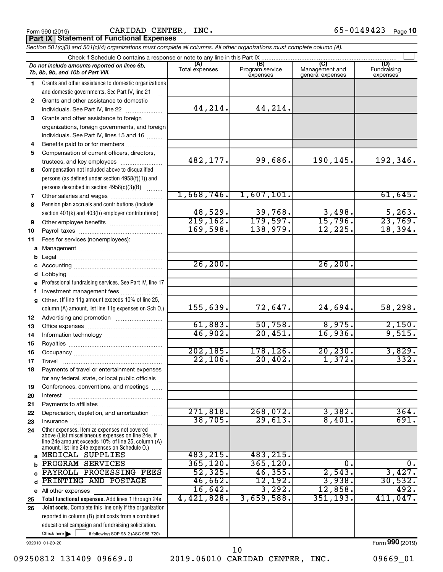|              | CARIDAD CENTER, INC.<br>Form 990 (2019)                                                                                                                                  |                       |                                    |                                           | 65-0149423 Page 10             |
|--------------|--------------------------------------------------------------------------------------------------------------------------------------------------------------------------|-----------------------|------------------------------------|-------------------------------------------|--------------------------------|
|              | Part IX   Statement of Functional Expenses<br>Section 501(c)(3) and 501(c)(4) organizations must complete all columns. All other organizations must complete column (A). |                       |                                    |                                           |                                |
|              | Check if Schedule O contains a response or note to any line in this Part IX                                                                                              |                       |                                    |                                           |                                |
|              | Do not include amounts reported on lines 6b,<br>7b, 8b, 9b, and 10b of Part VIII.                                                                                        | (A)<br>Total expenses | (B)<br>Program service<br>expenses | (C)<br>Management and<br>general expenses | (D)<br>Fundraising<br>expenses |
| 1            | Grants and other assistance to domestic organizations<br>and domestic governments. See Part IV, line 21                                                                  |                       |                                    |                                           |                                |
| $\mathbf{2}$ | Grants and other assistance to domestic                                                                                                                                  | 44,214.               | 44,214.                            |                                           |                                |
| 3            | Grants and other assistance to foreign<br>organizations, foreign governments, and foreign<br>individuals. See Part IV, lines 15 and 16                                   |                       |                                    |                                           |                                |
| 4            | Benefits paid to or for members                                                                                                                                          |                       |                                    |                                           |                                |
| 5            | Compensation of current officers, directors,                                                                                                                             | 482,177.              | 99,686.                            | 190,145.                                  | 192,346.                       |
| 6            | Compensation not included above to disqualified<br>persons (as defined under section 4958(f)(1)) and<br>persons described in section 4958(c)(3)(B)                       |                       |                                    |                                           |                                |
| 7            |                                                                                                                                                                          | 1,668,746.            | 1,607,101.                         |                                           | 61,645.                        |
| 8            | Pension plan accruals and contributions (include<br>section 401(k) and 403(b) employer contributions)                                                                    | 48,529.               | 39,768.                            | 3,498.                                    | 5, 263.                        |
| 9            |                                                                                                                                                                          | 219, 162.             | 179,597.                           | 15,796.                                   | 23,769.                        |
| 10           |                                                                                                                                                                          | 169,598.              | 138,979.                           | 12,225.                                   | 18,394.                        |
| 11<br>a      | Fees for services (nonemployees):                                                                                                                                        |                       |                                    |                                           |                                |
| b            |                                                                                                                                                                          | 26, 200.              |                                    | 26, 200.                                  |                                |
|              |                                                                                                                                                                          |                       |                                    |                                           |                                |
|              | e Professional fundraising services. See Part IV, line 17                                                                                                                |                       |                                    |                                           |                                |
| f            | Investment management fees                                                                                                                                               |                       |                                    |                                           |                                |
| g            | Other. (If line 11g amount exceeds 10% of line 25,<br>column (A) amount, list line 11g expenses on Sch 0.)                                                               | 155,639.              | 72,647.                            | 24,694.                                   | 58,298.                        |
| 12           |                                                                                                                                                                          |                       |                                    |                                           |                                |
| 13           |                                                                                                                                                                          | 61,883.               | 50,758.                            | 8,975.                                    | 2,150.                         |
| 14           |                                                                                                                                                                          | 46,902.               | 20,451.                            | 16,936.                                   | 9,515.                         |
| 15           | Royalties                                                                                                                                                                |                       |                                    |                                           |                                |

932010 01-20-20

Check here  $\blacktriangleright$ 

**16 17 18**

**a b c d e 25 26**

Insurance

All other expenses

Check here  $\begin{array}{c} \begin{array}{|c} \hline \end{array} \end{array}$  if following SOP 98-2 (ASC 958-720)

reported in column (B) joint costs from a combined educational campaign and fundraising solicitation.

**Total functional expenses.**  Add lines 1 through 24e **Joint costs.** Complete this line only if the organization

Other expenses. Itemize expenses not covered above (List miscellaneous expenses on line 24e. If line 24e amount exceeds 10% of line 25, column (A) amount, list line 24e expenses on Schedule O.)

~~~~~~~~~~~~~~~~~

MEDICAL SUPPLIES 483, 215. 483, 215.

Occupancy  $~\dots$   $~\dots$   $~\dots$   $~\dots$   $~\dots$   $~\dots$   $~\dots$  $\begin{minipage}{0.5\textwidth} \centering \begin{tabular}{|c|c|c|} \hline \textbf{True} & \textbf{True} & \textbf{True} & \textbf{True} \\ \hline \textbf{True} & \textbf{True} & \textbf{True} & \textbf{True} \\ \hline \textbf{True} & \textbf{True} & \textbf{True} & \textbf{True} \\ \hline \end{tabular} \end{minipage}$ Payments of travel or entertainment expenses for any federal, state, or local public officials ... Conferences, conventions, and meetings ...... Interest ~~~~~~~~~~~~~~~~~~ Payments to affiliates ~~~~~~~~~~~~ Depreciation, depletion, and amortization ......

09250812 131409 09669.0 2019.06010 CARIDAD CENTER, INC. 09669\_01 10

PROGRAM SERVICES 365,120. 365,120. 0. 0. PAYROLL PROCESSING FEES 52,325. 46,355. 2,543. 3,427. PRINTING AND POSTAGE 46,662. 12,192. 3,938. 30,532.

 $202, 185.$  178,126. 20,230. 3,829. 22,106. 20,402. 1,372. 332.

 $271,818.$   $268,072.$   $3,382.$   $364.$ 38,705. 29,613. 8,401. 691.

16,642. 3,292. 12,858. 492. 4,421,828. 3,659,588. 351,193. 411,047.

Form (2019) **990**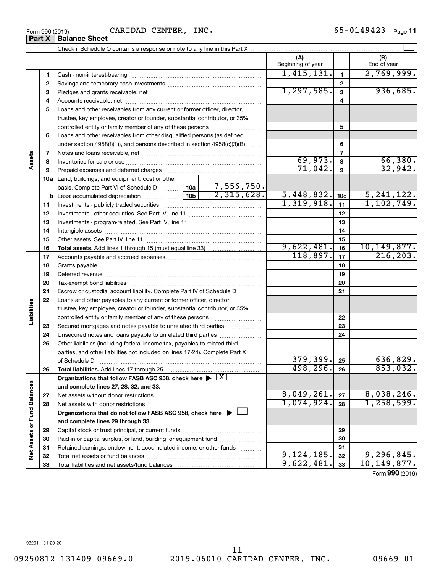|                             |    |                                                                                                        |              |                         | (A)<br>Beginning of year |                 | (B)<br>End of year             |
|-----------------------------|----|--------------------------------------------------------------------------------------------------------|--------------|-------------------------|--------------------------|-----------------|--------------------------------|
|                             | 1  |                                                                                                        |              |                         | 1,415,131.               | $\mathbf{1}$    | 2,769,999.                     |
|                             | 2  |                                                                                                        |              | $\mathbf{2}$            |                          |                 |                                |
|                             | з  |                                                                                                        | 1, 297, 585. | $\overline{\mathbf{3}}$ | 936,685.                 |                 |                                |
|                             | 4  |                                                                                                        |              |                         | $\overline{\mathbf{4}}$  |                 |                                |
|                             | 5  | Loans and other receivables from any current or former officer, director,                              |              |                         |                          |                 |                                |
|                             |    | trustee, key employee, creator or founder, substantial contributor, or 35%                             |              |                         |                          |                 |                                |
|                             |    |                                                                                                        |              | 5                       |                          |                 |                                |
|                             | 6  | Loans and other receivables from other disqualified persons (as defined                                |              |                         |                          |                 |                                |
|                             |    | under section $4958(f)(1)$ , and persons described in section $4958(c)(3)(B)$                          |              | $\ldots$                |                          | 6               |                                |
|                             | 7  |                                                                                                        |              |                         |                          | $\overline{7}$  |                                |
| Assets                      | 8  |                                                                                                        |              |                         | 69,973.                  | 8               | 66,380.                        |
|                             | 9  | Prepaid expenses and deferred charges                                                                  |              |                         | 71,042.                  | $\mathbf{9}$    | 32,942.                        |
|                             |    | 10a Land, buildings, and equipment: cost or other                                                      |              |                         |                          |                 |                                |
|                             |    | basis. Complete Part VI of Schedule D  10a                                                             |              | 7,556,750.              |                          |                 |                                |
|                             |    |                                                                                                        |              | $\overline{2,315,628.}$ | 5,448,832.               | 10 <sub>c</sub> | 5, 241, 122.                   |
|                             | 11 |                                                                                                        | 1,319,918.   | 11                      | 1,102,749.               |                 |                                |
|                             | 12 |                                                                                                        |              | 12                      |                          |                 |                                |
|                             | 13 |                                                                                                        |              | 13                      |                          |                 |                                |
|                             | 14 |                                                                                                        |              | 14                      |                          |                 |                                |
|                             | 15 |                                                                                                        |              | 15                      |                          |                 |                                |
|                             | 16 |                                                                                                        |              |                         | 9,622,481.               | 16              | $\frac{10,149,877.}{216,203.}$ |
|                             | 17 |                                                                                                        |              |                         | 118,897.                 | 17              |                                |
|                             | 18 |                                                                                                        |              | 18                      |                          |                 |                                |
|                             | 19 |                                                                                                        |              | 19                      |                          |                 |                                |
|                             | 20 |                                                                                                        |              |                         | 20                       |                 |                                |
|                             | 21 | Escrow or custodial account liability. Complete Part IV of Schedule D                                  |              |                         |                          | 21              |                                |
|                             | 22 | Loans and other payables to any current or former officer, director,                                   |              |                         |                          |                 |                                |
| Liabilities                 |    | trustee, key employee, creator or founder, substantial contributor, or 35%                             |              |                         |                          |                 |                                |
|                             |    | controlled entity or family member of any of these persons                                             |              |                         |                          | 22              |                                |
|                             | 23 | Secured mortgages and notes payable to unrelated third parties                                         |              |                         |                          | 23              |                                |
|                             | 24 | Unsecured notes and loans payable to unrelated third parties                                           |              |                         |                          | 24              |                                |
|                             | 25 | Other liabilities (including federal income tax, payables to related third                             |              |                         |                          |                 |                                |
|                             |    | parties, and other liabilities not included on lines 17-24). Complete Part X                           |              |                         |                          |                 |                                |
|                             |    | of Schedule D                                                                                          |              |                         | 379,399.                 | 25              | 636,829.                       |
|                             | 26 | Total liabilities. Add lines 17 through 25                                                             |              |                         | 498, 296.                | $\overline{26}$ | 853,032.                       |
|                             |    | Organizations that follow FASB ASC 958, check here $\blacktriangleright \lfloor \underline{X} \rfloor$ |              |                         |                          |                 |                                |
|                             |    | and complete lines 27, 28, 32, and 33.                                                                 |              |                         |                          |                 |                                |
|                             | 27 |                                                                                                        |              |                         | 8,049,261.               | 27              | 8,038,246.                     |
|                             | 28 |                                                                                                        |              | 1,074,924.              | 28                       | 1,258,599.      |                                |
|                             |    | Organizations that do not follow FASB ASC 958, check here $\blacktriangleright \Box$                   |              |                         |                          |                 |                                |
|                             |    | and complete lines 29 through 33.                                                                      |              |                         |                          |                 |                                |
|                             | 29 |                                                                                                        |              |                         |                          | 29              |                                |
| Net Assets or Fund Balances | 30 | Paid-in or capital surplus, or land, building, or equipment fund                                       |              |                         |                          | 30              |                                |
|                             | 31 | Retained earnings, endowment, accumulated income, or other funds                                       |              |                         |                          | 31              |                                |
|                             | 32 |                                                                                                        |              |                         | 9,124,185.               | 32              | 9,296,845.                     |
|                             | 33 |                                                                                                        |              |                         | 9,622,481.               | 33              | 10, 149, 877.                  |

Form (2019) **990**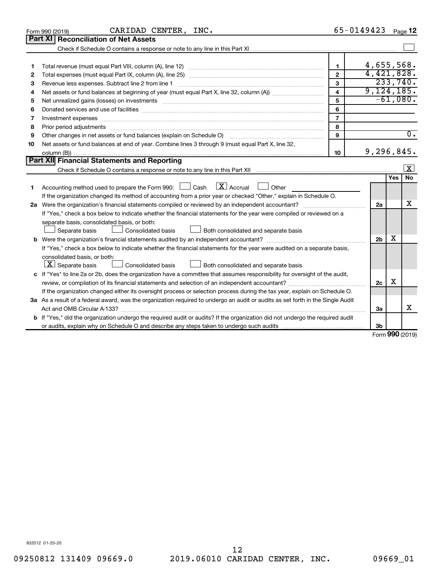| Part XI<br><b>Reconciliation of Net Assets</b><br>4,655,568.<br>$\mathbf{1}$<br>1<br>4,421,828.<br>$\mathbf{2}$<br>2<br>233,740.<br>3<br>з<br>9,124,185.<br>$\overline{\mathbf{4}}$<br>4<br>$-61,080.$<br>5<br>5<br>6<br>6<br>$\overline{7}$<br>Investment expenses www.communication.com/www.communication.com/www.communication.com/www.com<br>7<br>8<br>Prior period adjustments material contents and content of the content of the content of the content of the content of the content of the content of the content of the content of the content of the content of the content of<br>8<br>$\overline{0}$ .<br>Other changes in net assets or fund balances (explain on Schedule O)<br>9<br>9<br>Net assets or fund balances at end of year. Combine lines 3 through 9 (must equal Part X, line 32,<br>10<br>9,296,845.<br>10<br>Part XII Financial Statements and Reporting<br>  x  <br>Yes<br>No.<br>$\lfloor x \rfloor$ Accrual<br>Accounting method used to prepare the Form 990: $\Box$ Cash<br>$\Box$ Other<br>1.<br>If the organization changed its method of accounting from a prior year or checked "Other," explain in Schedule O.<br>x<br>2a<br>If "Yes," check a box below to indicate whether the financial statements for the year were compiled or reviewed on a<br>separate basis, consolidated basis, or both:<br>Both consolidated and separate basis<br>Separate basis<br>Consolidated basis<br>x<br>2 <sub>b</sub><br>If "Yes," check a box below to indicate whether the financial statements for the year were audited on a separate basis,<br>consolidated basis, or both:<br>$ \mathbf{X} $ Separate basis<br><b>Consolidated basis</b><br>Both consolidated and separate basis<br>c If "Yes" to line 2a or 2b, does the organization have a committee that assumes responsibility for oversight of the audit,<br>х<br>2c<br>If the organization changed either its oversight process or selection process during the tax year, explain on Schedule O.<br>3a As a result of a federal award, was the organization required to undergo an audit or audits as set forth in the Single Audit<br>x<br>За<br><b>b</b> If "Yes," did the organization undergo the required audit or audits? If the organization did not undergo the required audit<br>3b<br>$000 \text{$ | CARIDAD CENTER, INC.<br>Form 990 (2019) | 65-0149423 |  | Page 12 |
|---------------------------------------------------------------------------------------------------------------------------------------------------------------------------------------------------------------------------------------------------------------------------------------------------------------------------------------------------------------------------------------------------------------------------------------------------------------------------------------------------------------------------------------------------------------------------------------------------------------------------------------------------------------------------------------------------------------------------------------------------------------------------------------------------------------------------------------------------------------------------------------------------------------------------------------------------------------------------------------------------------------------------------------------------------------------------------------------------------------------------------------------------------------------------------------------------------------------------------------------------------------------------------------------------------------------------------------------------------------------------------------------------------------------------------------------------------------------------------------------------------------------------------------------------------------------------------------------------------------------------------------------------------------------------------------------------------------------------------------------------------------------------------------------------------------------------------------------------------------------------------------------------------------------------------------------------------------------------------------------------------------------------------------------------------------------------------------------------------------------------------------------------------------------------------------------------------------------------------------------------------------------------------------------------|-----------------------------------------|------------|--|---------|
|                                                                                                                                                                                                                                                                                                                                                                                                                                                                                                                                                                                                                                                                                                                                                                                                                                                                                                                                                                                                                                                                                                                                                                                                                                                                                                                                                                                                                                                                                                                                                                                                                                                                                                                                                                                                                                                                                                                                                                                                                                                                                                                                                                                                                                                                                                   |                                         |            |  |         |
|                                                                                                                                                                                                                                                                                                                                                                                                                                                                                                                                                                                                                                                                                                                                                                                                                                                                                                                                                                                                                                                                                                                                                                                                                                                                                                                                                                                                                                                                                                                                                                                                                                                                                                                                                                                                                                                                                                                                                                                                                                                                                                                                                                                                                                                                                                   |                                         |            |  |         |
|                                                                                                                                                                                                                                                                                                                                                                                                                                                                                                                                                                                                                                                                                                                                                                                                                                                                                                                                                                                                                                                                                                                                                                                                                                                                                                                                                                                                                                                                                                                                                                                                                                                                                                                                                                                                                                                                                                                                                                                                                                                                                                                                                                                                                                                                                                   |                                         |            |  |         |
|                                                                                                                                                                                                                                                                                                                                                                                                                                                                                                                                                                                                                                                                                                                                                                                                                                                                                                                                                                                                                                                                                                                                                                                                                                                                                                                                                                                                                                                                                                                                                                                                                                                                                                                                                                                                                                                                                                                                                                                                                                                                                                                                                                                                                                                                                                   |                                         |            |  |         |
|                                                                                                                                                                                                                                                                                                                                                                                                                                                                                                                                                                                                                                                                                                                                                                                                                                                                                                                                                                                                                                                                                                                                                                                                                                                                                                                                                                                                                                                                                                                                                                                                                                                                                                                                                                                                                                                                                                                                                                                                                                                                                                                                                                                                                                                                                                   |                                         |            |  |         |
|                                                                                                                                                                                                                                                                                                                                                                                                                                                                                                                                                                                                                                                                                                                                                                                                                                                                                                                                                                                                                                                                                                                                                                                                                                                                                                                                                                                                                                                                                                                                                                                                                                                                                                                                                                                                                                                                                                                                                                                                                                                                                                                                                                                                                                                                                                   |                                         |            |  |         |
|                                                                                                                                                                                                                                                                                                                                                                                                                                                                                                                                                                                                                                                                                                                                                                                                                                                                                                                                                                                                                                                                                                                                                                                                                                                                                                                                                                                                                                                                                                                                                                                                                                                                                                                                                                                                                                                                                                                                                                                                                                                                                                                                                                                                                                                                                                   |                                         |            |  |         |
|                                                                                                                                                                                                                                                                                                                                                                                                                                                                                                                                                                                                                                                                                                                                                                                                                                                                                                                                                                                                                                                                                                                                                                                                                                                                                                                                                                                                                                                                                                                                                                                                                                                                                                                                                                                                                                                                                                                                                                                                                                                                                                                                                                                                                                                                                                   |                                         |            |  |         |
|                                                                                                                                                                                                                                                                                                                                                                                                                                                                                                                                                                                                                                                                                                                                                                                                                                                                                                                                                                                                                                                                                                                                                                                                                                                                                                                                                                                                                                                                                                                                                                                                                                                                                                                                                                                                                                                                                                                                                                                                                                                                                                                                                                                                                                                                                                   |                                         |            |  |         |
|                                                                                                                                                                                                                                                                                                                                                                                                                                                                                                                                                                                                                                                                                                                                                                                                                                                                                                                                                                                                                                                                                                                                                                                                                                                                                                                                                                                                                                                                                                                                                                                                                                                                                                                                                                                                                                                                                                                                                                                                                                                                                                                                                                                                                                                                                                   |                                         |            |  |         |
|                                                                                                                                                                                                                                                                                                                                                                                                                                                                                                                                                                                                                                                                                                                                                                                                                                                                                                                                                                                                                                                                                                                                                                                                                                                                                                                                                                                                                                                                                                                                                                                                                                                                                                                                                                                                                                                                                                                                                                                                                                                                                                                                                                                                                                                                                                   |                                         |            |  |         |
|                                                                                                                                                                                                                                                                                                                                                                                                                                                                                                                                                                                                                                                                                                                                                                                                                                                                                                                                                                                                                                                                                                                                                                                                                                                                                                                                                                                                                                                                                                                                                                                                                                                                                                                                                                                                                                                                                                                                                                                                                                                                                                                                                                                                                                                                                                   |                                         |            |  |         |
|                                                                                                                                                                                                                                                                                                                                                                                                                                                                                                                                                                                                                                                                                                                                                                                                                                                                                                                                                                                                                                                                                                                                                                                                                                                                                                                                                                                                                                                                                                                                                                                                                                                                                                                                                                                                                                                                                                                                                                                                                                                                                                                                                                                                                                                                                                   |                                         |            |  |         |
|                                                                                                                                                                                                                                                                                                                                                                                                                                                                                                                                                                                                                                                                                                                                                                                                                                                                                                                                                                                                                                                                                                                                                                                                                                                                                                                                                                                                                                                                                                                                                                                                                                                                                                                                                                                                                                                                                                                                                                                                                                                                                                                                                                                                                                                                                                   |                                         |            |  |         |
|                                                                                                                                                                                                                                                                                                                                                                                                                                                                                                                                                                                                                                                                                                                                                                                                                                                                                                                                                                                                                                                                                                                                                                                                                                                                                                                                                                                                                                                                                                                                                                                                                                                                                                                                                                                                                                                                                                                                                                                                                                                                                                                                                                                                                                                                                                   |                                         |            |  |         |
|                                                                                                                                                                                                                                                                                                                                                                                                                                                                                                                                                                                                                                                                                                                                                                                                                                                                                                                                                                                                                                                                                                                                                                                                                                                                                                                                                                                                                                                                                                                                                                                                                                                                                                                                                                                                                                                                                                                                                                                                                                                                                                                                                                                                                                                                                                   |                                         |            |  |         |
|                                                                                                                                                                                                                                                                                                                                                                                                                                                                                                                                                                                                                                                                                                                                                                                                                                                                                                                                                                                                                                                                                                                                                                                                                                                                                                                                                                                                                                                                                                                                                                                                                                                                                                                                                                                                                                                                                                                                                                                                                                                                                                                                                                                                                                                                                                   |                                         |            |  |         |
|                                                                                                                                                                                                                                                                                                                                                                                                                                                                                                                                                                                                                                                                                                                                                                                                                                                                                                                                                                                                                                                                                                                                                                                                                                                                                                                                                                                                                                                                                                                                                                                                                                                                                                                                                                                                                                                                                                                                                                                                                                                                                                                                                                                                                                                                                                   |                                         |            |  |         |
|                                                                                                                                                                                                                                                                                                                                                                                                                                                                                                                                                                                                                                                                                                                                                                                                                                                                                                                                                                                                                                                                                                                                                                                                                                                                                                                                                                                                                                                                                                                                                                                                                                                                                                                                                                                                                                                                                                                                                                                                                                                                                                                                                                                                                                                                                                   |                                         |            |  |         |
|                                                                                                                                                                                                                                                                                                                                                                                                                                                                                                                                                                                                                                                                                                                                                                                                                                                                                                                                                                                                                                                                                                                                                                                                                                                                                                                                                                                                                                                                                                                                                                                                                                                                                                                                                                                                                                                                                                                                                                                                                                                                                                                                                                                                                                                                                                   |                                         |            |  |         |
|                                                                                                                                                                                                                                                                                                                                                                                                                                                                                                                                                                                                                                                                                                                                                                                                                                                                                                                                                                                                                                                                                                                                                                                                                                                                                                                                                                                                                                                                                                                                                                                                                                                                                                                                                                                                                                                                                                                                                                                                                                                                                                                                                                                                                                                                                                   |                                         |            |  |         |
|                                                                                                                                                                                                                                                                                                                                                                                                                                                                                                                                                                                                                                                                                                                                                                                                                                                                                                                                                                                                                                                                                                                                                                                                                                                                                                                                                                                                                                                                                                                                                                                                                                                                                                                                                                                                                                                                                                                                                                                                                                                                                                                                                                                                                                                                                                   |                                         |            |  |         |
|                                                                                                                                                                                                                                                                                                                                                                                                                                                                                                                                                                                                                                                                                                                                                                                                                                                                                                                                                                                                                                                                                                                                                                                                                                                                                                                                                                                                                                                                                                                                                                                                                                                                                                                                                                                                                                                                                                                                                                                                                                                                                                                                                                                                                                                                                                   |                                         |            |  |         |
|                                                                                                                                                                                                                                                                                                                                                                                                                                                                                                                                                                                                                                                                                                                                                                                                                                                                                                                                                                                                                                                                                                                                                                                                                                                                                                                                                                                                                                                                                                                                                                                                                                                                                                                                                                                                                                                                                                                                                                                                                                                                                                                                                                                                                                                                                                   |                                         |            |  |         |
|                                                                                                                                                                                                                                                                                                                                                                                                                                                                                                                                                                                                                                                                                                                                                                                                                                                                                                                                                                                                                                                                                                                                                                                                                                                                                                                                                                                                                                                                                                                                                                                                                                                                                                                                                                                                                                                                                                                                                                                                                                                                                                                                                                                                                                                                                                   |                                         |            |  |         |
|                                                                                                                                                                                                                                                                                                                                                                                                                                                                                                                                                                                                                                                                                                                                                                                                                                                                                                                                                                                                                                                                                                                                                                                                                                                                                                                                                                                                                                                                                                                                                                                                                                                                                                                                                                                                                                                                                                                                                                                                                                                                                                                                                                                                                                                                                                   |                                         |            |  |         |
|                                                                                                                                                                                                                                                                                                                                                                                                                                                                                                                                                                                                                                                                                                                                                                                                                                                                                                                                                                                                                                                                                                                                                                                                                                                                                                                                                                                                                                                                                                                                                                                                                                                                                                                                                                                                                                                                                                                                                                                                                                                                                                                                                                                                                                                                                                   |                                         |            |  |         |
|                                                                                                                                                                                                                                                                                                                                                                                                                                                                                                                                                                                                                                                                                                                                                                                                                                                                                                                                                                                                                                                                                                                                                                                                                                                                                                                                                                                                                                                                                                                                                                                                                                                                                                                                                                                                                                                                                                                                                                                                                                                                                                                                                                                                                                                                                                   |                                         |            |  |         |
|                                                                                                                                                                                                                                                                                                                                                                                                                                                                                                                                                                                                                                                                                                                                                                                                                                                                                                                                                                                                                                                                                                                                                                                                                                                                                                                                                                                                                                                                                                                                                                                                                                                                                                                                                                                                                                                                                                                                                                                                                                                                                                                                                                                                                                                                                                   |                                         |            |  |         |
|                                                                                                                                                                                                                                                                                                                                                                                                                                                                                                                                                                                                                                                                                                                                                                                                                                                                                                                                                                                                                                                                                                                                                                                                                                                                                                                                                                                                                                                                                                                                                                                                                                                                                                                                                                                                                                                                                                                                                                                                                                                                                                                                                                                                                                                                                                   |                                         |            |  |         |
|                                                                                                                                                                                                                                                                                                                                                                                                                                                                                                                                                                                                                                                                                                                                                                                                                                                                                                                                                                                                                                                                                                                                                                                                                                                                                                                                                                                                                                                                                                                                                                                                                                                                                                                                                                                                                                                                                                                                                                                                                                                                                                                                                                                                                                                                                                   |                                         |            |  |         |
|                                                                                                                                                                                                                                                                                                                                                                                                                                                                                                                                                                                                                                                                                                                                                                                                                                                                                                                                                                                                                                                                                                                                                                                                                                                                                                                                                                                                                                                                                                                                                                                                                                                                                                                                                                                                                                                                                                                                                                                                                                                                                                                                                                                                                                                                                                   |                                         |            |  |         |
|                                                                                                                                                                                                                                                                                                                                                                                                                                                                                                                                                                                                                                                                                                                                                                                                                                                                                                                                                                                                                                                                                                                                                                                                                                                                                                                                                                                                                                                                                                                                                                                                                                                                                                                                                                                                                                                                                                                                                                                                                                                                                                                                                                                                                                                                                                   |                                         |            |  |         |
|                                                                                                                                                                                                                                                                                                                                                                                                                                                                                                                                                                                                                                                                                                                                                                                                                                                                                                                                                                                                                                                                                                                                                                                                                                                                                                                                                                                                                                                                                                                                                                                                                                                                                                                                                                                                                                                                                                                                                                                                                                                                                                                                                                                                                                                                                                   |                                         |            |  |         |

Form (2019) **990**

932012 01-20-20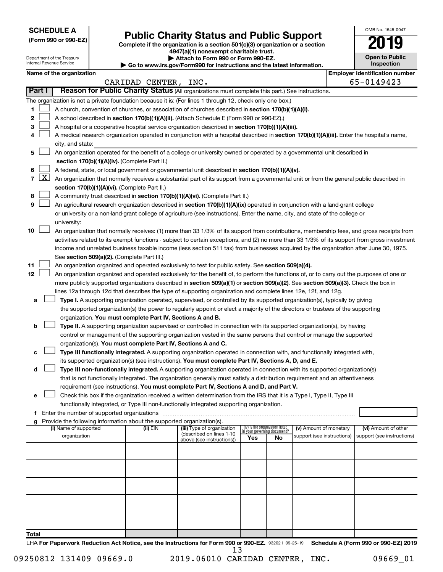**SCHEDULE A**

Department of the Treasury

## **Public Charity Status and Public Support**

**(Form 990 or 990-EZ) Complete if the organization is a section 501(c)(3) organization or a section**

**4947(a)(1) nonexempt charitable trust. | Attach to Form 990 or Form 990-EZ.** 

| <b>Open to Public</b><br>Inspection |
|-------------------------------------|
| r identification numbe              |

OMB No. 1545-0047

| Internal Revenue Service<br>Inspection<br>Go to www.irs.gov/Form990 for instructions and the latest information. |                                                                                                           |                                             |  |                                                                                    |                                                                                                                                               |     |                                                                      |                                       |  |                            |
|------------------------------------------------------------------------------------------------------------------|-----------------------------------------------------------------------------------------------------------|---------------------------------------------|--|------------------------------------------------------------------------------------|-----------------------------------------------------------------------------------------------------------------------------------------------|-----|----------------------------------------------------------------------|---------------------------------------|--|----------------------------|
| Name of the organization                                                                                         |                                                                                                           |                                             |  |                                                                                    |                                                                                                                                               |     |                                                                      | <b>Employer identification number</b> |  |                            |
|                                                                                                                  |                                                                                                           |                                             |  | CARIDAD CENTER, INC.                                                               |                                                                                                                                               |     |                                                                      |                                       |  | 65-0149423                 |
|                                                                                                                  | Reason for Public Charity Status (All organizations must complete this part.) See instructions.<br>Part I |                                             |  |                                                                                    |                                                                                                                                               |     |                                                                      |                                       |  |                            |
|                                                                                                                  |                                                                                                           |                                             |  |                                                                                    | The organization is not a private foundation because it is: (For lines 1 through 12, check only one box.)                                     |     |                                                                      |                                       |  |                            |
| 1                                                                                                                |                                                                                                           |                                             |  |                                                                                    | A church, convention of churches, or association of churches described in section 170(b)(1)(A)(i).                                            |     |                                                                      |                                       |  |                            |
| 2                                                                                                                |                                                                                                           |                                             |  |                                                                                    | A school described in section 170(b)(1)(A)(ii). (Attach Schedule E (Form 990 or 990-EZ).)                                                     |     |                                                                      |                                       |  |                            |
| 3                                                                                                                |                                                                                                           |                                             |  |                                                                                    | A hospital or a cooperative hospital service organization described in section 170(b)(1)(A)(iii).                                             |     |                                                                      |                                       |  |                            |
| 4                                                                                                                |                                                                                                           |                                             |  |                                                                                    | A medical research organization operated in conjunction with a hospital described in section 170(b)(1)(A)(iii). Enter the hospital's name,    |     |                                                                      |                                       |  |                            |
|                                                                                                                  |                                                                                                           | city, and state:                            |  |                                                                                    |                                                                                                                                               |     |                                                                      |                                       |  |                            |
| 5                                                                                                                |                                                                                                           |                                             |  |                                                                                    | An organization operated for the benefit of a college or university owned or operated by a governmental unit described in                     |     |                                                                      |                                       |  |                            |
|                                                                                                                  |                                                                                                           |                                             |  | section 170(b)(1)(A)(iv). (Complete Part II.)                                      |                                                                                                                                               |     |                                                                      |                                       |  |                            |
| 6                                                                                                                |                                                                                                           |                                             |  |                                                                                    | A federal, state, or local government or governmental unit described in section 170(b)(1)(A)(v).                                              |     |                                                                      |                                       |  |                            |
| 7                                                                                                                |                                                                                                           |                                             |  |                                                                                    | $X$ An organization that normally receives a substantial part of its support from a governmental unit or from the general public described in |     |                                                                      |                                       |  |                            |
|                                                                                                                  |                                                                                                           |                                             |  | section 170(b)(1)(A)(vi). (Complete Part II.)                                      |                                                                                                                                               |     |                                                                      |                                       |  |                            |
| 8                                                                                                                |                                                                                                           |                                             |  |                                                                                    | A community trust described in section 170(b)(1)(A)(vi). (Complete Part II.)                                                                  |     |                                                                      |                                       |  |                            |
| 9                                                                                                                |                                                                                                           |                                             |  |                                                                                    | An agricultural research organization described in section 170(b)(1)(A)(ix) operated in conjunction with a land-grant college                 |     |                                                                      |                                       |  |                            |
|                                                                                                                  |                                                                                                           |                                             |  |                                                                                    | or university or a non-land-grant college of agriculture (see instructions). Enter the name, city, and state of the college or                |     |                                                                      |                                       |  |                            |
|                                                                                                                  |                                                                                                           | university:                                 |  |                                                                                    |                                                                                                                                               |     |                                                                      |                                       |  |                            |
| 10                                                                                                               |                                                                                                           |                                             |  |                                                                                    | An organization that normally receives: (1) more than 33 1/3% of its support from contributions, membership fees, and gross receipts from     |     |                                                                      |                                       |  |                            |
|                                                                                                                  |                                                                                                           |                                             |  |                                                                                    | activities related to its exempt functions - subject to certain exceptions, and (2) no more than 33 1/3% of its support from gross investment |     |                                                                      |                                       |  |                            |
|                                                                                                                  |                                                                                                           |                                             |  |                                                                                    | income and unrelated business taxable income (less section 511 tax) from businesses acquired by the organization after June 30, 1975.         |     |                                                                      |                                       |  |                            |
| 11                                                                                                               |                                                                                                           |                                             |  | See section 509(a)(2). (Complete Part III.)                                        | An organization organized and operated exclusively to test for public safety. See section 509(a)(4).                                          |     |                                                                      |                                       |  |                            |
| 12                                                                                                               |                                                                                                           |                                             |  |                                                                                    | An organization organized and operated exclusively for the benefit of, to perform the functions of, or to carry out the purposes of one or    |     |                                                                      |                                       |  |                            |
|                                                                                                                  |                                                                                                           |                                             |  |                                                                                    | more publicly supported organizations described in section 509(a)(1) or section 509(a)(2). See section 509(a)(3). Check the box in            |     |                                                                      |                                       |  |                            |
|                                                                                                                  |                                                                                                           |                                             |  |                                                                                    | lines 12a through 12d that describes the type of supporting organization and complete lines 12e, 12f, and 12g.                                |     |                                                                      |                                       |  |                            |
| а                                                                                                                |                                                                                                           |                                             |  |                                                                                    | Type I. A supporting organization operated, supervised, or controlled by its supported organization(s), typically by giving                   |     |                                                                      |                                       |  |                            |
|                                                                                                                  |                                                                                                           |                                             |  |                                                                                    | the supported organization(s) the power to regularly appoint or elect a majority of the directors or trustees of the supporting               |     |                                                                      |                                       |  |                            |
|                                                                                                                  |                                                                                                           |                                             |  | organization. You must complete Part IV, Sections A and B.                         |                                                                                                                                               |     |                                                                      |                                       |  |                            |
| b                                                                                                                |                                                                                                           |                                             |  |                                                                                    | Type II. A supporting organization supervised or controlled in connection with its supported organization(s), by having                       |     |                                                                      |                                       |  |                            |
|                                                                                                                  |                                                                                                           |                                             |  |                                                                                    | control or management of the supporting organization vested in the same persons that control or manage the supported                          |     |                                                                      |                                       |  |                            |
|                                                                                                                  |                                                                                                           |                                             |  | organization(s). You must complete Part IV, Sections A and C.                      |                                                                                                                                               |     |                                                                      |                                       |  |                            |
| с                                                                                                                |                                                                                                           |                                             |  |                                                                                    | Type III functionally integrated. A supporting organization operated in connection with, and functionally integrated with,                    |     |                                                                      |                                       |  |                            |
|                                                                                                                  |                                                                                                           |                                             |  |                                                                                    | its supported organization(s) (see instructions). You must complete Part IV, Sections A, D, and E.                                            |     |                                                                      |                                       |  |                            |
| d                                                                                                                |                                                                                                           |                                             |  |                                                                                    | Type III non-functionally integrated. A supporting organization operated in connection with its supported organization(s)                     |     |                                                                      |                                       |  |                            |
|                                                                                                                  |                                                                                                           |                                             |  |                                                                                    | that is not functionally integrated. The organization generally must satisfy a distribution requirement and an attentiveness                  |     |                                                                      |                                       |  |                            |
|                                                                                                                  |                                                                                                           |                                             |  |                                                                                    | requirement (see instructions). You must complete Part IV, Sections A and D, and Part V.                                                      |     |                                                                      |                                       |  |                            |
| е                                                                                                                |                                                                                                           |                                             |  |                                                                                    | Check this box if the organization received a written determination from the IRS that it is a Type I, Type II, Type III                       |     |                                                                      |                                       |  |                            |
|                                                                                                                  |                                                                                                           |                                             |  |                                                                                    | functionally integrated, or Type III non-functionally integrated supporting organization.                                                     |     |                                                                      |                                       |  |                            |
| f                                                                                                                |                                                                                                           | Enter the number of supported organizations |  |                                                                                    |                                                                                                                                               |     |                                                                      |                                       |  |                            |
|                                                                                                                  |                                                                                                           | (i) Name of supported                       |  | Provide the following information about the supported organization(s).<br>(ii) EIN | (iii) Type of organization                                                                                                                    |     |                                                                      | (v) Amount of monetary                |  | (vi) Amount of other       |
|                                                                                                                  |                                                                                                           | organization                                |  |                                                                                    | (described on lines 1-10                                                                                                                      | Yes | (iv) Is the organization listed<br>in your governing document?<br>No | support (see instructions)            |  | support (see instructions) |
|                                                                                                                  |                                                                                                           |                                             |  |                                                                                    | above (see instructions))                                                                                                                     |     |                                                                      |                                       |  |                            |
|                                                                                                                  |                                                                                                           |                                             |  |                                                                                    |                                                                                                                                               |     |                                                                      |                                       |  |                            |
|                                                                                                                  |                                                                                                           |                                             |  |                                                                                    |                                                                                                                                               |     |                                                                      |                                       |  |                            |
|                                                                                                                  |                                                                                                           |                                             |  |                                                                                    |                                                                                                                                               |     |                                                                      |                                       |  |                            |
|                                                                                                                  |                                                                                                           |                                             |  |                                                                                    |                                                                                                                                               |     |                                                                      |                                       |  |                            |
|                                                                                                                  |                                                                                                           |                                             |  |                                                                                    |                                                                                                                                               |     |                                                                      |                                       |  |                            |
|                                                                                                                  |                                                                                                           |                                             |  |                                                                                    |                                                                                                                                               |     |                                                                      |                                       |  |                            |
|                                                                                                                  |                                                                                                           |                                             |  |                                                                                    |                                                                                                                                               |     |                                                                      |                                       |  |                            |
|                                                                                                                  |                                                                                                           |                                             |  |                                                                                    |                                                                                                                                               |     |                                                                      |                                       |  |                            |
| Total                                                                                                            |                                                                                                           |                                             |  |                                                                                    |                                                                                                                                               |     |                                                                      |                                       |  |                            |

LHA For Paperwork Reduction Act Notice, see the Instructions for Form 990 or 990-EZ. 932021 09-25-19 Schedule A (Form 990 or 990-EZ) 2019 13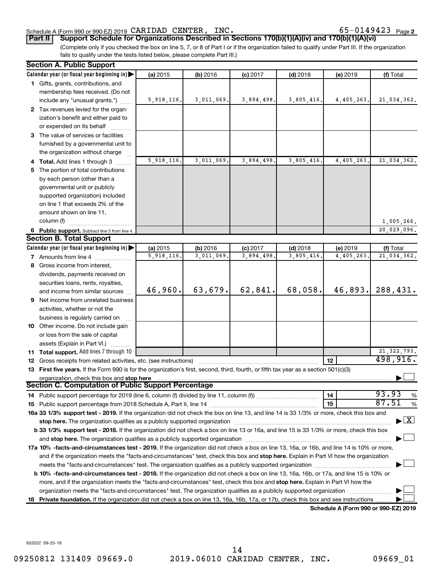#### Schedule A (Form 990 or 990-EZ) 2019  $\verb|CARIDAD|$   $\verb|CENTER|$ ,  $\verb|INC. 65-0149423$   $\verb|Page|$

65-0149423 Page 2

**Part II Support Schedule for Organizations Described in Sections 170(b)(1)(A)(iv) and 170(b)(1)(A)(vi)**

(Complete only if you checked the box on line 5, 7, or 8 of Part I or if the organization failed to qualify under Part III. If the organization fails to qualify under the tests listed below, please complete Part III.)

| Calendar year (or fiscal year beginning in)<br>(a) 2015<br>(b) 2016<br>(f) Total<br>$(c)$ 2017<br>$(d)$ 2018<br>(e) 2019<br>1 Gifts, grants, contributions, and<br>membership fees received. (Do not<br>5, 918, 116.<br>3,011,069.<br>3,894,498.<br>3,805,416.<br>4,405,263.<br>21,034,362.<br>include any "unusual grants.")<br>2 Tax revenues levied for the organ-<br>ization's benefit and either paid to<br>or expended on its behalf<br>3 The value of services or facilities<br>furnished by a governmental unit to<br>the organization without charge<br>5,918,116.<br>3,011,069.<br>3,894,498<br>3,805,416.<br>4,405,263.<br>21,034,362.<br>4 Total. Add lines 1 through 3<br>5 The portion of total contributions<br>by each person (other than a<br>governmental unit or publicly<br>supported organization) included<br>on line 1 that exceeds 2% of the<br>amount shown on line 11,<br>column (f)<br>1,005,266.<br>20,029,096.<br>6 Public support. Subtract line 5 from line 4.<br><b>Section B. Total Support</b><br>Calendar year (or fiscal year beginning in)<br>(a) 2015<br>(b) 2016<br>$(c)$ 2017<br>$(d)$ 2018<br>(e) 2019<br>(f) Total<br>5,918,116.<br>4,405,263.<br>21,034,362.<br>3,011,069<br>3,894,498<br>3,805,416.<br><b>7</b> Amounts from line 4<br>8 Gross income from interest,<br>dividends, payments received on<br>securities loans, rents, royalties,<br>46,960.<br>63,679.<br>62,841.<br>68,058.<br>46,893.<br>288,431.<br>and income from similar sources<br>9 Net income from unrelated business<br>activities, whether or not the<br>business is regularly carried on<br>10 Other income. Do not include gain<br>or loss from the sale of capital<br>assets (Explain in Part VI.)<br>21, 322, 793.<br>11 Total support. Add lines 7 through 10<br>498,916.<br>12<br><b>12</b> Gross receipts from related activities, etc. (see instructions)<br>13 First five years. If the Form 990 is for the organization's first, second, third, fourth, or fifth tax year as a section 501(c)(3)<br>organization, check this box and stop here<br><b>Section C. Computation of Public Support Percentage</b><br>93.93<br>14<br>%<br>87.51<br>15<br>$\%$<br>16a 33 1/3% support test - 2019. If the organization did not check the box on line 13, and line 14 is 33 1/3% or more, check this box and<br>$\blacktriangleright$ $\boxed{\text{X}}$<br>stop here. The organization qualifies as a publicly supported organization manufaction manufacture or the organization manufacture or the state of the state of the state of the state of the state of the state of the state<br>b 33 1/3% support test - 2018. If the organization did not check a box on line 13 or 16a, and line 15 is 33 1/3% or more, check this box<br>17a 10% -facts-and-circumstances test - 2019. If the organization did not check a box on line 13, 16a, or 16b, and line 14 is 10% or more,<br>and if the organization meets the "facts-and-circumstances" test, check this box and stop here. Explain in Part VI how the organization | <b>Section A. Public Support</b> |  |  |  |
|-------------------------------------------------------------------------------------------------------------------------------------------------------------------------------------------------------------------------------------------------------------------------------------------------------------------------------------------------------------------------------------------------------------------------------------------------------------------------------------------------------------------------------------------------------------------------------------------------------------------------------------------------------------------------------------------------------------------------------------------------------------------------------------------------------------------------------------------------------------------------------------------------------------------------------------------------------------------------------------------------------------------------------------------------------------------------------------------------------------------------------------------------------------------------------------------------------------------------------------------------------------------------------------------------------------------------------------------------------------------------------------------------------------------------------------------------------------------------------------------------------------------------------------------------------------------------------------------------------------------------------------------------------------------------------------------------------------------------------------------------------------------------------------------------------------------------------------------------------------------------------------------------------------------------------------------------------------------------------------------------------------------------------------------------------------------------------------------------------------------------------------------------------------------------------------------------------------------------------------------------------------------------------------------------------------------------------------------------------------------------------------------------------------------------------------------------------------------------------------------------------------------------------------------------------------------------------------------------------------------------------------------------------------------------------------------------------------------------------------------------------------------------------------------------------------------------------------------------------------------------------------------------------------------------------------------------------------------------------------------------------------------------------------------------------|----------------------------------|--|--|--|
|                                                                                                                                                                                                                                                                                                                                                                                                                                                                                                                                                                                                                                                                                                                                                                                                                                                                                                                                                                                                                                                                                                                                                                                                                                                                                                                                                                                                                                                                                                                                                                                                                                                                                                                                                                                                                                                                                                                                                                                                                                                                                                                                                                                                                                                                                                                                                                                                                                                                                                                                                                                                                                                                                                                                                                                                                                                                                                                                                                                                                                                       |                                  |  |  |  |
|                                                                                                                                                                                                                                                                                                                                                                                                                                                                                                                                                                                                                                                                                                                                                                                                                                                                                                                                                                                                                                                                                                                                                                                                                                                                                                                                                                                                                                                                                                                                                                                                                                                                                                                                                                                                                                                                                                                                                                                                                                                                                                                                                                                                                                                                                                                                                                                                                                                                                                                                                                                                                                                                                                                                                                                                                                                                                                                                                                                                                                                       |                                  |  |  |  |
|                                                                                                                                                                                                                                                                                                                                                                                                                                                                                                                                                                                                                                                                                                                                                                                                                                                                                                                                                                                                                                                                                                                                                                                                                                                                                                                                                                                                                                                                                                                                                                                                                                                                                                                                                                                                                                                                                                                                                                                                                                                                                                                                                                                                                                                                                                                                                                                                                                                                                                                                                                                                                                                                                                                                                                                                                                                                                                                                                                                                                                                       |                                  |  |  |  |
|                                                                                                                                                                                                                                                                                                                                                                                                                                                                                                                                                                                                                                                                                                                                                                                                                                                                                                                                                                                                                                                                                                                                                                                                                                                                                                                                                                                                                                                                                                                                                                                                                                                                                                                                                                                                                                                                                                                                                                                                                                                                                                                                                                                                                                                                                                                                                                                                                                                                                                                                                                                                                                                                                                                                                                                                                                                                                                                                                                                                                                                       |                                  |  |  |  |
|                                                                                                                                                                                                                                                                                                                                                                                                                                                                                                                                                                                                                                                                                                                                                                                                                                                                                                                                                                                                                                                                                                                                                                                                                                                                                                                                                                                                                                                                                                                                                                                                                                                                                                                                                                                                                                                                                                                                                                                                                                                                                                                                                                                                                                                                                                                                                                                                                                                                                                                                                                                                                                                                                                                                                                                                                                                                                                                                                                                                                                                       |                                  |  |  |  |
|                                                                                                                                                                                                                                                                                                                                                                                                                                                                                                                                                                                                                                                                                                                                                                                                                                                                                                                                                                                                                                                                                                                                                                                                                                                                                                                                                                                                                                                                                                                                                                                                                                                                                                                                                                                                                                                                                                                                                                                                                                                                                                                                                                                                                                                                                                                                                                                                                                                                                                                                                                                                                                                                                                                                                                                                                                                                                                                                                                                                                                                       |                                  |  |  |  |
|                                                                                                                                                                                                                                                                                                                                                                                                                                                                                                                                                                                                                                                                                                                                                                                                                                                                                                                                                                                                                                                                                                                                                                                                                                                                                                                                                                                                                                                                                                                                                                                                                                                                                                                                                                                                                                                                                                                                                                                                                                                                                                                                                                                                                                                                                                                                                                                                                                                                                                                                                                                                                                                                                                                                                                                                                                                                                                                                                                                                                                                       |                                  |  |  |  |
|                                                                                                                                                                                                                                                                                                                                                                                                                                                                                                                                                                                                                                                                                                                                                                                                                                                                                                                                                                                                                                                                                                                                                                                                                                                                                                                                                                                                                                                                                                                                                                                                                                                                                                                                                                                                                                                                                                                                                                                                                                                                                                                                                                                                                                                                                                                                                                                                                                                                                                                                                                                                                                                                                                                                                                                                                                                                                                                                                                                                                                                       |                                  |  |  |  |
|                                                                                                                                                                                                                                                                                                                                                                                                                                                                                                                                                                                                                                                                                                                                                                                                                                                                                                                                                                                                                                                                                                                                                                                                                                                                                                                                                                                                                                                                                                                                                                                                                                                                                                                                                                                                                                                                                                                                                                                                                                                                                                                                                                                                                                                                                                                                                                                                                                                                                                                                                                                                                                                                                                                                                                                                                                                                                                                                                                                                                                                       |                                  |  |  |  |
|                                                                                                                                                                                                                                                                                                                                                                                                                                                                                                                                                                                                                                                                                                                                                                                                                                                                                                                                                                                                                                                                                                                                                                                                                                                                                                                                                                                                                                                                                                                                                                                                                                                                                                                                                                                                                                                                                                                                                                                                                                                                                                                                                                                                                                                                                                                                                                                                                                                                                                                                                                                                                                                                                                                                                                                                                                                                                                                                                                                                                                                       |                                  |  |  |  |
|                                                                                                                                                                                                                                                                                                                                                                                                                                                                                                                                                                                                                                                                                                                                                                                                                                                                                                                                                                                                                                                                                                                                                                                                                                                                                                                                                                                                                                                                                                                                                                                                                                                                                                                                                                                                                                                                                                                                                                                                                                                                                                                                                                                                                                                                                                                                                                                                                                                                                                                                                                                                                                                                                                                                                                                                                                                                                                                                                                                                                                                       |                                  |  |  |  |
|                                                                                                                                                                                                                                                                                                                                                                                                                                                                                                                                                                                                                                                                                                                                                                                                                                                                                                                                                                                                                                                                                                                                                                                                                                                                                                                                                                                                                                                                                                                                                                                                                                                                                                                                                                                                                                                                                                                                                                                                                                                                                                                                                                                                                                                                                                                                                                                                                                                                                                                                                                                                                                                                                                                                                                                                                                                                                                                                                                                                                                                       |                                  |  |  |  |
|                                                                                                                                                                                                                                                                                                                                                                                                                                                                                                                                                                                                                                                                                                                                                                                                                                                                                                                                                                                                                                                                                                                                                                                                                                                                                                                                                                                                                                                                                                                                                                                                                                                                                                                                                                                                                                                                                                                                                                                                                                                                                                                                                                                                                                                                                                                                                                                                                                                                                                                                                                                                                                                                                                                                                                                                                                                                                                                                                                                                                                                       |                                  |  |  |  |
|                                                                                                                                                                                                                                                                                                                                                                                                                                                                                                                                                                                                                                                                                                                                                                                                                                                                                                                                                                                                                                                                                                                                                                                                                                                                                                                                                                                                                                                                                                                                                                                                                                                                                                                                                                                                                                                                                                                                                                                                                                                                                                                                                                                                                                                                                                                                                                                                                                                                                                                                                                                                                                                                                                                                                                                                                                                                                                                                                                                                                                                       |                                  |  |  |  |
|                                                                                                                                                                                                                                                                                                                                                                                                                                                                                                                                                                                                                                                                                                                                                                                                                                                                                                                                                                                                                                                                                                                                                                                                                                                                                                                                                                                                                                                                                                                                                                                                                                                                                                                                                                                                                                                                                                                                                                                                                                                                                                                                                                                                                                                                                                                                                                                                                                                                                                                                                                                                                                                                                                                                                                                                                                                                                                                                                                                                                                                       |                                  |  |  |  |
|                                                                                                                                                                                                                                                                                                                                                                                                                                                                                                                                                                                                                                                                                                                                                                                                                                                                                                                                                                                                                                                                                                                                                                                                                                                                                                                                                                                                                                                                                                                                                                                                                                                                                                                                                                                                                                                                                                                                                                                                                                                                                                                                                                                                                                                                                                                                                                                                                                                                                                                                                                                                                                                                                                                                                                                                                                                                                                                                                                                                                                                       |                                  |  |  |  |
|                                                                                                                                                                                                                                                                                                                                                                                                                                                                                                                                                                                                                                                                                                                                                                                                                                                                                                                                                                                                                                                                                                                                                                                                                                                                                                                                                                                                                                                                                                                                                                                                                                                                                                                                                                                                                                                                                                                                                                                                                                                                                                                                                                                                                                                                                                                                                                                                                                                                                                                                                                                                                                                                                                                                                                                                                                                                                                                                                                                                                                                       |                                  |  |  |  |
|                                                                                                                                                                                                                                                                                                                                                                                                                                                                                                                                                                                                                                                                                                                                                                                                                                                                                                                                                                                                                                                                                                                                                                                                                                                                                                                                                                                                                                                                                                                                                                                                                                                                                                                                                                                                                                                                                                                                                                                                                                                                                                                                                                                                                                                                                                                                                                                                                                                                                                                                                                                                                                                                                                                                                                                                                                                                                                                                                                                                                                                       |                                  |  |  |  |
|                                                                                                                                                                                                                                                                                                                                                                                                                                                                                                                                                                                                                                                                                                                                                                                                                                                                                                                                                                                                                                                                                                                                                                                                                                                                                                                                                                                                                                                                                                                                                                                                                                                                                                                                                                                                                                                                                                                                                                                                                                                                                                                                                                                                                                                                                                                                                                                                                                                                                                                                                                                                                                                                                                                                                                                                                                                                                                                                                                                                                                                       |                                  |  |  |  |
|                                                                                                                                                                                                                                                                                                                                                                                                                                                                                                                                                                                                                                                                                                                                                                                                                                                                                                                                                                                                                                                                                                                                                                                                                                                                                                                                                                                                                                                                                                                                                                                                                                                                                                                                                                                                                                                                                                                                                                                                                                                                                                                                                                                                                                                                                                                                                                                                                                                                                                                                                                                                                                                                                                                                                                                                                                                                                                                                                                                                                                                       |                                  |  |  |  |
|                                                                                                                                                                                                                                                                                                                                                                                                                                                                                                                                                                                                                                                                                                                                                                                                                                                                                                                                                                                                                                                                                                                                                                                                                                                                                                                                                                                                                                                                                                                                                                                                                                                                                                                                                                                                                                                                                                                                                                                                                                                                                                                                                                                                                                                                                                                                                                                                                                                                                                                                                                                                                                                                                                                                                                                                                                                                                                                                                                                                                                                       |                                  |  |  |  |
|                                                                                                                                                                                                                                                                                                                                                                                                                                                                                                                                                                                                                                                                                                                                                                                                                                                                                                                                                                                                                                                                                                                                                                                                                                                                                                                                                                                                                                                                                                                                                                                                                                                                                                                                                                                                                                                                                                                                                                                                                                                                                                                                                                                                                                                                                                                                                                                                                                                                                                                                                                                                                                                                                                                                                                                                                                                                                                                                                                                                                                                       |                                  |  |  |  |
|                                                                                                                                                                                                                                                                                                                                                                                                                                                                                                                                                                                                                                                                                                                                                                                                                                                                                                                                                                                                                                                                                                                                                                                                                                                                                                                                                                                                                                                                                                                                                                                                                                                                                                                                                                                                                                                                                                                                                                                                                                                                                                                                                                                                                                                                                                                                                                                                                                                                                                                                                                                                                                                                                                                                                                                                                                                                                                                                                                                                                                                       |                                  |  |  |  |
|                                                                                                                                                                                                                                                                                                                                                                                                                                                                                                                                                                                                                                                                                                                                                                                                                                                                                                                                                                                                                                                                                                                                                                                                                                                                                                                                                                                                                                                                                                                                                                                                                                                                                                                                                                                                                                                                                                                                                                                                                                                                                                                                                                                                                                                                                                                                                                                                                                                                                                                                                                                                                                                                                                                                                                                                                                                                                                                                                                                                                                                       |                                  |  |  |  |
|                                                                                                                                                                                                                                                                                                                                                                                                                                                                                                                                                                                                                                                                                                                                                                                                                                                                                                                                                                                                                                                                                                                                                                                                                                                                                                                                                                                                                                                                                                                                                                                                                                                                                                                                                                                                                                                                                                                                                                                                                                                                                                                                                                                                                                                                                                                                                                                                                                                                                                                                                                                                                                                                                                                                                                                                                                                                                                                                                                                                                                                       |                                  |  |  |  |
|                                                                                                                                                                                                                                                                                                                                                                                                                                                                                                                                                                                                                                                                                                                                                                                                                                                                                                                                                                                                                                                                                                                                                                                                                                                                                                                                                                                                                                                                                                                                                                                                                                                                                                                                                                                                                                                                                                                                                                                                                                                                                                                                                                                                                                                                                                                                                                                                                                                                                                                                                                                                                                                                                                                                                                                                                                                                                                                                                                                                                                                       |                                  |  |  |  |
|                                                                                                                                                                                                                                                                                                                                                                                                                                                                                                                                                                                                                                                                                                                                                                                                                                                                                                                                                                                                                                                                                                                                                                                                                                                                                                                                                                                                                                                                                                                                                                                                                                                                                                                                                                                                                                                                                                                                                                                                                                                                                                                                                                                                                                                                                                                                                                                                                                                                                                                                                                                                                                                                                                                                                                                                                                                                                                                                                                                                                                                       |                                  |  |  |  |
|                                                                                                                                                                                                                                                                                                                                                                                                                                                                                                                                                                                                                                                                                                                                                                                                                                                                                                                                                                                                                                                                                                                                                                                                                                                                                                                                                                                                                                                                                                                                                                                                                                                                                                                                                                                                                                                                                                                                                                                                                                                                                                                                                                                                                                                                                                                                                                                                                                                                                                                                                                                                                                                                                                                                                                                                                                                                                                                                                                                                                                                       |                                  |  |  |  |
|                                                                                                                                                                                                                                                                                                                                                                                                                                                                                                                                                                                                                                                                                                                                                                                                                                                                                                                                                                                                                                                                                                                                                                                                                                                                                                                                                                                                                                                                                                                                                                                                                                                                                                                                                                                                                                                                                                                                                                                                                                                                                                                                                                                                                                                                                                                                                                                                                                                                                                                                                                                                                                                                                                                                                                                                                                                                                                                                                                                                                                                       |                                  |  |  |  |
|                                                                                                                                                                                                                                                                                                                                                                                                                                                                                                                                                                                                                                                                                                                                                                                                                                                                                                                                                                                                                                                                                                                                                                                                                                                                                                                                                                                                                                                                                                                                                                                                                                                                                                                                                                                                                                                                                                                                                                                                                                                                                                                                                                                                                                                                                                                                                                                                                                                                                                                                                                                                                                                                                                                                                                                                                                                                                                                                                                                                                                                       |                                  |  |  |  |
|                                                                                                                                                                                                                                                                                                                                                                                                                                                                                                                                                                                                                                                                                                                                                                                                                                                                                                                                                                                                                                                                                                                                                                                                                                                                                                                                                                                                                                                                                                                                                                                                                                                                                                                                                                                                                                                                                                                                                                                                                                                                                                                                                                                                                                                                                                                                                                                                                                                                                                                                                                                                                                                                                                                                                                                                                                                                                                                                                                                                                                                       |                                  |  |  |  |
|                                                                                                                                                                                                                                                                                                                                                                                                                                                                                                                                                                                                                                                                                                                                                                                                                                                                                                                                                                                                                                                                                                                                                                                                                                                                                                                                                                                                                                                                                                                                                                                                                                                                                                                                                                                                                                                                                                                                                                                                                                                                                                                                                                                                                                                                                                                                                                                                                                                                                                                                                                                                                                                                                                                                                                                                                                                                                                                                                                                                                                                       |                                  |  |  |  |
|                                                                                                                                                                                                                                                                                                                                                                                                                                                                                                                                                                                                                                                                                                                                                                                                                                                                                                                                                                                                                                                                                                                                                                                                                                                                                                                                                                                                                                                                                                                                                                                                                                                                                                                                                                                                                                                                                                                                                                                                                                                                                                                                                                                                                                                                                                                                                                                                                                                                                                                                                                                                                                                                                                                                                                                                                                                                                                                                                                                                                                                       |                                  |  |  |  |
|                                                                                                                                                                                                                                                                                                                                                                                                                                                                                                                                                                                                                                                                                                                                                                                                                                                                                                                                                                                                                                                                                                                                                                                                                                                                                                                                                                                                                                                                                                                                                                                                                                                                                                                                                                                                                                                                                                                                                                                                                                                                                                                                                                                                                                                                                                                                                                                                                                                                                                                                                                                                                                                                                                                                                                                                                                                                                                                                                                                                                                                       |                                  |  |  |  |
|                                                                                                                                                                                                                                                                                                                                                                                                                                                                                                                                                                                                                                                                                                                                                                                                                                                                                                                                                                                                                                                                                                                                                                                                                                                                                                                                                                                                                                                                                                                                                                                                                                                                                                                                                                                                                                                                                                                                                                                                                                                                                                                                                                                                                                                                                                                                                                                                                                                                                                                                                                                                                                                                                                                                                                                                                                                                                                                                                                                                                                                       |                                  |  |  |  |
|                                                                                                                                                                                                                                                                                                                                                                                                                                                                                                                                                                                                                                                                                                                                                                                                                                                                                                                                                                                                                                                                                                                                                                                                                                                                                                                                                                                                                                                                                                                                                                                                                                                                                                                                                                                                                                                                                                                                                                                                                                                                                                                                                                                                                                                                                                                                                                                                                                                                                                                                                                                                                                                                                                                                                                                                                                                                                                                                                                                                                                                       |                                  |  |  |  |
|                                                                                                                                                                                                                                                                                                                                                                                                                                                                                                                                                                                                                                                                                                                                                                                                                                                                                                                                                                                                                                                                                                                                                                                                                                                                                                                                                                                                                                                                                                                                                                                                                                                                                                                                                                                                                                                                                                                                                                                                                                                                                                                                                                                                                                                                                                                                                                                                                                                                                                                                                                                                                                                                                                                                                                                                                                                                                                                                                                                                                                                       |                                  |  |  |  |
|                                                                                                                                                                                                                                                                                                                                                                                                                                                                                                                                                                                                                                                                                                                                                                                                                                                                                                                                                                                                                                                                                                                                                                                                                                                                                                                                                                                                                                                                                                                                                                                                                                                                                                                                                                                                                                                                                                                                                                                                                                                                                                                                                                                                                                                                                                                                                                                                                                                                                                                                                                                                                                                                                                                                                                                                                                                                                                                                                                                                                                                       |                                  |  |  |  |
|                                                                                                                                                                                                                                                                                                                                                                                                                                                                                                                                                                                                                                                                                                                                                                                                                                                                                                                                                                                                                                                                                                                                                                                                                                                                                                                                                                                                                                                                                                                                                                                                                                                                                                                                                                                                                                                                                                                                                                                                                                                                                                                                                                                                                                                                                                                                                                                                                                                                                                                                                                                                                                                                                                                                                                                                                                                                                                                                                                                                                                                       |                                  |  |  |  |
|                                                                                                                                                                                                                                                                                                                                                                                                                                                                                                                                                                                                                                                                                                                                                                                                                                                                                                                                                                                                                                                                                                                                                                                                                                                                                                                                                                                                                                                                                                                                                                                                                                                                                                                                                                                                                                                                                                                                                                                                                                                                                                                                                                                                                                                                                                                                                                                                                                                                                                                                                                                                                                                                                                                                                                                                                                                                                                                                                                                                                                                       |                                  |  |  |  |
|                                                                                                                                                                                                                                                                                                                                                                                                                                                                                                                                                                                                                                                                                                                                                                                                                                                                                                                                                                                                                                                                                                                                                                                                                                                                                                                                                                                                                                                                                                                                                                                                                                                                                                                                                                                                                                                                                                                                                                                                                                                                                                                                                                                                                                                                                                                                                                                                                                                                                                                                                                                                                                                                                                                                                                                                                                                                                                                                                                                                                                                       |                                  |  |  |  |
|                                                                                                                                                                                                                                                                                                                                                                                                                                                                                                                                                                                                                                                                                                                                                                                                                                                                                                                                                                                                                                                                                                                                                                                                                                                                                                                                                                                                                                                                                                                                                                                                                                                                                                                                                                                                                                                                                                                                                                                                                                                                                                                                                                                                                                                                                                                                                                                                                                                                                                                                                                                                                                                                                                                                                                                                                                                                                                                                                                                                                                                       |                                  |  |  |  |
|                                                                                                                                                                                                                                                                                                                                                                                                                                                                                                                                                                                                                                                                                                                                                                                                                                                                                                                                                                                                                                                                                                                                                                                                                                                                                                                                                                                                                                                                                                                                                                                                                                                                                                                                                                                                                                                                                                                                                                                                                                                                                                                                                                                                                                                                                                                                                                                                                                                                                                                                                                                                                                                                                                                                                                                                                                                                                                                                                                                                                                                       |                                  |  |  |  |
|                                                                                                                                                                                                                                                                                                                                                                                                                                                                                                                                                                                                                                                                                                                                                                                                                                                                                                                                                                                                                                                                                                                                                                                                                                                                                                                                                                                                                                                                                                                                                                                                                                                                                                                                                                                                                                                                                                                                                                                                                                                                                                                                                                                                                                                                                                                                                                                                                                                                                                                                                                                                                                                                                                                                                                                                                                                                                                                                                                                                                                                       |                                  |  |  |  |
|                                                                                                                                                                                                                                                                                                                                                                                                                                                                                                                                                                                                                                                                                                                                                                                                                                                                                                                                                                                                                                                                                                                                                                                                                                                                                                                                                                                                                                                                                                                                                                                                                                                                                                                                                                                                                                                                                                                                                                                                                                                                                                                                                                                                                                                                                                                                                                                                                                                                                                                                                                                                                                                                                                                                                                                                                                                                                                                                                                                                                                                       |                                  |  |  |  |
|                                                                                                                                                                                                                                                                                                                                                                                                                                                                                                                                                                                                                                                                                                                                                                                                                                                                                                                                                                                                                                                                                                                                                                                                                                                                                                                                                                                                                                                                                                                                                                                                                                                                                                                                                                                                                                                                                                                                                                                                                                                                                                                                                                                                                                                                                                                                                                                                                                                                                                                                                                                                                                                                                                                                                                                                                                                                                                                                                                                                                                                       |                                  |  |  |  |
| <b>b 10%</b> -facts-and-circumstances test - 2018. If the organization did not check a box on line 13, 16a, 16b, or 17a, and line 15 is 10% or                                                                                                                                                                                                                                                                                                                                                                                                                                                                                                                                                                                                                                                                                                                                                                                                                                                                                                                                                                                                                                                                                                                                                                                                                                                                                                                                                                                                                                                                                                                                                                                                                                                                                                                                                                                                                                                                                                                                                                                                                                                                                                                                                                                                                                                                                                                                                                                                                                                                                                                                                                                                                                                                                                                                                                                                                                                                                                        |                                  |  |  |  |
| more, and if the organization meets the "facts-and-circumstances" test, check this box and stop here. Explain in Part VI how the                                                                                                                                                                                                                                                                                                                                                                                                                                                                                                                                                                                                                                                                                                                                                                                                                                                                                                                                                                                                                                                                                                                                                                                                                                                                                                                                                                                                                                                                                                                                                                                                                                                                                                                                                                                                                                                                                                                                                                                                                                                                                                                                                                                                                                                                                                                                                                                                                                                                                                                                                                                                                                                                                                                                                                                                                                                                                                                      |                                  |  |  |  |
| organization meets the "facts-and-circumstances" test. The organization qualifies as a publicly supported organization                                                                                                                                                                                                                                                                                                                                                                                                                                                                                                                                                                                                                                                                                                                                                                                                                                                                                                                                                                                                                                                                                                                                                                                                                                                                                                                                                                                                                                                                                                                                                                                                                                                                                                                                                                                                                                                                                                                                                                                                                                                                                                                                                                                                                                                                                                                                                                                                                                                                                                                                                                                                                                                                                                                                                                                                                                                                                                                                |                                  |  |  |  |
| Private foundation. If the organization did not check a box on line 13, 16a, 16b, 17a, or 17b, check this box and see instructions.<br>18<br>Schedule A (Form 990 or 990-F7) 2019                                                                                                                                                                                                                                                                                                                                                                                                                                                                                                                                                                                                                                                                                                                                                                                                                                                                                                                                                                                                                                                                                                                                                                                                                                                                                                                                                                                                                                                                                                                                                                                                                                                                                                                                                                                                                                                                                                                                                                                                                                                                                                                                                                                                                                                                                                                                                                                                                                                                                                                                                                                                                                                                                                                                                                                                                                                                     |                                  |  |  |  |

**Schedule A (Form 990 or 990-EZ) 2019**

932022 09-25-19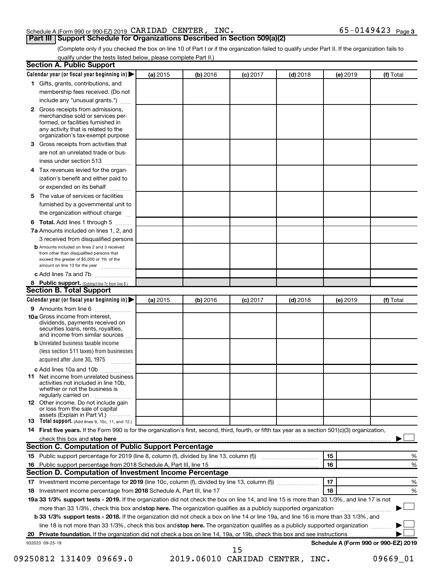#### Schedule A (Form 990 or 990-EZ) 2019  $\verb|CARIDAD|$   $\verb|CENTER|$ ,  $\verb|INC. 65-0149423$   $\verb|Page|$

(Complete only if you checked the box on line 10 of Part I or if the organization failed to qualify under Part II. If the organization fails to qualify under the tests listed below, please complete Part II.)

| <b>Section A. Public Support</b>                                                                                                                                                                                               |          |          |                 |            |          |                                      |
|--------------------------------------------------------------------------------------------------------------------------------------------------------------------------------------------------------------------------------|----------|----------|-----------------|------------|----------|--------------------------------------|
| Calendar year (or fiscal year beginning in)                                                                                                                                                                                    | (a) 2015 | (b) 2016 | $(c)$ 2017      | $(d)$ 2018 | (e) 2019 | (f) Total                            |
| 1 Gifts, grants, contributions, and                                                                                                                                                                                            |          |          |                 |            |          |                                      |
| membership fees received. (Do not                                                                                                                                                                                              |          |          |                 |            |          |                                      |
| include any "unusual grants.")                                                                                                                                                                                                 |          |          |                 |            |          |                                      |
| 2 Gross receipts from admissions,<br>merchandise sold or services per-<br>formed, or facilities furnished in<br>any activity that is related to the<br>organization's tax-exempt purpose                                       |          |          |                 |            |          |                                      |
| 3 Gross receipts from activities that                                                                                                                                                                                          |          |          |                 |            |          |                                      |
| are not an unrelated trade or bus-<br>iness under section 513                                                                                                                                                                  |          |          |                 |            |          |                                      |
| 4 Tax revenues levied for the organ-                                                                                                                                                                                           |          |          |                 |            |          |                                      |
| ization's benefit and either paid to                                                                                                                                                                                           |          |          |                 |            |          |                                      |
| or expended on its behalf                                                                                                                                                                                                      |          |          |                 |            |          |                                      |
| 5 The value of services or facilities                                                                                                                                                                                          |          |          |                 |            |          |                                      |
| furnished by a governmental unit to                                                                                                                                                                                            |          |          |                 |            |          |                                      |
| the organization without charge                                                                                                                                                                                                |          |          |                 |            |          |                                      |
| <b>6 Total.</b> Add lines 1 through 5                                                                                                                                                                                          |          |          |                 |            |          |                                      |
| 7a Amounts included on lines 1, 2, and                                                                                                                                                                                         |          |          |                 |            |          |                                      |
| 3 received from disqualified persons<br><b>b</b> Amounts included on lines 2 and 3 received<br>from other than disqualified persons that<br>exceed the greater of \$5,000 or 1% of the<br>amount on line 13 for the year       |          |          |                 |            |          |                                      |
| c Add lines 7a and 7b                                                                                                                                                                                                          |          |          |                 |            |          |                                      |
| 8 Public support. (Subtract line 7c from line 6.)                                                                                                                                                                              |          |          |                 |            |          |                                      |
| <b>Section B. Total Support</b>                                                                                                                                                                                                |          |          |                 |            |          |                                      |
| Calendar year (or fiscal year beginning in)                                                                                                                                                                                    | (a) 2015 | (b) 2016 | <b>(c)</b> 2017 | $(d)$ 2018 | (e) 2019 | (f) Total                            |
| <b>9</b> Amounts from line 6                                                                                                                                                                                                   |          |          |                 |            |          |                                      |
| <b>10a</b> Gross income from interest,<br>dividends, payments received on<br>securities loans, rents, royalties,<br>and income from similar sources                                                                            |          |          |                 |            |          |                                      |
| <b>b</b> Unrelated business taxable income<br>(less section 511 taxes) from businesses                                                                                                                                         |          |          |                 |            |          |                                      |
| acquired after June 30, 1975<br>$\frac{1}{2}$                                                                                                                                                                                  |          |          |                 |            |          |                                      |
| c Add lines 10a and 10b                                                                                                                                                                                                        |          |          |                 |            |          |                                      |
| 11 Net income from unrelated business<br>activities not included in line 10b.<br>whether or not the business is<br>regularly carried on                                                                                        |          |          |                 |            |          |                                      |
| <b>12</b> Other income. Do not include gain<br>or loss from the sale of capital<br>assets (Explain in Part VI.)                                                                                                                |          |          |                 |            |          |                                      |
| <b>13</b> Total support. (Add lines 9, 10c, 11, and 12.)                                                                                                                                                                       |          |          |                 |            |          |                                      |
| 14 First five years. If the Form 990 is for the organization's first, second, third, fourth, or fifth tax year as a section 501(c)(3) organization,                                                                            |          |          |                 |            |          |                                      |
| check this box and stop here measurements and stop here and stop here are all the substitutions of the state of the state of the state of the state of the state of the state of the state of the state of the state of the st |          |          |                 |            |          |                                      |
| Section C. Computation of Public Support Percentage                                                                                                                                                                            |          |          |                 |            |          |                                      |
| 15 Public support percentage for 2019 (line 8, column (f), divided by line 13, column (f) <i></i>                                                                                                                              |          |          |                 |            | 15       | %                                    |
| 16 Public support percentage from 2018 Schedule A, Part III, line 15                                                                                                                                                           |          |          |                 |            | 16       | %                                    |
| Section D. Computation of Investment Income Percentage                                                                                                                                                                         |          |          |                 |            |          |                                      |
|                                                                                                                                                                                                                                |          |          |                 |            | 17       | %                                    |
| 18 Investment income percentage from 2018 Schedule A, Part III, line 17                                                                                                                                                        |          |          |                 |            | 18       | %                                    |
| 19a 33 1/3% support tests - 2019. If the organization did not check the box on line 14, and line 15 is more than 33 1/3%, and line 17 is not                                                                                   |          |          |                 |            |          |                                      |
| more than 33 1/3%, check this box and stop here. The organization qualifies as a publicly supported organization                                                                                                               |          |          |                 |            |          |                                      |
| b 33 1/3% support tests - 2018. If the organization did not check a box on line 14 or line 19a, and line 16 is more than 33 1/3%, and                                                                                          |          |          |                 |            |          |                                      |
| line 18 is not more than 33 1/3%, check this box and stop here. The organization qualifies as a publicly supported organization                                                                                                |          |          |                 |            |          |                                      |
|                                                                                                                                                                                                                                |          |          |                 |            |          |                                      |
| 932023 09-25-19                                                                                                                                                                                                                |          |          | 15              |            |          | Schedule A (Form 990 or 990-EZ) 2019 |

09250812 131409 09669.0 2019.06010 CARIDAD CENTER, INC. 09669\_01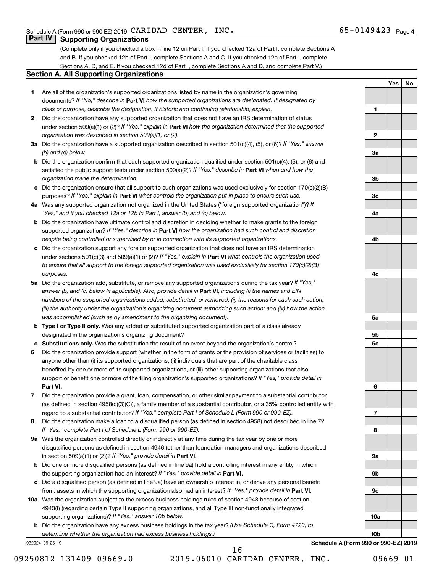**1**

**2**

**3a**

**3b**

**3c**

**4a**

**4b**

**4c**

**5a**

**5b 5c**

**6**

**7**

**8**

**9a**

**9b**

**9c**

**10a**

**10b**

**Yes No**

### **Part IV Supporting Organizations**

(Complete only if you checked a box in line 12 on Part I. If you checked 12a of Part I, complete Sections A and B. If you checked 12b of Part I, complete Sections A and C. If you checked 12c of Part I, complete Sections A, D, and E. If you checked 12d of Part I, complete Sections A and D, and complete Part V.)

#### **Section A. All Supporting Organizations**

- **1** Are all of the organization's supported organizations listed by name in the organization's governing documents? If "No," describe in Part VI how the supported organizations are designated. If designated by *class or purpose, describe the designation. If historic and continuing relationship, explain.*
- **2** Did the organization have any supported organization that does not have an IRS determination of status under section 509(a)(1) or (2)? If "Yes," explain in Part **VI** how the organization determined that the supported *organization was described in section 509(a)(1) or (2).*
- **3a** Did the organization have a supported organization described in section 501(c)(4), (5), or (6)? If "Yes," answer *(b) and (c) below.*
- **b** Did the organization confirm that each supported organization qualified under section 501(c)(4), (5), or (6) and satisfied the public support tests under section 509(a)(2)? If "Yes," describe in Part VI when and how the *organization made the determination.*
- **c** Did the organization ensure that all support to such organizations was used exclusively for section 170(c)(2)(B) purposes? If "Yes," explain in Part VI what controls the organization put in place to ensure such use.
- **4 a** *If* Was any supported organization not organized in the United States ("foreign supported organization")? *"Yes," and if you checked 12a or 12b in Part I, answer (b) and (c) below.*
- **b** Did the organization have ultimate control and discretion in deciding whether to make grants to the foreign supported organization? If "Yes," describe in Part VI how the organization had such control and discretion *despite being controlled or supervised by or in connection with its supported organizations.*
- **c** Did the organization support any foreign supported organization that does not have an IRS determination under sections 501(c)(3) and 509(a)(1) or (2)? If "Yes," explain in Part VI what controls the organization used *to ensure that all support to the foreign supported organization was used exclusively for section 170(c)(2)(B) purposes.*
- **5a** Did the organization add, substitute, or remove any supported organizations during the tax year? If "Yes," answer (b) and (c) below (if applicable). Also, provide detail in **Part VI,** including (i) the names and EIN *numbers of the supported organizations added, substituted, or removed; (ii) the reasons for each such action; (iii) the authority under the organization's organizing document authorizing such action; and (iv) how the action was accomplished (such as by amendment to the organizing document).*
- **b Type I or Type II only.** Was any added or substituted supported organization part of a class already designated in the organization's organizing document?
- **c Substitutions only.**  Was the substitution the result of an event beyond the organization's control?
- **6** Did the organization provide support (whether in the form of grants or the provision of services or facilities) to **Part VI.** support or benefit one or more of the filing organization's supported organizations? If "Yes," provide detail in anyone other than (i) its supported organizations, (ii) individuals that are part of the charitable class benefited by one or more of its supported organizations, or (iii) other supporting organizations that also
- **7** Did the organization provide a grant, loan, compensation, or other similar payment to a substantial contributor regard to a substantial contributor? If "Yes," complete Part I of Schedule L (Form 990 or 990-EZ). (as defined in section 4958(c)(3)(C)), a family member of a substantial contributor, or a 35% controlled entity with
- **8** Did the organization make a loan to a disqualified person (as defined in section 4958) not described in line 7? *If "Yes," complete Part I of Schedule L (Form 990 or 990-EZ).*
- **9 a** Was the organization controlled directly or indirectly at any time during the tax year by one or more in section 509(a)(1) or (2))? If "Yes," provide detail in **Part VI.** disqualified persons as defined in section 4946 (other than foundation managers and organizations described
- **b** Did one or more disqualified persons (as defined in line 9a) hold a controlling interest in any entity in which the supporting organization had an interest? If "Yes," provide detail in Part VI.
- **c** Did a disqualified person (as defined in line 9a) have an ownership interest in, or derive any personal benefit from, assets in which the supporting organization also had an interest? If "Yes," provide detail in Part VI.
- **10 a** Was the organization subject to the excess business holdings rules of section 4943 because of section supporting organizations)? If "Yes," answer 10b below. 4943(f) (regarding certain Type II supporting organizations, and all Type III non-functionally integrated
	- **b** Did the organization have any excess business holdings in the tax year? (Use Schedule C, Form 4720, to *determine whether the organization had excess business holdings.)*

932024 09-25-19

**Schedule A (Form 990 or 990-EZ) 2019**

16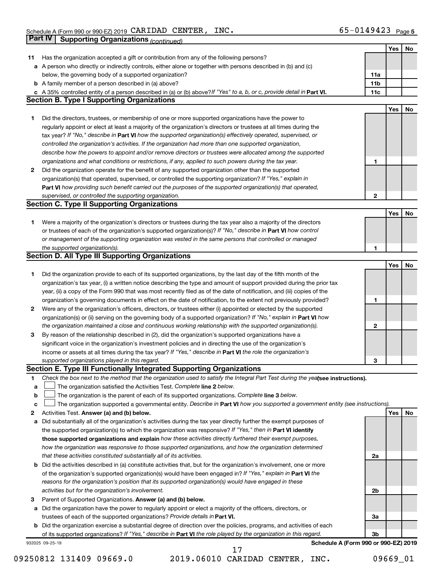|    | <b>Part IV</b>  | <b>Supporting Organizations (continued)</b>                                                                                                                  |                 |     |    |
|----|-----------------|--------------------------------------------------------------------------------------------------------------------------------------------------------------|-----------------|-----|----|
|    |                 |                                                                                                                                                              |                 | Yes | No |
| 11 |                 | Has the organization accepted a gift or contribution from any of the following persons?                                                                      |                 |     |    |
|    |                 | a A person who directly or indirectly controls, either alone or together with persons described in (b) and (c)                                               |                 |     |    |
|    |                 | below, the governing body of a supported organization?                                                                                                       | 11a             |     |    |
|    |                 | <b>b</b> A family member of a person described in (a) above?                                                                                                 | 11 <sub>b</sub> |     |    |
|    |                 | c A 35% controlled entity of a person described in (a) or (b) above? If "Yes" to a, b, or c, provide detail in Part VI.                                      | 11c             |     |    |
|    |                 | <b>Section B. Type I Supporting Organizations</b>                                                                                                            |                 |     |    |
|    |                 |                                                                                                                                                              |                 | Yes | No |
| 1  |                 | Did the directors, trustees, or membership of one or more supported organizations have the power to                                                          |                 |     |    |
|    |                 | regularly appoint or elect at least a majority of the organization's directors or trustees at all times during the                                           |                 |     |    |
|    |                 | tax year? If "No," describe in Part VI how the supported organization(s) effectively operated, supervised, or                                                |                 |     |    |
|    |                 | controlled the organization's activities. If the organization had more than one supported organization,                                                      |                 |     |    |
|    |                 | describe how the powers to appoint and/or remove directors or trustees were allocated among the supported                                                    |                 |     |    |
|    |                 | organizations and what conditions or restrictions, if any, applied to such powers during the tax year.                                                       | 1               |     |    |
| 2  |                 | Did the organization operate for the benefit of any supported organization other than the supported                                                          |                 |     |    |
|    |                 | organization(s) that operated, supervised, or controlled the supporting organization? If "Yes," explain in                                                   |                 |     |    |
|    |                 | Part VI how providing such benefit carried out the purposes of the supported organization(s) that operated,                                                  |                 |     |    |
|    |                 | supervised, or controlled the supporting organization.                                                                                                       | 2               |     |    |
|    |                 | <b>Section C. Type II Supporting Organizations</b>                                                                                                           |                 |     |    |
|    |                 |                                                                                                                                                              |                 | Yes | No |
| 1  |                 | Were a majority of the organization's directors or trustees during the tax year also a majority of the directors                                             |                 |     |    |
|    |                 | or trustees of each of the organization's supported organization(s)? If "No," describe in Part VI how control                                                |                 |     |    |
|    |                 | or management of the supporting organization was vested in the same persons that controlled or managed                                                       |                 |     |    |
|    |                 | the supported organization(s).                                                                                                                               | 1               |     |    |
|    |                 | <b>Section D. All Type III Supporting Organizations</b>                                                                                                      |                 |     |    |
|    |                 |                                                                                                                                                              |                 | Yes | No |
| 1  |                 | Did the organization provide to each of its supported organizations, by the last day of the fifth month of the                                               |                 |     |    |
|    |                 | organization's tax year, (i) a written notice describing the type and amount of support provided during the prior tax                                        |                 |     |    |
|    |                 | year, (ii) a copy of the Form 990 that was most recently filed as of the date of notification, and (iii) copies of the                                       |                 |     |    |
|    |                 | organization's governing documents in effect on the date of notification, to the extent not previously provided?                                             | 1               |     |    |
| 2  |                 | Were any of the organization's officers, directors, or trustees either (i) appointed or elected by the supported                                             |                 |     |    |
|    |                 | organization(s) or (ii) serving on the governing body of a supported organization? If "No," explain in Part VI how                                           |                 |     |    |
|    |                 | the organization maintained a close and continuous working relationship with the supported organization(s).                                                  | 2               |     |    |
| 3  |                 | By reason of the relationship described in (2), did the organization's supported organizations have a                                                        |                 |     |    |
|    |                 | significant voice in the organization's investment policies and in directing the use of the organization's                                                   |                 |     |    |
|    |                 | income or assets at all times during the tax year? If "Yes," describe in Part VI the role the organization's                                                 |                 |     |    |
|    |                 | supported organizations played in this regard.                                                                                                               | з               |     |    |
|    |                 | Section E. Type III Functionally Integrated Supporting Organizations                                                                                         |                 |     |    |
| 1  |                 | Check the box next to the method that the organization used to satisfy the Integral Part Test during the yealsee instructions).                              |                 |     |    |
| a  |                 | The organization satisfied the Activities Test. Complete line 2 below.                                                                                       |                 |     |    |
| b  |                 | The organization is the parent of each of its supported organizations. Complete line 3 below.                                                                |                 |     |    |
| c  |                 | The organization supported a governmental entity. Describe in Part VI how you supported a government entity (see instructions).                              |                 |     |    |
| 2  |                 | Activities Test. Answer (a) and (b) below.                                                                                                                   |                 | Yes | No |
| а  |                 | Did substantially all of the organization's activities during the tax year directly further the exempt purposes of                                           |                 |     |    |
|    |                 | the supported organization(s) to which the organization was responsive? If "Yes," then in Part VI identify                                                   |                 |     |    |
|    |                 | those supported organizations and explain how these activities directly furthered their exempt purposes,                                                     |                 |     |    |
|    |                 | how the organization was responsive to those supported organizations, and how the organization determined                                                    |                 |     |    |
|    |                 | that these activities constituted substantially all of its activities.                                                                                       | 2a              |     |    |
| b  |                 | Did the activities described in (a) constitute activities that, but for the organization's involvement, one or more                                          |                 |     |    |
|    |                 | of the organization's supported organization(s) would have been engaged in? If "Yes," explain in Part VI the                                                 |                 |     |    |
|    |                 | reasons for the organization's position that its supported organization(s) would have engaged in these<br>activities but for the organization's involvement. | 2b              |     |    |
| з  |                 | Parent of Supported Organizations. Answer (a) and (b) below.                                                                                                 |                 |     |    |
|    |                 | Did the organization have the power to regularly appoint or elect a majority of the officers, directors, or                                                  |                 |     |    |
| а  |                 | trustees of each of the supported organizations? Provide details in Part VI.                                                                                 | За              |     |    |
|    |                 | <b>b</b> Did the organization exercise a substantial degree of direction over the policies, programs, and activities of each                                 |                 |     |    |
|    |                 | of its supported organizations? If "Yes," describe in Part VI the role played by the organization in this regard.                                            | 3b              |     |    |
|    | 932025 09-25-19 | Schedule A (Form 990 or 990-EZ) 2019                                                                                                                         |                 |     |    |
|    |                 | 17                                                                                                                                                           |                 |     |    |

<sup>09250812 131409 09669.0 2019.06010</sup> CARIDAD CENTER, INC. 09669\_01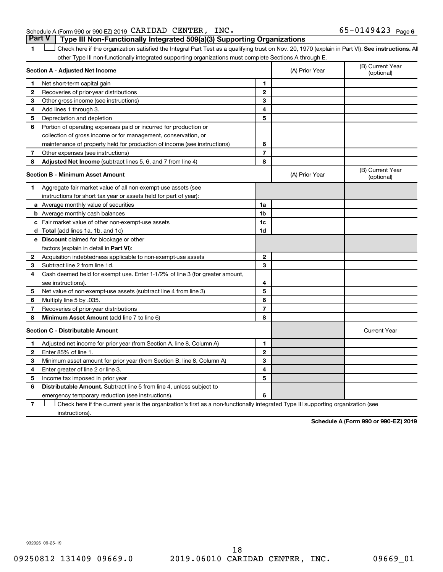### Schedule A (Form 990 or 990-EZ) 2019  $\verb|CARIDAD|$   $\verb|CENTER|$ ,  $\verb|INC. 65-0149423$   $\verb|Page|$

1 **Letter See instructions.** All Check here if the organization satisfied the Integral Part Test as a qualifying trust on Nov. 20, 1970 (explain in Part VI). See instructions. All other Type III non-functionally integrated supporting organizations must complete Sections A through E. **Part V Type III Non-Functionally Integrated 509(a)(3) Supporting Organizations** 

|              | Section A - Adjusted Net Income                                              |                | (A) Prior Year | (B) Current Year<br>(optional) |
|--------------|------------------------------------------------------------------------------|----------------|----------------|--------------------------------|
| 1.           | Net short-term capital gain                                                  | 1              |                |                                |
| 2            | Recoveries of prior-year distributions                                       | $\overline{2}$ |                |                                |
| 3            | Other gross income (see instructions)                                        | 3              |                |                                |
| 4            | Add lines 1 through 3.                                                       | 4              |                |                                |
| 5            | Depreciation and depletion                                                   | 5              |                |                                |
| 6            | Portion of operating expenses paid or incurred for production or             |                |                |                                |
|              | collection of gross income or for management, conservation, or               |                |                |                                |
|              | maintenance of property held for production of income (see instructions)     | 6              |                |                                |
| 7            | Other expenses (see instructions)                                            | $\overline{7}$ |                |                                |
| 8            | <b>Adjusted Net Income</b> (subtract lines 5, 6, and 7 from line 4)          | 8              |                |                                |
|              | <b>Section B - Minimum Asset Amount</b>                                      |                | (A) Prior Year | (B) Current Year<br>(optional) |
| 1            | Aggregate fair market value of all non-exempt-use assets (see                |                |                |                                |
|              | instructions for short tax year or assets held for part of year):            |                |                |                                |
|              | a Average monthly value of securities                                        | 1a             |                |                                |
|              | <b>b</b> Average monthly cash balances                                       | 1b             |                |                                |
|              | c Fair market value of other non-exempt-use assets                           | 1c             |                |                                |
|              | d Total (add lines 1a, 1b, and 1c)                                           | 1d             |                |                                |
|              | <b>e</b> Discount claimed for blockage or other                              |                |                |                                |
|              | factors (explain in detail in Part VI):                                      |                |                |                                |
| 2            | Acquisition indebtedness applicable to non-exempt-use assets                 | $\mathbf{2}$   |                |                                |
| 3            | Subtract line 2 from line 1d.                                                | 3              |                |                                |
| 4            | Cash deemed held for exempt use. Enter 1-1/2% of line 3 (for greater amount, |                |                |                                |
|              | see instructions).                                                           | 4              |                |                                |
| 5            | Net value of non-exempt-use assets (subtract line 4 from line 3)             | 5              |                |                                |
| 6            | Multiply line 5 by .035.                                                     | 6              |                |                                |
| 7            | Recoveries of prior-year distributions                                       | 7              |                |                                |
| 8            | Minimum Asset Amount (add line 7 to line 6)                                  | 8              |                |                                |
|              | <b>Section C - Distributable Amount</b>                                      |                |                | <b>Current Year</b>            |
| 1            | Adjusted net income for prior year (from Section A, line 8, Column A)        | 1              |                |                                |
| $\mathbf{2}$ | Enter 85% of line 1.                                                         | $\mathbf{2}$   |                |                                |
| 3            | Minimum asset amount for prior year (from Section B, line 8, Column A)       | 3              |                |                                |
| 4            | Enter greater of line 2 or line 3.                                           | 4              |                |                                |
| 5            | Income tax imposed in prior year                                             | 5              |                |                                |
| 6            | <b>Distributable Amount.</b> Subtract line 5 from line 4, unless subject to  |                |                |                                |
|              | emergency temporary reduction (see instructions).                            | 6              |                |                                |
|              |                                                                              |                |                |                                |

**7** Check here if the current year is the organization's first as a non-functionally integrated Type III supporting organization (see † instructions).

**Schedule A (Form 990 or 990-EZ) 2019**

932026 09-25-19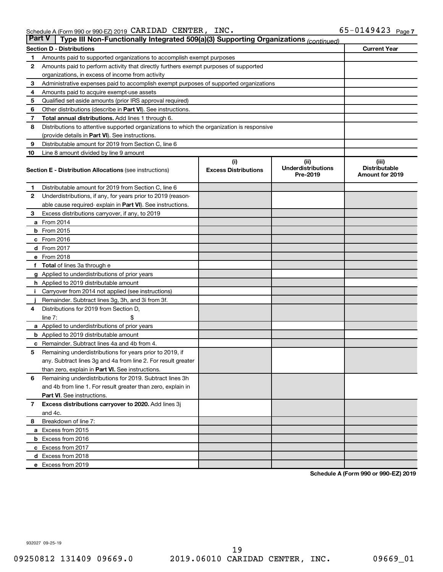| <b>Part V</b> | Type III Non-Functionally Integrated 509(a)(3) Supporting Organizations (continued)        |                             |                                       |                                                |  |  |  |
|---------------|--------------------------------------------------------------------------------------------|-----------------------------|---------------------------------------|------------------------------------------------|--|--|--|
|               | <b>Section D - Distributions</b>                                                           |                             |                                       | <b>Current Year</b>                            |  |  |  |
| 1             | Amounts paid to supported organizations to accomplish exempt purposes                      |                             |                                       |                                                |  |  |  |
| $\mathbf{2}$  | Amounts paid to perform activity that directly furthers exempt purposes of supported       |                             |                                       |                                                |  |  |  |
|               | organizations, in excess of income from activity                                           |                             |                                       |                                                |  |  |  |
| 3             | Administrative expenses paid to accomplish exempt purposes of supported organizations      |                             |                                       |                                                |  |  |  |
| 4             | Amounts paid to acquire exempt-use assets                                                  |                             |                                       |                                                |  |  |  |
| 5             | Qualified set-aside amounts (prior IRS approval required)                                  |                             |                                       |                                                |  |  |  |
| 6             | Other distributions (describe in Part VI). See instructions.                               |                             |                                       |                                                |  |  |  |
| 7             | Total annual distributions. Add lines 1 through 6.                                         |                             |                                       |                                                |  |  |  |
| 8             | Distributions to attentive supported organizations to which the organization is responsive |                             |                                       |                                                |  |  |  |
|               | (provide details in Part VI). See instructions.                                            |                             |                                       |                                                |  |  |  |
| 9             | Distributable amount for 2019 from Section C, line 6                                       |                             |                                       |                                                |  |  |  |
| 10            | Line 8 amount divided by line 9 amount                                                     |                             |                                       |                                                |  |  |  |
|               |                                                                                            | (i)                         | (ii)                                  | (iii)                                          |  |  |  |
|               | <b>Section E - Distribution Allocations (see instructions)</b>                             | <b>Excess Distributions</b> | <b>Underdistributions</b><br>Pre-2019 | <b>Distributable</b><br><b>Amount for 2019</b> |  |  |  |
| 1             | Distributable amount for 2019 from Section C, line 6                                       |                             |                                       |                                                |  |  |  |
| $\mathbf{2}$  | Underdistributions, if any, for years prior to 2019 (reason-                               |                             |                                       |                                                |  |  |  |
|               | able cause required- explain in Part VI). See instructions.                                |                             |                                       |                                                |  |  |  |
| 3             | Excess distributions carryover, if any, to 2019                                            |                             |                                       |                                                |  |  |  |
|               | a From 2014                                                                                |                             |                                       |                                                |  |  |  |
|               | <b>b</b> From 2015                                                                         |                             |                                       |                                                |  |  |  |
|               | c From 2016                                                                                |                             |                                       |                                                |  |  |  |
|               | <b>d</b> From 2017                                                                         |                             |                                       |                                                |  |  |  |
|               | e From 2018                                                                                |                             |                                       |                                                |  |  |  |
|               | f Total of lines 3a through e                                                              |                             |                                       |                                                |  |  |  |
|               | <b>g</b> Applied to underdistributions of prior years                                      |                             |                                       |                                                |  |  |  |
|               | h Applied to 2019 distributable amount                                                     |                             |                                       |                                                |  |  |  |
| Ť.            | Carryover from 2014 not applied (see instructions)                                         |                             |                                       |                                                |  |  |  |
|               | Remainder. Subtract lines 3g, 3h, and 3i from 3f.                                          |                             |                                       |                                                |  |  |  |
| 4             | Distributions for 2019 from Section D,                                                     |                             |                                       |                                                |  |  |  |
|               | line $7:$                                                                                  |                             |                                       |                                                |  |  |  |
|               | a Applied to underdistributions of prior years                                             |                             |                                       |                                                |  |  |  |
|               | <b>b</b> Applied to 2019 distributable amount                                              |                             |                                       |                                                |  |  |  |
| с             | Remainder. Subtract lines 4a and 4b from 4.                                                |                             |                                       |                                                |  |  |  |
| 5             | Remaining underdistributions for years prior to 2019, if                                   |                             |                                       |                                                |  |  |  |
|               | any. Subtract lines 3g and 4a from line 2. For result greater                              |                             |                                       |                                                |  |  |  |
|               | than zero, explain in Part VI. See instructions.                                           |                             |                                       |                                                |  |  |  |
| 6             | Remaining underdistributions for 2019. Subtract lines 3h                                   |                             |                                       |                                                |  |  |  |
|               | and 4b from line 1. For result greater than zero, explain in                               |                             |                                       |                                                |  |  |  |
|               | <b>Part VI.</b> See instructions.                                                          |                             |                                       |                                                |  |  |  |
| $\mathbf{7}$  | Excess distributions carryover to 2020. Add lines 3j                                       |                             |                                       |                                                |  |  |  |
|               | and 4c.                                                                                    |                             |                                       |                                                |  |  |  |
| 8             | Breakdown of line 7:                                                                       |                             |                                       |                                                |  |  |  |
|               | a Excess from 2015                                                                         |                             |                                       |                                                |  |  |  |
|               | <b>b</b> Excess from 2016                                                                  |                             |                                       |                                                |  |  |  |
|               | c Excess from 2017                                                                         |                             |                                       |                                                |  |  |  |
|               | d Excess from 2018                                                                         |                             |                                       |                                                |  |  |  |
|               | e Excess from 2019                                                                         |                             |                                       |                                                |  |  |  |

**Schedule A (Form 990 or 990-EZ) 2019**

932027 09-25-19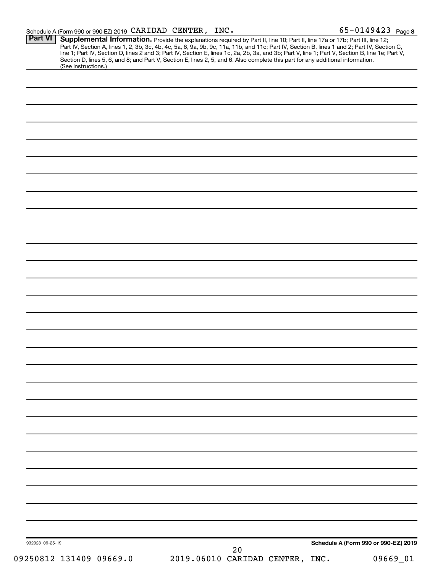|  | Schedule A (Form 990 or 990-EZ) 2019 $\rm {CARIDAD}$ $\rm {CENTER}$ , $\rm {INC}$ . |  |  |  | $65 - 0149423$ Page 8 |
|--|-------------------------------------------------------------------------------------|--|--|--|-----------------------|
|--|-------------------------------------------------------------------------------------|--|--|--|-----------------------|

| 932028 09-25-19 |                     |  | 20 | Schedule A (Form 990 or 990-EZ) 2019 |  |
|-----------------|---------------------|--|----|--------------------------------------|--|
|                 |                     |  |    |                                      |  |
|                 |                     |  |    |                                      |  |
|                 |                     |  |    |                                      |  |
|                 |                     |  |    |                                      |  |
|                 |                     |  |    |                                      |  |
|                 |                     |  |    |                                      |  |
|                 |                     |  |    |                                      |  |
|                 |                     |  |    |                                      |  |
|                 |                     |  |    |                                      |  |
|                 |                     |  |    |                                      |  |
|                 |                     |  |    |                                      |  |
|                 |                     |  |    |                                      |  |
|                 |                     |  |    |                                      |  |
|                 |                     |  |    |                                      |  |
|                 |                     |  |    |                                      |  |
|                 |                     |  |    |                                      |  |
|                 |                     |  |    |                                      |  |
|                 |                     |  |    |                                      |  |
|                 |                     |  |    |                                      |  |
|                 |                     |  |    |                                      |  |
|                 |                     |  |    |                                      |  |
|                 |                     |  |    |                                      |  |
|                 |                     |  |    |                                      |  |
|                 |                     |  |    |                                      |  |
|                 |                     |  |    |                                      |  |
|                 |                     |  |    |                                      |  |
|                 |                     |  |    |                                      |  |
|                 |                     |  |    |                                      |  |
|                 |                     |  |    |                                      |  |
|                 |                     |  |    |                                      |  |
|                 |                     |  |    |                                      |  |
|                 | (See instructions.) |  |    |                                      |  |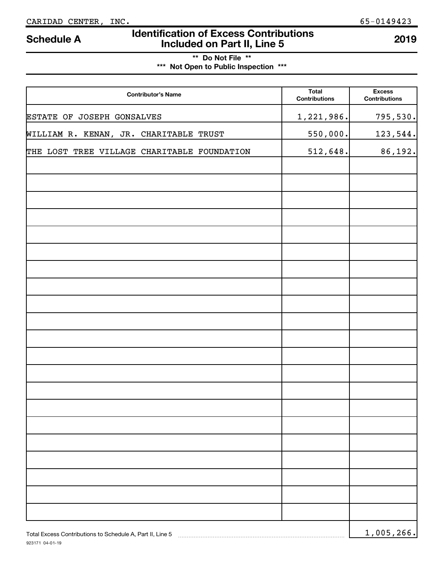923171 04-01-19

# **Identification of Excess Contributions Included on Part II, Line 5 Schedule A <sup>2019</sup>**

**\*\* Do Not File \*\* \*\*\* Not Open to Public Inspection \*\*\***

| <b>Contributor's Name</b>                                 | <b>Total</b><br><b>Contributions</b> | <b>Excess</b><br><b>Contributions</b> |
|-----------------------------------------------------------|--------------------------------------|---------------------------------------|
| ESTATE OF JOSEPH GONSALVES                                | 1,221,986.                           | 795,530.                              |
| WILLIAM R. KENAN, JR. CHARITABLE TRUST                    | 550,000.                             | 123,544.                              |
| THE LOST TREE VILLAGE CHARITABLE FOUNDATION               | 512,648.                             | 86,192.                               |
|                                                           |                                      |                                       |
|                                                           |                                      |                                       |
|                                                           |                                      |                                       |
|                                                           |                                      |                                       |
|                                                           |                                      |                                       |
|                                                           |                                      |                                       |
|                                                           |                                      |                                       |
|                                                           |                                      |                                       |
|                                                           |                                      |                                       |
|                                                           |                                      |                                       |
|                                                           |                                      |                                       |
|                                                           |                                      |                                       |
|                                                           |                                      |                                       |
|                                                           |                                      |                                       |
|                                                           |                                      |                                       |
|                                                           |                                      |                                       |
|                                                           |                                      |                                       |
|                                                           |                                      |                                       |
|                                                           |                                      |                                       |
|                                                           |                                      |                                       |
| Total Excess Contributions to Schedule A, Part II, Line 5 |                                      | 1,005,266.                            |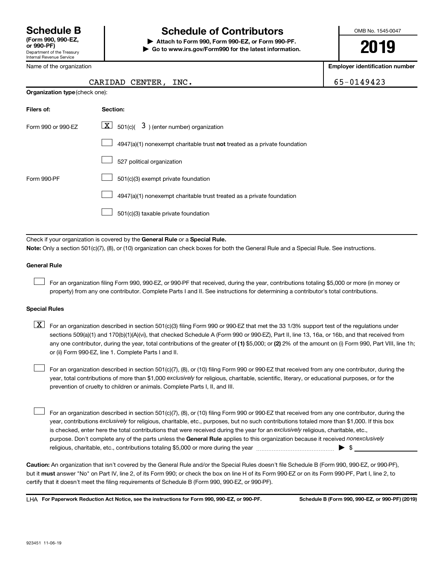Department of the Treasury Internal Revenue Service

## **Schedule B Schedule of Contributors**

**or 990-PF) | Attach to Form 990, Form 990-EZ, or Form 990-PF. | Go to www.irs.gov/Form990 for the latest information.** OMB No. 1545-0047

**2019**

**Employer identification number**

| CARIDAD CENTER, INC. | $65 - 0149423$ |
|----------------------|----------------|
|                      |                |

| Name of the organization |  |
|--------------------------|--|
|                          |  |

| <b>Organization type</b> (check one): |                                                                                    |  |  |  |  |
|---------------------------------------|------------------------------------------------------------------------------------|--|--|--|--|
| Filers of:                            | Section:                                                                           |  |  |  |  |
| Form 990 or 990-EZ                    | $\lfloor x \rfloor$ 501(c)( 3) (enter number) organization                         |  |  |  |  |
|                                       | $4947(a)(1)$ nonexempt charitable trust <b>not</b> treated as a private foundation |  |  |  |  |
|                                       | 527 political organization                                                         |  |  |  |  |
| Form 990-PF                           | 501(c)(3) exempt private foundation                                                |  |  |  |  |
|                                       | 4947(a)(1) nonexempt charitable trust treated as a private foundation              |  |  |  |  |
|                                       | 501(c)(3) taxable private foundation                                               |  |  |  |  |
|                                       |                                                                                    |  |  |  |  |

Check if your organization is covered by the General Rule or a Special Rule. **Note:**  Only a section 501(c)(7), (8), or (10) organization can check boxes for both the General Rule and a Special Rule. See instructions.

#### **General Rule**

 $\Box$ 

For an organization filing Form 990, 990-EZ, or 990-PF that received, during the year, contributions totaling \$5,000 or more (in money or property) from any one contributor. Complete Parts I and II. See instructions for determining a contributor's total contributions.

#### **Special Rules**

any one contributor, during the year, total contributions of the greater of (1) \$5,000; or (2) 2% of the amount on (i) Form 990, Part VIII, line 1h;  $\boxed{\text{X}}$  For an organization described in section 501(c)(3) filing Form 990 or 990-EZ that met the 33 1/3% support test of the regulations under sections 509(a)(1) and 170(b)(1)(A)(vi), that checked Schedule A (Form 990 or 990-EZ), Part II, line 13, 16a, or 16b, and that received from or (ii) Form 990-EZ, line 1. Complete Parts I and II.

year, total contributions of more than \$1,000 *exclusively* for religious, charitable, scientific, literary, or educational purposes, or for the For an organization described in section 501(c)(7), (8), or (10) filing Form 990 or 990-EZ that received from any one contributor, during the prevention of cruelty to children or animals. Complete Parts I, II, and III.  $\Box$ 

purpose. Don't complete any of the parts unless the General Rule applies to this organization because it received nonexclusively year, contributions exclusively for religious, charitable, etc., purposes, but no such contributions totaled more than \$1,000. If this box is checked, enter here the total contributions that were received during the year for an exclusively religious, charitable, etc., For an organization described in section 501(c)(7), (8), or (10) filing Form 990 or 990-EZ that received from any one contributor, during the religious, charitable, etc., contributions totaling \$5,000 or more during the year  $~\ldots\ldots\ldots\ldots\ldots\ldots\ldots\ldots\blacktriangleright~$ \$  $\Box$ 

**Caution:**  An organization that isn't covered by the General Rule and/or the Special Rules doesn't file Schedule B (Form 990, 990-EZ, or 990-PF),  **must** but it answer "No" on Part IV, line 2, of its Form 990; or check the box on line H of its Form 990-EZ or on its Form 990-PF, Part I, line 2, to certify that it doesn't meet the filing requirements of Schedule B (Form 990, 990-EZ, or 990-PF).

**For Paperwork Reduction Act Notice, see the instructions for Form 990, 990-EZ, or 990-PF. Schedule B (Form 990, 990-EZ, or 990-PF) (2019)** LHA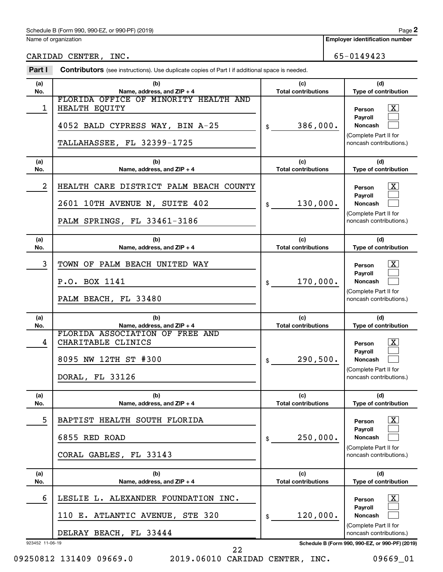Name of organization

**Employer identification number**

## CARIDAD CENTER, INC. 65-0149423

| Part I          | Contributors (see instructions). Use duplicate copies of Part I if additional space is needed.                          |                                   |                                                                                                         |
|-----------------|-------------------------------------------------------------------------------------------------------------------------|-----------------------------------|---------------------------------------------------------------------------------------------------------|
| (a)<br>No.      | (b)<br>Name, address, and ZIP + 4                                                                                       | (c)<br><b>Total contributions</b> | (d)<br>Type of contribution                                                                             |
| 1               | FLORIDA OFFICE OF MINORITY HEALTH AND<br>HEALTH EQUITY<br>4052 BALD CYPRESS WAY, BIN A-25<br>TALLAHASSEE, FL 32399-1725 | 386,000.<br>$\frac{1}{2}$         | $\mathbf{X}$<br>Person<br>Payroll<br>Noncash<br>(Complete Part II for<br>noncash contributions.)        |
| (a)<br>No.      | (b)<br>Name, address, and ZIP + 4                                                                                       | (c)<br><b>Total contributions</b> | (d)<br>Type of contribution                                                                             |
| 2               | HEALTH CARE DISTRICT PALM BEACH COUNTY<br>2601 10TH AVENUE N, SUITE 402<br>PALM SPRINGS, FL 33461-3186                  | 130,000.<br>$\frac{1}{2}$         | $\mathbf{X}$<br>Person<br>Payroll<br>Noncash<br>(Complete Part II for<br>noncash contributions.)        |
| (a)<br>No.      | (b)<br>Name, address, and ZIP + 4                                                                                       | (c)<br><b>Total contributions</b> | (d)<br>Type of contribution                                                                             |
| 3               | TOWN OF PALM BEACH UNITED WAY<br>P.O. BOX 1141<br>PALM BEACH, FL 33480                                                  | 170,000.<br>$\mathfrak s$         | $\mathbf{X}$<br>Person<br>Payroll<br>Noncash<br>(Complete Part II for<br>noncash contributions.)        |
| (a)<br>No.      | (b)<br>Name, address, and $ZIP + 4$                                                                                     | (c)<br><b>Total contributions</b> | (d)<br>Type of contribution                                                                             |
| 4               | FLORIDA ASSOCIATION OF FREE AND<br>CHARITABLE CLINICS<br>8095 NW 12TH ST #300<br>FL 33126<br>DORAL,                     | 290,500.<br>\$                    | $\mathbf{X}$<br>Person<br>Payroll<br>Noncash<br>(Complete Part II for<br>noncash contributions.)        |
| (a)<br>No.      | (b)<br>Name, address, and ZIP + 4                                                                                       | (c)<br><b>Total contributions</b> | (d)<br>Type of contribution                                                                             |
| 5               | BAPTIST HEALTH SOUTH FLORIDA<br>6855 RED ROAD<br>CORAL GABLES, FL 33143                                                 | 250,000.<br>\$                    | $\mathbf{X}$<br>Person<br>Payroll<br><b>Noncash</b><br>(Complete Part II for<br>noncash contributions.) |
| (a)<br>No.      | (b)<br>Name, address, and ZIP + 4                                                                                       | (c)<br><b>Total contributions</b> | (d)<br>Type of contribution                                                                             |
| 6               | LESLIE L. ALEXANDER FOUNDATION INC.<br>110 E. ATLANTIC AVENUE, STE 320<br>DELRAY BEACH, FL 33444                        | 120,000.<br>\$                    | <u>x</u><br>Person<br>Payroll<br><b>Noncash</b><br>(Complete Part II for<br>noncash contributions.)     |
| 923452 11-06-19 |                                                                                                                         |                                   | Schedule B (Form 990, 990-EZ, or 990-PF) (2019)                                                         |

09250812 131409 09669.0 2019.06010 CARIDAD CENTER, INC. 09669\_01

22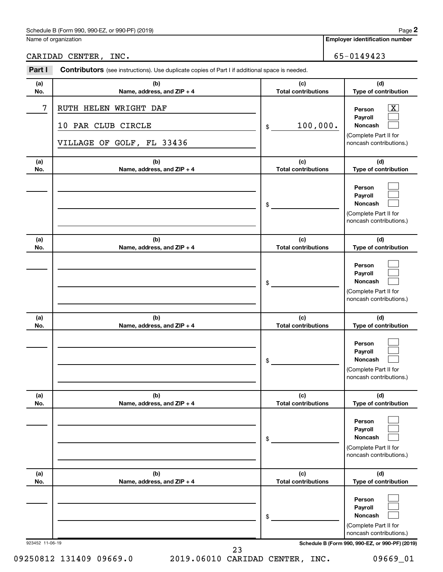Name of organization

## CARIDAD CENTER, INC. 65-0149423

| Part I          | <b>Contributors</b> (see instructions). Use duplicate copies of Part I if additional space is needed. |                                   |                                                                                                                                     |
|-----------------|-------------------------------------------------------------------------------------------------------|-----------------------------------|-------------------------------------------------------------------------------------------------------------------------------------|
| (a)<br>No.      | (b)<br>Name, address, and ZIP + 4                                                                     | (c)<br><b>Total contributions</b> | (d)<br>Type of contribution                                                                                                         |
| 7               | RUTH HELEN WRIGHT DAF<br>10 PAR CLUB CIRCLE<br>VILLAGE OF GOLF, FL 33436                              | 100,000.<br>\$                    | $\mathbf{X}$<br>Person<br>Payroll<br><b>Noncash</b><br>(Complete Part II for<br>noncash contributions.)                             |
| (a)<br>No.      | (b)<br>Name, address, and ZIP + 4                                                                     | (c)<br><b>Total contributions</b> | (d)<br>Type of contribution                                                                                                         |
|                 |                                                                                                       | \$                                | Person<br>Payroll<br>Noncash<br>(Complete Part II for<br>noncash contributions.)                                                    |
| (a)<br>No.      | (b)<br>Name, address, and ZIP + 4                                                                     | (c)<br><b>Total contributions</b> | (d)<br>Type of contribution                                                                                                         |
|                 |                                                                                                       | \$                                | Person<br>Payroll<br>Noncash<br>(Complete Part II for<br>noncash contributions.)                                                    |
| (a)<br>No.      | (b)<br>Name, address, and ZIP + 4                                                                     | (c)<br><b>Total contributions</b> | (d)<br>Type of contribution                                                                                                         |
|                 |                                                                                                       | \$                                | Person<br>Payroll<br>Noncash<br>(Complete Part II for<br>noncash contributions.)                                                    |
| (a)<br>No.      | (b)<br>Name, address, and ZIP + 4                                                                     | (c)<br><b>Total contributions</b> | (d)<br>Type of contribution                                                                                                         |
|                 |                                                                                                       | \$                                | Person<br>Payroll<br>Noncash<br>(Complete Part II for<br>noncash contributions.)                                                    |
| (a)<br>No.      | (b)<br>Name, address, and ZIP + 4                                                                     | (c)<br><b>Total contributions</b> | (d)<br>Type of contribution                                                                                                         |
| 923452 11-06-19 |                                                                                                       | \$                                | Person<br>Payroll<br>Noncash<br>(Complete Part II for<br>noncash contributions.)<br>Schedule B (Form 990, 990-EZ, or 990-PF) (2019) |
|                 |                                                                                                       | າາ                                |                                                                                                                                     |

23

09250812 131409 09669.0 2019.06010 CARIDAD CENTER, INC. 09669\_01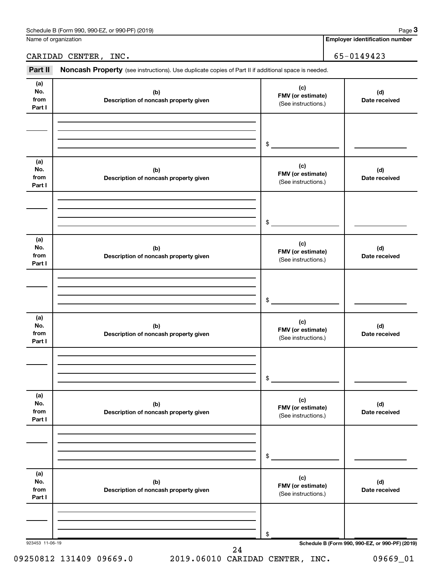Name of organization

**Employer identification number**

## CARIDAD CENTER, INC. 65-0149423

Part II Noncash Property (see instructions). Use duplicate copies of Part II if additional space is needed.

| No.<br>from<br>Part I        | (b)<br>Description of noncash property given | (c)<br>FMV (or estimate)<br>(See instructions.) | (d)<br>Date received                            |
|------------------------------|----------------------------------------------|-------------------------------------------------|-------------------------------------------------|
|                              |                                              | $$\circ$$                                       |                                                 |
| (a)<br>No.<br>from<br>Part I | (b)<br>Description of noncash property given | (c)<br>FMV (or estimate)<br>(See instructions.) | (d)<br>Date received                            |
|                              |                                              | $$\circ$$                                       |                                                 |
| (a)<br>No.<br>from<br>Part I | (b)<br>Description of noncash property given | (c)<br>FMV (or estimate)<br>(See instructions.) | (d)<br>Date received                            |
|                              |                                              | $$^{\circ}$                                     |                                                 |
| (a)<br>No.<br>from<br>Part I | (b)<br>Description of noncash property given | (c)<br>FMV (or estimate)<br>(See instructions.) | (d)<br>Date received                            |
|                              |                                              | $\frac{1}{2}$                                   |                                                 |
| (a)<br>No.<br>from<br>Part I | (b)<br>Description of noncash property given | (c)<br>FMV (or estimate)<br>(See instructions.) | (d)<br>Date received                            |
|                              |                                              | \$                                              |                                                 |
| (a)<br>No.<br>from<br>Part I | (b)<br>Description of noncash property given | (c)<br>FMV (or estimate)<br>(See instructions.) | (d)<br>Date received                            |
| 923453 11-06-19              |                                              | \$                                              | Schedule B (Form 990, 990-EZ, or 990-PF) (2019) |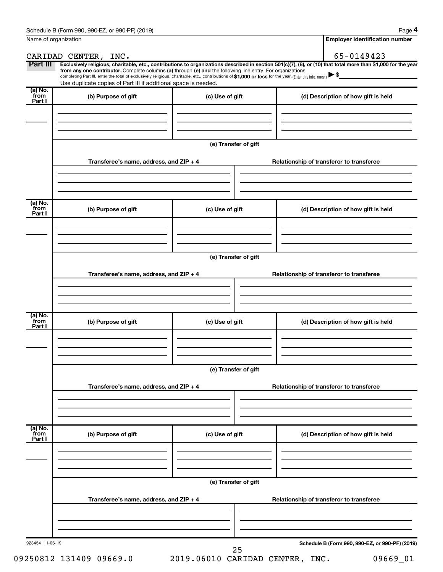**4**

|                           | Name of organization                                                                                                                                                                                                                                                                                                                      |                      | <b>Employer identification number</b>                                                                                                                          |  |  |  |  |
|---------------------------|-------------------------------------------------------------------------------------------------------------------------------------------------------------------------------------------------------------------------------------------------------------------------------------------------------------------------------------------|----------------------|----------------------------------------------------------------------------------------------------------------------------------------------------------------|--|--|--|--|
|                           | CARIDAD CENTER, INC.                                                                                                                                                                                                                                                                                                                      |                      | 65-0149423                                                                                                                                                     |  |  |  |  |
| Part III                  | from any one contributor. Complete columns (a) through (e) and the following line entry. For organizations<br>completing Part III, enter the total of exclusively religious, charitable, etc., contributions of \$1,000 or less for the year. (Enter this info. once.)<br>Use duplicate copies of Part III if additional space is needed. |                      | Exclusively religious, charitable, etc., contributions to organizations described in section 501(c)(7), (8), or (10) that total more than \$1,000 for the year |  |  |  |  |
| (a) No.<br>from<br>Part I | (b) Purpose of gift                                                                                                                                                                                                                                                                                                                       | (c) Use of gift      | (d) Description of how gift is held                                                                                                                            |  |  |  |  |
|                           |                                                                                                                                                                                                                                                                                                                                           |                      |                                                                                                                                                                |  |  |  |  |
|                           |                                                                                                                                                                                                                                                                                                                                           | (e) Transfer of gift |                                                                                                                                                                |  |  |  |  |
|                           | Transferee's name, address, and ZIP + 4                                                                                                                                                                                                                                                                                                   |                      | Relationship of transferor to transferee                                                                                                                       |  |  |  |  |
|                           |                                                                                                                                                                                                                                                                                                                                           |                      |                                                                                                                                                                |  |  |  |  |
| (a) No.<br>from<br>Part I | (b) Purpose of gift                                                                                                                                                                                                                                                                                                                       | (c) Use of gift      | (d) Description of how gift is held                                                                                                                            |  |  |  |  |
|                           |                                                                                                                                                                                                                                                                                                                                           |                      |                                                                                                                                                                |  |  |  |  |
|                           | (e) Transfer of gift                                                                                                                                                                                                                                                                                                                      |                      |                                                                                                                                                                |  |  |  |  |
|                           | Transferee's name, address, and ZIP + 4                                                                                                                                                                                                                                                                                                   |                      | Relationship of transferor to transferee                                                                                                                       |  |  |  |  |
|                           |                                                                                                                                                                                                                                                                                                                                           |                      |                                                                                                                                                                |  |  |  |  |
| (a) No.<br>from<br>Part I | (b) Purpose of gift                                                                                                                                                                                                                                                                                                                       | (c) Use of gift      | (d) Description of how gift is held                                                                                                                            |  |  |  |  |
|                           |                                                                                                                                                                                                                                                                                                                                           |                      |                                                                                                                                                                |  |  |  |  |
|                           | (e) Transfer of gift                                                                                                                                                                                                                                                                                                                      |                      |                                                                                                                                                                |  |  |  |  |
|                           | Transferee's name, address, and ZIP + 4                                                                                                                                                                                                                                                                                                   |                      | Relationship of transferor to transferee                                                                                                                       |  |  |  |  |
|                           |                                                                                                                                                                                                                                                                                                                                           |                      |                                                                                                                                                                |  |  |  |  |
| (a) No.<br>from<br>Part I | (b) Purpose of gift                                                                                                                                                                                                                                                                                                                       | (c) Use of gift      | (d) Description of how gift is held                                                                                                                            |  |  |  |  |
|                           |                                                                                                                                                                                                                                                                                                                                           |                      |                                                                                                                                                                |  |  |  |  |
|                           |                                                                                                                                                                                                                                                                                                                                           |                      |                                                                                                                                                                |  |  |  |  |
|                           |                                                                                                                                                                                                                                                                                                                                           | (e) Transfer of gift |                                                                                                                                                                |  |  |  |  |
|                           | Transferee's name, address, and ZIP + 4                                                                                                                                                                                                                                                                                                   |                      | Relationship of transferor to transferee                                                                                                                       |  |  |  |  |

09250812 131409 09669.0 2019.06010 CARIDAD CENTER, INC. 09669\_01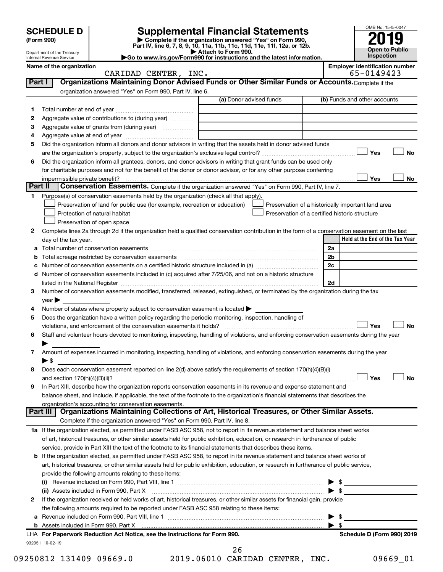| <b>CHEDULE D</b> |  |
|------------------|--|
| ימחה ----        |  |

# **SCHEDULE D Supplemental Financial Statements**<br> **Form 990 2019**<br> **Part IV** line 6.7.8.9.10, 11a, 11b, 11d, 11d, 11d, 11d, 11d, 12a, 0r, 12b

**(Form 990) | Complete if the organization answered "Yes" on Form 990, Part IV, line 6, 7, 8, 9, 10, 11a, 11b, 11c, 11d, 11e, 11f, 12a, or 12b.**

**| Attach to Form 990. |Go to www.irs.gov/Form990 for instructions and the latest information.**



Department of the Treasury Name of the organization<br>**CARIDAD CENTER** FRIC **CARIDAD CENTER** FRIC **EXAMPLE 199423** 

Internal Revenue Service

**Part II** 

|         | CARIDAD CENTER, INC.                                                                                                                           | 65-0149423                                         |
|---------|------------------------------------------------------------------------------------------------------------------------------------------------|----------------------------------------------------|
| Part I  | Organizations Maintaining Donor Advised Funds or Other Similar Funds or Accounts. Complete if the                                              |                                                    |
|         | organization answered "Yes" on Form 990, Part IV, line 6.                                                                                      |                                                    |
|         | (a) Donor advised funds                                                                                                                        | (b) Funds and other accounts                       |
| 1       |                                                                                                                                                |                                                    |
| 2       | Aggregate value of contributions to (during year)                                                                                              |                                                    |
| З       |                                                                                                                                                |                                                    |
| 4       |                                                                                                                                                |                                                    |
| 5       | Did the organization inform all donors and donor advisors in writing that the assets held in donor advised funds                               |                                                    |
|         |                                                                                                                                                | Yes<br>No                                          |
| 6       | Did the organization inform all grantees, donors, and donor advisors in writing that grant funds can be used only                              |                                                    |
|         | for charitable purposes and not for the benefit of the donor or donor advisor, or for any other purpose conferring                             |                                                    |
|         | impermissible private benefit?                                                                                                                 | Yes<br>No                                          |
| Part II | Conservation Easements. Complete if the organization answered "Yes" on Form 990, Part IV, line 7.                                              |                                                    |
| 1.      | Purpose(s) of conservation easements held by the organization (check all that apply).                                                          |                                                    |
|         | Preservation of land for public use (for example, recreation or education)                                                                     | Preservation of a historically important land area |
|         | Protection of natural habitat                                                                                                                  | Preservation of a certified historic structure     |
|         | Preservation of open space                                                                                                                     |                                                    |
| 2       | Complete lines 2a through 2d if the organization held a qualified conservation contribution in the form of a conservation easement on the last |                                                    |
|         | day of the tax year.                                                                                                                           | Held at the End of the Tax Year                    |
| а       |                                                                                                                                                | 2a                                                 |
| b       | Total acreage restricted by conservation easements                                                                                             | 2b                                                 |
|         |                                                                                                                                                | 2c                                                 |
| d       | Number of conservation easements included in (c) acquired after 7/25/06, and not on a historic structure                                       |                                                    |
|         | listed in the National Register [111] Martin March 1999 (1999) and the National Assembly March 1999 (1999) and                                 | 2d                                                 |
| 3       | Number of conservation easements modified, transferred, released, extinguished, or terminated by the organization during the tax               |                                                    |
|         | year                                                                                                                                           |                                                    |
| 4       | Number of states where property subject to conservation easement is located >                                                                  |                                                    |
| 5       | Does the organization have a written policy regarding the periodic monitoring, inspection, handling of                                         |                                                    |
|         | violations, and enforcement of the conservation easements it holds?                                                                            | Yes<br>No                                          |
| 6       | Staff and volunteer hours devoted to monitoring, inspecting, handling of violations, and enforcing conservation easements during the year      |                                                    |
|         |                                                                                                                                                |                                                    |
| 7       | Amount of expenses incurred in monitoring, inspecting, handling of violations, and enforcing conservation easements during the year            |                                                    |
|         | ▶ \$                                                                                                                                           |                                                    |
| 8       | Does each conservation easement reported on line 2(d) above satisfy the requirements of section 170(h)(4)(B)(i)                                |                                                    |
|         |                                                                                                                                                | Yes<br>No                                          |
| 9       | In Part XIII, describe how the organization reports conservation easements in its revenue and expense statement and                            |                                                    |
|         | balance sheet, and include, if applicable, the text of the footnote to the organization's financial statements that describes the              |                                                    |
|         | organization's accounting for conservation easements.                                                                                          |                                                    |
|         | Organizations Maintaining Collections of Art, Historical Treasures, or Other Similar Assets.<br>Part III                                       |                                                    |
|         | Complete if the organization answered "Yes" on Form 990, Part IV, line 8.                                                                      |                                                    |
|         | 1a If the organization elected, as permitted under FASB ASC 958, not to report in its revenue statement and balance sheet works                |                                                    |
|         | of art, historical treasures, or other similar assets held for public exhibition, education, or research in furtherance of public              |                                                    |
|         | service, provide in Part XIII the text of the footnote to its financial statements that describes these items.                                 |                                                    |
| b       | If the organization elected, as permitted under FASB ASC 958, to report in its revenue statement and balance sheet works of                    |                                                    |
|         | art, historical treasures, or other similar assets held for public exhibition, education, or research in furtherance of public service,        |                                                    |
|         | provide the following amounts relating to these items:                                                                                         |                                                    |
|         |                                                                                                                                                | \$                                                 |
|         | (ii) Assets included in Form 990, Part X                                                                                                       | -\$                                                |
| 2       | If the organization received or held works of art, historical treasures, or other similar assets for financial gain, provide                   |                                                    |
|         | the following amounts required to be reported under FASB ASC 958 relating to these items:                                                      |                                                    |
|         |                                                                                                                                                | \$                                                 |
|         | <b>b</b> Assets included in Form 990, Part X                                                                                                   | -\$                                                |
|         | LHA For Paperwork Reduction Act Notice, see the Instructions for Form 990.                                                                     | Schedule D (Form 990) 2019                         |

932051 10-02-19

09250812 131409 09669.0 2019.06010 CARIDAD CENTER, INC. 09669\_01 26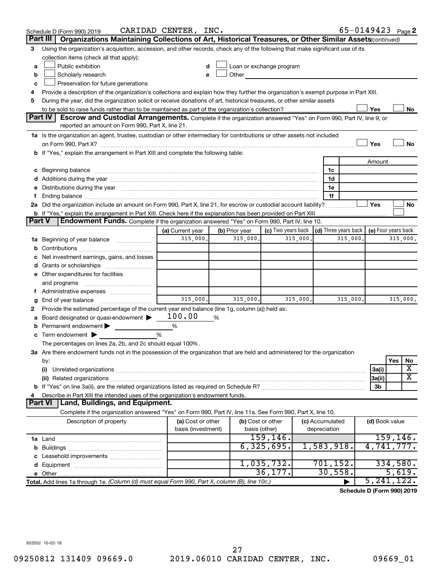|               | Schedule D (Form 990) 2019                                                                                                                                                                                                     | CARIDAD CENTER, INC. |   |                |                                                                                                                                                                                                                               |          |                 | $65 - 0149423$ Page 2      |                     |           |                       |
|---------------|--------------------------------------------------------------------------------------------------------------------------------------------------------------------------------------------------------------------------------|----------------------|---|----------------|-------------------------------------------------------------------------------------------------------------------------------------------------------------------------------------------------------------------------------|----------|-----------------|----------------------------|---------------------|-----------|-----------------------|
|               | Organizations Maintaining Collections of Art, Historical Treasures, or Other Similar Assets (continued)<br>Part III                                                                                                            |                      |   |                |                                                                                                                                                                                                                               |          |                 |                            |                     |           |                       |
| 3             | Using the organization's acquisition, accession, and other records, check any of the following that make significant use of its                                                                                                |                      |   |                |                                                                                                                                                                                                                               |          |                 |                            |                     |           |                       |
|               | collection items (check all that apply):                                                                                                                                                                                       |                      |   |                |                                                                                                                                                                                                                               |          |                 |                            |                     |           |                       |
| a             | Public exhibition                                                                                                                                                                                                              |                      |   |                | Loan or exchange program                                                                                                                                                                                                      |          |                 |                            |                     |           |                       |
| b             | Scholarly research                                                                                                                                                                                                             |                      | е |                | Other and the contract of the contract of the contract of the contract of the contract of the contract of the contract of the contract of the contract of the contract of the contract of the contract of the contract of the |          |                 |                            |                     |           |                       |
| c             | Preservation for future generations                                                                                                                                                                                            |                      |   |                |                                                                                                                                                                                                                               |          |                 |                            |                     |           |                       |
| 4             | Provide a description of the organization's collections and explain how they further the organization's exempt purpose in Part XIII.                                                                                           |                      |   |                |                                                                                                                                                                                                                               |          |                 |                            |                     |           |                       |
| 5             | During the year, did the organization solicit or receive donations of art, historical treasures, or other similar assets                                                                                                       |                      |   |                |                                                                                                                                                                                                                               |          |                 |                            |                     |           |                       |
|               |                                                                                                                                                                                                                                |                      |   |                |                                                                                                                                                                                                                               |          |                 |                            | Yes                 |           | No                    |
|               | Part IV<br><b>Escrow and Custodial Arrangements.</b> Complete if the organization answered "Yes" on Form 990, Part IV, line 9, or                                                                                              |                      |   |                |                                                                                                                                                                                                                               |          |                 |                            |                     |           |                       |
|               | reported an amount on Form 990, Part X, line 21.                                                                                                                                                                               |                      |   |                |                                                                                                                                                                                                                               |          |                 |                            |                     |           |                       |
|               | 1a Is the organization an agent, trustee, custodian or other intermediary for contributions or other assets not included                                                                                                       |                      |   |                |                                                                                                                                                                                                                               |          |                 |                            |                     |           |                       |
|               |                                                                                                                                                                                                                                |                      |   |                |                                                                                                                                                                                                                               |          |                 |                            | Yes                 |           | No                    |
|               | b If "Yes," explain the arrangement in Part XIII and complete the following table:                                                                                                                                             |                      |   |                |                                                                                                                                                                                                                               |          |                 |                            |                     |           |                       |
|               |                                                                                                                                                                                                                                |                      |   |                |                                                                                                                                                                                                                               |          |                 |                            | Amount              |           |                       |
|               | c Beginning balance measurements and the contract of the contract of the contract of the contract of the contract of the contract of the contract of the contract of the contract of the contract of the contract of the contr |                      |   |                |                                                                                                                                                                                                                               |          | 1c<br>1d        |                            |                     |           |                       |
|               | e Distributions during the year manufactured and continuum and contact the control of the control of the control of the control of the control of the control of the control of the control of the control of the control of t |                      |   |                |                                                                                                                                                                                                                               |          | 1e              |                            |                     |           |                       |
| Ť.            |                                                                                                                                                                                                                                |                      |   |                |                                                                                                                                                                                                                               |          | 1f              |                            |                     |           |                       |
|               | 2a Did the organization include an amount on Form 990, Part X, line 21, for escrow or custodial account liability?                                                                                                             |                      |   |                |                                                                                                                                                                                                                               |          |                 |                            | Yes                 |           | No                    |
|               |                                                                                                                                                                                                                                |                      |   |                |                                                                                                                                                                                                                               |          |                 |                            |                     |           |                       |
| <b>Part V</b> | <b>Endowment Funds.</b> Complete if the organization answered "Yes" on Form 990, Part IV, line 10.                                                                                                                             |                      |   |                |                                                                                                                                                                                                                               |          |                 |                            |                     |           |                       |
|               |                                                                                                                                                                                                                                | (a) Current year     |   | (b) Prior year | (c) Two years back $\vert$ (d) Three years back $\vert$                                                                                                                                                                       |          |                 |                            | (e) Four years back |           |                       |
|               | 1a Beginning of year balance                                                                                                                                                                                                   | 315,000.             |   | 315,000.       |                                                                                                                                                                                                                               | 315,000. |                 | 315,000.                   |                     | 315,000.  |                       |
| b             |                                                                                                                                                                                                                                |                      |   |                |                                                                                                                                                                                                                               |          |                 |                            |                     |           |                       |
|               | Net investment earnings, gains, and losses                                                                                                                                                                                     |                      |   |                |                                                                                                                                                                                                                               |          |                 |                            |                     |           |                       |
|               |                                                                                                                                                                                                                                |                      |   |                |                                                                                                                                                                                                                               |          |                 |                            |                     |           |                       |
|               | e Other expenditures for facilities                                                                                                                                                                                            |                      |   |                |                                                                                                                                                                                                                               |          |                 |                            |                     |           |                       |
|               | and programs                                                                                                                                                                                                                   |                      |   |                |                                                                                                                                                                                                                               |          |                 |                            |                     |           |                       |
|               | f Administrative expenses                                                                                                                                                                                                      |                      |   |                |                                                                                                                                                                                                                               |          |                 |                            |                     |           |                       |
| g             |                                                                                                                                                                                                                                | 315,000.             |   | 315,000.       |                                                                                                                                                                                                                               | 315,000. |                 | 315,000.                   |                     |           | 315,000.              |
| 2             | Provide the estimated percentage of the current year end balance (line 1g, column (a)) held as:                                                                                                                                |                      |   |                |                                                                                                                                                                                                                               |          |                 |                            |                     |           |                       |
| а             | Board designated or quasi-endowment                                                                                                                                                                                            | 100.00               | % |                |                                                                                                                                                                                                                               |          |                 |                            |                     |           |                       |
| b             | Permanent endowment                                                                                                                                                                                                            | %                    |   |                |                                                                                                                                                                                                                               |          |                 |                            |                     |           |                       |
|               | $\mathbf c$ Term endowment $\blacktriangleright$                                                                                                                                                                               | %                    |   |                |                                                                                                                                                                                                                               |          |                 |                            |                     |           |                       |
|               | The percentages on lines 2a, 2b, and 2c should equal 100%.                                                                                                                                                                     |                      |   |                |                                                                                                                                                                                                                               |          |                 |                            |                     |           |                       |
|               | 3a Are there endowment funds not in the possession of the organization that are held and administered for the organization                                                                                                     |                      |   |                |                                                                                                                                                                                                                               |          |                 |                            |                     |           |                       |
|               | by:                                                                                                                                                                                                                            |                      |   |                |                                                                                                                                                                                                                               |          |                 |                            |                     | Yes       | No<br>X               |
|               | (i)                                                                                                                                                                                                                            |                      |   |                |                                                                                                                                                                                                                               |          |                 |                            | 3a(i)               |           | $\overline{\text{X}}$ |
|               |                                                                                                                                                                                                                                |                      |   |                |                                                                                                                                                                                                                               |          |                 |                            | 3a(ii)<br>3b        |           |                       |
| 4             | Describe in Part XIII the intended uses of the organization's endowment funds.                                                                                                                                                 |                      |   |                |                                                                                                                                                                                                                               |          |                 |                            |                     |           |                       |
|               | <b>Part VI</b><br>Land, Buildings, and Equipment.                                                                                                                                                                              |                      |   |                |                                                                                                                                                                                                                               |          |                 |                            |                     |           |                       |
|               | Complete if the organization answered "Yes" on Form 990, Part IV, line 11a. See Form 990, Part X, line 10.                                                                                                                     |                      |   |                |                                                                                                                                                                                                                               |          |                 |                            |                     |           |                       |
|               | Description of property                                                                                                                                                                                                        | (a) Cost or other    |   |                | (b) Cost or other                                                                                                                                                                                                             |          | (c) Accumulated |                            | (d) Book value      |           |                       |
|               |                                                                                                                                                                                                                                | basis (investment)   |   |                | basis (other)                                                                                                                                                                                                                 |          | depreciation    |                            |                     |           |                       |
|               |                                                                                                                                                                                                                                |                      |   |                | 159,146.                                                                                                                                                                                                                      |          |                 |                            |                     | 159, 146. |                       |
|               |                                                                                                                                                                                                                                |                      |   |                | 6, 325, 695.                                                                                                                                                                                                                  |          | 1,583,918.      |                            | 4,741,777.          |           |                       |
|               |                                                                                                                                                                                                                                |                      |   |                |                                                                                                                                                                                                                               |          |                 |                            |                     |           |                       |
|               |                                                                                                                                                                                                                                |                      |   |                | 1,035,732.                                                                                                                                                                                                                    |          | 701, 152.       |                            |                     | 334,580.  |                       |
|               |                                                                                                                                                                                                                                |                      |   |                | 36, 177.                                                                                                                                                                                                                      |          | 30,558.         |                            |                     | 5,619.    |                       |
|               | Total. Add lines 1a through 1e. (Column (d) must equal Form 990, Part X, column (B), line 10c.)                                                                                                                                |                      |   |                |                                                                                                                                                                                                                               |          |                 |                            | 5, 241, 122.        |           |                       |
|               |                                                                                                                                                                                                                                |                      |   |                |                                                                                                                                                                                                                               |          |                 | Schedule D (Form 990) 2019 |                     |           |                       |

932052 10-02-19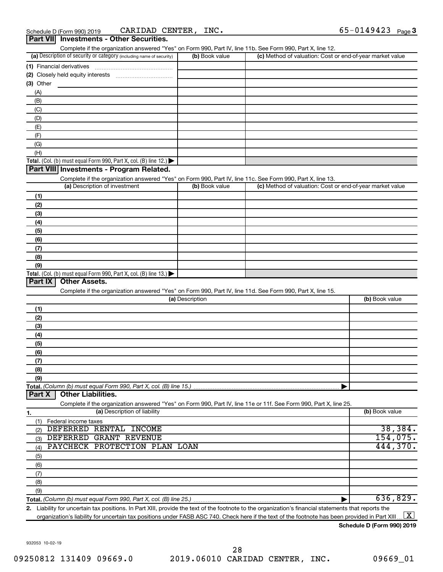| Complete if the organization answered "Yes" on Form 990, Part IV, line 11b. See Form 990, Part X, line 12.                                  |                 |                                                           |                                 |
|---------------------------------------------------------------------------------------------------------------------------------------------|-----------------|-----------------------------------------------------------|---------------------------------|
| (a) Description of security or category (including name of security)                                                                        | (b) Book value  | (c) Method of valuation: Cost or end-of-year market value |                                 |
|                                                                                                                                             |                 |                                                           |                                 |
|                                                                                                                                             |                 |                                                           |                                 |
| $(3)$ Other                                                                                                                                 |                 |                                                           |                                 |
| (A)                                                                                                                                         |                 |                                                           |                                 |
| (B)                                                                                                                                         |                 |                                                           |                                 |
| (C)                                                                                                                                         |                 |                                                           |                                 |
| (D)                                                                                                                                         |                 |                                                           |                                 |
| (E)                                                                                                                                         |                 |                                                           |                                 |
| (F)                                                                                                                                         |                 |                                                           |                                 |
| (G)                                                                                                                                         |                 |                                                           |                                 |
| (H)                                                                                                                                         |                 |                                                           |                                 |
| Total. (Col. (b) must equal Form 990, Part X, col. (B) line 12.) $\blacktriangleright$<br>Part VIII Investments - Program Related.          |                 |                                                           |                                 |
|                                                                                                                                             |                 |                                                           |                                 |
| Complete if the organization answered "Yes" on Form 990, Part IV, line 11c. See Form 990, Part X, line 13.<br>(a) Description of investment | (b) Book value  | (c) Method of valuation: Cost or end-of-year market value |                                 |
|                                                                                                                                             |                 |                                                           |                                 |
| (1)                                                                                                                                         |                 |                                                           |                                 |
| (2)                                                                                                                                         |                 |                                                           |                                 |
| (3)                                                                                                                                         |                 |                                                           |                                 |
| (4)                                                                                                                                         |                 |                                                           |                                 |
| (5)                                                                                                                                         |                 |                                                           |                                 |
| (6)                                                                                                                                         |                 |                                                           |                                 |
| (7)                                                                                                                                         |                 |                                                           |                                 |
| (8)<br>(9)                                                                                                                                  |                 |                                                           |                                 |
| Total. (Col. (b) must equal Form 990, Part X, col. (B) line 13.)                                                                            |                 |                                                           |                                 |
| <b>Other Assets.</b><br>Part IX                                                                                                             |                 |                                                           |                                 |
| Complete if the organization answered "Yes" on Form 990, Part IV, line 11d. See Form 990, Part X, line 15.                                  |                 |                                                           |                                 |
|                                                                                                                                             | (a) Description |                                                           | (b) Book value                  |
| (1)                                                                                                                                         |                 |                                                           |                                 |
| (2)                                                                                                                                         |                 |                                                           |                                 |
| (3)                                                                                                                                         |                 |                                                           |                                 |
| (4)                                                                                                                                         |                 |                                                           |                                 |
| (5)                                                                                                                                         |                 |                                                           |                                 |
| (6)                                                                                                                                         |                 |                                                           |                                 |
| (7)                                                                                                                                         |                 |                                                           |                                 |
|                                                                                                                                             |                 |                                                           |                                 |
|                                                                                                                                             |                 |                                                           |                                 |
| (8)                                                                                                                                         |                 |                                                           |                                 |
| (9)                                                                                                                                         |                 |                                                           |                                 |
|                                                                                                                                             |                 |                                                           |                                 |
| <b>Other Liabilities.</b><br>Part X                                                                                                         |                 |                                                           |                                 |
| Complete if the organization answered "Yes" on Form 990, Part IV, line 11e or 11f. See Form 990, Part X, line 25.                           |                 |                                                           | (b) Book value                  |
| (a) Description of liability                                                                                                                |                 |                                                           |                                 |
| Federal income taxes<br>(1)                                                                                                                 |                 |                                                           |                                 |
| DEFERRED RENTAL INCOME<br>(2)                                                                                                               |                 |                                                           |                                 |
| DEFERRED GRANT REVENUE<br>(3)                                                                                                               |                 |                                                           |                                 |
| PAYCHECK PROTECTION PLAN LOAN<br>(4)                                                                                                        |                 |                                                           |                                 |
| (5)                                                                                                                                         |                 |                                                           |                                 |
| (6)                                                                                                                                         |                 |                                                           |                                 |
| (7)                                                                                                                                         |                 |                                                           |                                 |
| (8)                                                                                                                                         |                 |                                                           | 38,384.<br>154,075.<br>444,370. |
| Total. (Column (b) must equal Form 990, Part X, col. (B) line 15.)<br>1.<br>(9)                                                             |                 |                                                           | 636,829.                        |

**2.** Liability for uncertain tax positions. In Part XIII, provide the text of the footnote to the organization's financial statements that reports the organization's liability for uncertain tax positions under FASB ASC 740. Check here if the text of the footnote has been provided in Part XIII..  $\boxed{\text{X}}$ 

#### **Schedule D (Form 990) 2019**

932053 10-02-19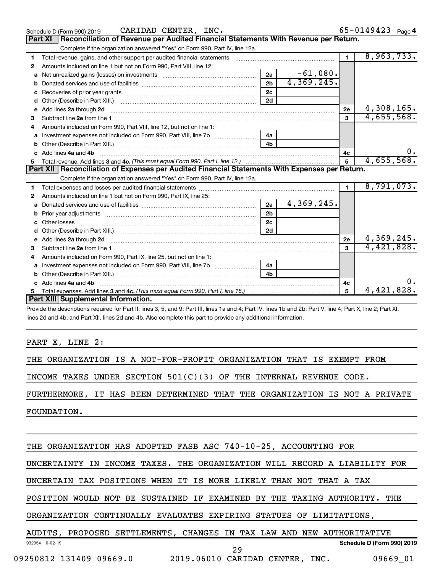|   | CARIDAD CENTER, INC.<br>Schedule D (Form 990) 2019                                                                                                                                                                                  |                |            |                | 65-0149423 Page 4 |
|---|-------------------------------------------------------------------------------------------------------------------------------------------------------------------------------------------------------------------------------------|----------------|------------|----------------|-------------------|
|   | Reconciliation of Revenue per Audited Financial Statements With Revenue per Return.<br>Part XI                                                                                                                                      |                |            |                |                   |
|   | Complete if the organization answered "Yes" on Form 990, Part IV, line 12a.                                                                                                                                                         |                |            |                |                   |
| 1 | Total revenue, gains, and other support per audited financial statements [111] [11] Total revenue, gains, and other support per audited financial statements                                                                        |                |            | $\blacksquare$ | 8,963,733.        |
| 2 | Amounts included on line 1 but not on Form 990, Part VIII, line 12:                                                                                                                                                                 |                |            |                |                   |
| a |                                                                                                                                                                                                                                     | 2a             | $-61,080.$ |                |                   |
| b |                                                                                                                                                                                                                                     | 2 <sub>b</sub> | 4,369,245. |                |                   |
| c |                                                                                                                                                                                                                                     | 2c             |            |                |                   |
| d |                                                                                                                                                                                                                                     | 2d             |            |                |                   |
| е | Add lines 2a through 2d <b>[10]</b> University of the state of the state of the state of the state of the state of the state of the state of the state of the state of the state of the state of the state of the state of the stat |                |            | 2e             | 4,308,165.        |
| з |                                                                                                                                                                                                                                     |                |            | 3              | 4,655,568.        |
|   | Amounts included on Form 990, Part VIII, line 12, but not on line 1:                                                                                                                                                                |                |            |                |                   |
| a |                                                                                                                                                                                                                                     | 4a             |            |                |                   |
| b |                                                                                                                                                                                                                                     | 4 <sub>b</sub> |            |                |                   |
|   | Add lines 4a and 4b                                                                                                                                                                                                                 |                |            | 4c             | υ.                |
| 5 |                                                                                                                                                                                                                                     |                |            | $5^{\circ}$    | 4,655,568.        |
|   | Part XII Reconciliation of Expenses per Audited Financial Statements With Expenses per Return.                                                                                                                                      |                |            |                |                   |
|   |                                                                                                                                                                                                                                     |                |            |                |                   |
|   | Complete if the organization answered "Yes" on Form 990, Part IV, line 12a.                                                                                                                                                         |                |            |                |                   |
| 1 |                                                                                                                                                                                                                                     |                |            | $\mathbf{1}$   | 8,791,073.        |
| 2 | Amounts included on line 1 but not on Form 990, Part IX, line 25:                                                                                                                                                                   |                |            |                |                   |
| a |                                                                                                                                                                                                                                     | 2a             | 4,369,245. |                |                   |
|   |                                                                                                                                                                                                                                     | 2 <sub>b</sub> |            |                |                   |
| c |                                                                                                                                                                                                                                     | 2 <sub>c</sub> |            |                |                   |
| d |                                                                                                                                                                                                                                     | 2d             |            |                |                   |
|   | Add lines 2a through 2d <b>contained a contained a contained a contained a</b> contained a contact the set of the set of the set of the set of the set of the set of the set of the set of the set of the set of the set of the set |                |            | 2e             | 4,369,245.        |
| з |                                                                                                                                                                                                                                     |                |            |                | 4,421,828.        |
| 4 | Amounts included on Form 990, Part IX, line 25, but not on line 1:                                                                                                                                                                  |                |            |                |                   |
| a |                                                                                                                                                                                                                                     | 4a             |            |                |                   |
| b |                                                                                                                                                                                                                                     | 4h.            |            |                |                   |
|   | c Add lines 4a and 4b                                                                                                                                                                                                               |                |            | 4c             | 0.                |
|   | Part XIII Supplemental Information.                                                                                                                                                                                                 |                |            | 5              | 4,421,828.        |

Provide the descriptions required for Part II, lines 3, 5, and 9; Part III, lines 1a and 4; Part IV, lines 1b and 2b; Part V, line 4; Part X, line 2; Part XI, lines 2d and 4b; and Part XII, lines 2d and 4b. Also complete this part to provide any additional information.

#### PART X, LINE 2:

THE ORGANIZATION IS A NOT-FOR-PROFIT ORGANIZATION THAT IS EXEMPT FROM

INCOME TAXES UNDER SECTION 501(C)(3) OF THE INTERNAL REVENUE CODE.

FURTHERMORE, IT HAS BEEN DETERMINED THAT THE ORGANIZATION IS NOT A PRIVATE

FOUNDATION.

THE ORGANIZATION HAS ADOPTED FASB ASC 740-10-25, ACCOUNTING FOR

UNCERTAINTY IN INCOME TAXES. THE ORGANIZATION WILL RECORD A LIABILITY FOR

UNCERTAIN TAX POSITIONS WHEN IT IS MORE LIKELY THAN NOT THAT A TAX

POSITION WOULD NOT BE SUSTAINED IF EXAMINED BY THE TAXING AUTHORITY. THE

ORGANIZATION CONTINUALLY EVALUATES EXPIRING STATUES OF LIMITATIONS,

932054 10-02-19 **Schedule D (Form 990) 2019** AUDITS, PROPOSED SETTLEMENTS, CHANGES IN TAX LAW AND NEW AUTHORITATIVE 09250812 131409 09669.0 2019.06010 CARIDAD CENTER, INC. 09669\_01 29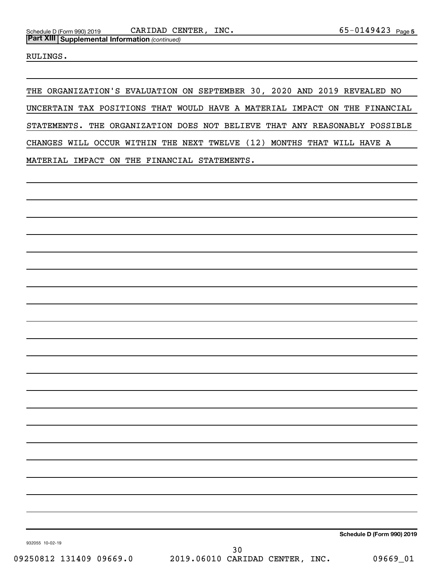RULINGS.

THE ORGANIZATION'S EVALUATION ON SEPTEMBER 30, 2020 AND 2019 REVEALED NO UNCERTAIN TAX POSITIONS THAT WOULD HAVE A MATERIAL IMPACT ON THE FINANCIAL STATEMENTS. THE ORGANIZATION DOES NOT BELIEVE THAT ANY REASONABLY POSSIBLE CHANGES WILL OCCUR WITHIN THE NEXT TWELVE (12) MONTHS THAT WILL HAVE A MATERIAL IMPACT ON THE FINANCIAL STATEMENTS.

**Schedule D (Form 990) 2019**

932055 10-02-19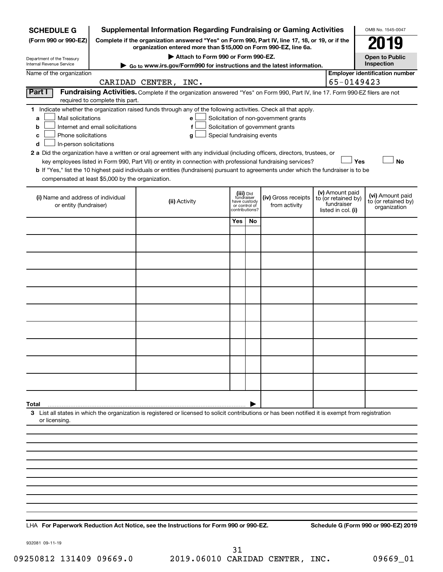| <b>SCHEDULE G</b>                                            |                                  | <b>Supplemental Information Regarding Fundraising or Gaming Activities</b>                                                                                          |                         |                                 |                                       |                                   | OMB No. 1545-0047                     |
|--------------------------------------------------------------|----------------------------------|---------------------------------------------------------------------------------------------------------------------------------------------------------------------|-------------------------|---------------------------------|---------------------------------------|-----------------------------------|---------------------------------------|
| (Form 990 or 990-EZ)                                         |                                  | Complete if the organization answered "Yes" on Form 990, Part IV, line 17, 18, or 19, or if the<br>organization entered more than \$15,000 on Form 990-EZ, line 6a. |                         |                                 |                                       |                                   |                                       |
| Department of the Treasury                                   |                                  | Attach to Form 990 or Form 990-EZ.                                                                                                                                  |                         |                                 |                                       |                                   | <b>Open to Public</b>                 |
| Internal Revenue Service                                     |                                  | Go to www.irs.gov/Form990 for instructions and the latest information.                                                                                              |                         |                                 |                                       |                                   | Inspection                            |
| Name of the organization                                     |                                  | CARIDAD CENTER, INC.                                                                                                                                                |                         |                                 |                                       | 65-0149423                        | <b>Employer identification number</b> |
| Part I                                                       |                                  | Fundraising Activities. Complete if the organization answered "Yes" on Form 990, Part IV, line 17. Form 990-EZ filers are not                                       |                         |                                 |                                       |                                   |                                       |
|                                                              | required to complete this part.  |                                                                                                                                                                     |                         |                                 |                                       |                                   |                                       |
| Mail solicitations<br>a                                      |                                  | 1 Indicate whether the organization raised funds through any of the following activities. Check all that apply.<br>e                                                |                         |                                 | Solicitation of non-government grants |                                   |                                       |
| b                                                            | Internet and email solicitations | f                                                                                                                                                                   |                         |                                 | Solicitation of government grants     |                                   |                                       |
| Phone solicitations<br>с                                     |                                  | Special fundraising events<br>g                                                                                                                                     |                         |                                 |                                       |                                   |                                       |
| In-person solicitations<br>d                                 |                                  |                                                                                                                                                                     |                         |                                 |                                       |                                   |                                       |
|                                                              |                                  | 2 a Did the organization have a written or oral agreement with any individual (including officers, directors, trustees, or                                          |                         |                                 |                                       |                                   |                                       |
|                                                              |                                  | key employees listed in Form 990, Part VII) or entity in connection with professional fundraising services?                                                         |                         |                                 |                                       | Yes                               | <b>No</b>                             |
|                                                              |                                  | b If "Yes," list the 10 highest paid individuals or entities (fundraisers) pursuant to agreements under which the fundraiser is to be                               |                         |                                 |                                       |                                   |                                       |
| compensated at least \$5,000 by the organization.            |                                  |                                                                                                                                                                     |                         |                                 |                                       |                                   |                                       |
|                                                              |                                  |                                                                                                                                                                     | (iii) Did<br>fundraiser |                                 |                                       | (v) Amount paid                   | (vi) Amount paid                      |
| (i) Name and address of individual<br>or entity (fundraiser) |                                  | (ii) Activity                                                                                                                                                       | have custody            |                                 | (iv) Gross receipts<br>from activity  | to (or retained by)<br>fundraiser | to (or retained by)                   |
|                                                              |                                  |                                                                                                                                                                     |                         | or control of<br>contributions? |                                       | listed in col. (i)                | organization                          |
|                                                              |                                  |                                                                                                                                                                     | <b>Yes</b>              | No                              |                                       |                                   |                                       |
|                                                              |                                  |                                                                                                                                                                     |                         |                                 |                                       |                                   |                                       |
|                                                              |                                  |                                                                                                                                                                     |                         |                                 |                                       |                                   |                                       |
|                                                              |                                  |                                                                                                                                                                     |                         |                                 |                                       |                                   |                                       |
|                                                              |                                  |                                                                                                                                                                     |                         |                                 |                                       |                                   |                                       |
|                                                              |                                  |                                                                                                                                                                     |                         |                                 |                                       |                                   |                                       |
|                                                              |                                  |                                                                                                                                                                     |                         |                                 |                                       |                                   |                                       |
|                                                              |                                  |                                                                                                                                                                     |                         |                                 |                                       |                                   |                                       |
|                                                              |                                  |                                                                                                                                                                     |                         |                                 |                                       |                                   |                                       |
|                                                              |                                  |                                                                                                                                                                     |                         |                                 |                                       |                                   |                                       |
|                                                              |                                  |                                                                                                                                                                     |                         |                                 |                                       |                                   |                                       |
|                                                              |                                  |                                                                                                                                                                     |                         |                                 |                                       |                                   |                                       |
| Total<br>or licensing.                                       |                                  | 3 List all states in which the organization is registered or licensed to solicit contributions or has been notified it is exempt from registration                  |                         |                                 |                                       |                                   |                                       |
|                                                              |                                  |                                                                                                                                                                     |                         |                                 |                                       |                                   |                                       |
|                                                              |                                  |                                                                                                                                                                     |                         |                                 |                                       |                                   |                                       |
|                                                              |                                  |                                                                                                                                                                     |                         |                                 |                                       |                                   |                                       |
|                                                              |                                  |                                                                                                                                                                     |                         |                                 |                                       |                                   |                                       |
|                                                              |                                  |                                                                                                                                                                     |                         |                                 |                                       |                                   |                                       |
|                                                              |                                  |                                                                                                                                                                     |                         |                                 |                                       |                                   |                                       |
|                                                              |                                  |                                                                                                                                                                     |                         |                                 |                                       |                                   |                                       |
|                                                              |                                  |                                                                                                                                                                     |                         |                                 |                                       |                                   |                                       |
|                                                              |                                  |                                                                                                                                                                     |                         |                                 |                                       |                                   |                                       |
|                                                              |                                  |                                                                                                                                                                     |                         |                                 |                                       |                                   |                                       |

**For Paperwork Reduction Act Notice, see the Instructions for Form 990 or 990-EZ. Schedule G (Form 990 or 990-EZ) 2019** LHA

932081 09-11-19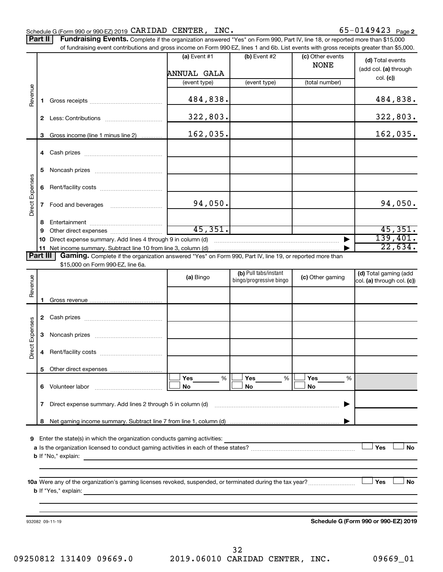Part II | Fundraising Events. Complete if the organization answered "Yes" on Form 990, Part IV, line 18, or reported more than \$15,000 of fundraising event contributions and gross income on Form 990-EZ, lines 1 and 6b. List events with gross receipts greater than \$5,000.

|                        |              | 01 Turidiaishiy event contributions and gross income on Form 990-EZ, illies T and ob. Elst events with gross receipts greater than \$0,000. |                               |                         |                                 |                                           |
|------------------------|--------------|---------------------------------------------------------------------------------------------------------------------------------------------|-------------------------------|-------------------------|---------------------------------|-------------------------------------------|
|                        |              |                                                                                                                                             | (a) Event $#1$<br>ANNUAL GALA | $(b)$ Event #2          | (c) Other events<br><b>NONE</b> | (d) Total events<br>(add col. (a) through |
|                        |              |                                                                                                                                             |                               |                         |                                 | col. (c)                                  |
|                        |              |                                                                                                                                             | (event type)                  | (event type)            | (total number)                  |                                           |
| Revenue                | 1.           |                                                                                                                                             | 484,838.                      |                         |                                 | 484,838.                                  |
|                        |              |                                                                                                                                             | 322,803.                      |                         |                                 | 322,803.                                  |
|                        | 3            | Gross income (line 1 minus line 2)                                                                                                          | 162,035.                      |                         |                                 | 162,035.                                  |
|                        |              |                                                                                                                                             |                               |                         |                                 |                                           |
|                        | 5            |                                                                                                                                             |                               |                         |                                 |                                           |
|                        | 6            |                                                                                                                                             |                               |                         |                                 |                                           |
| Direct Expenses        |              |                                                                                                                                             | 94,050.                       |                         |                                 | 94,050.                                   |
|                        | 8            |                                                                                                                                             |                               |                         |                                 |                                           |
|                        | 9            |                                                                                                                                             | 45,351.                       |                         |                                 | 45,351.                                   |
|                        | 10           | Direct expense summary. Add lines 4 through 9 in column (d)                                                                                 |                               |                         |                                 | 139,401.                                  |
|                        |              | 11 Net income summary. Subtract line 10 from line 3, column (d)                                                                             |                               |                         |                                 | 22,634.                                   |
| <b>Part III</b>        |              | Gaming. Complete if the organization answered "Yes" on Form 990, Part IV, line 19, or reported more than                                    |                               |                         |                                 |                                           |
|                        |              | \$15,000 on Form 990-EZ, line 6a.                                                                                                           |                               |                         |                                 |                                           |
|                        |              |                                                                                                                                             | (a) Bingo                     | (b) Pull tabs/instant   | (c) Other gaming                | (d) Total gaming (add                     |
| Revenue                |              |                                                                                                                                             |                               | bingo/progressive bingo |                                 | col. (a) through col. (c))                |
|                        |              |                                                                                                                                             |                               |                         |                                 |                                           |
|                        | 1.           |                                                                                                                                             |                               |                         |                                 |                                           |
|                        |              |                                                                                                                                             |                               |                         |                                 |                                           |
|                        |              |                                                                                                                                             |                               |                         |                                 |                                           |
|                        |              |                                                                                                                                             |                               |                         |                                 |                                           |
|                        | 3            |                                                                                                                                             |                               |                         |                                 |                                           |
| <b>Direct Expenses</b> | 4            |                                                                                                                                             |                               |                         |                                 |                                           |
|                        |              |                                                                                                                                             |                               |                         |                                 |                                           |
|                        |              |                                                                                                                                             | Yes<br>%                      | Yes<br>%                | Yes<br>%                        |                                           |
|                        | 6            | Volunteer labor                                                                                                                             | No                            | No                      | No                              |                                           |
|                        |              |                                                                                                                                             |                               |                         |                                 |                                           |
|                        | $\mathbf{7}$ | Direct expense summary. Add lines 2 through 5 in column (d)                                                                                 |                               |                         |                                 |                                           |
|                        | 8            |                                                                                                                                             |                               |                         |                                 |                                           |
|                        |              |                                                                                                                                             |                               |                         |                                 |                                           |
| 9                      |              | Enter the state(s) in which the organization conducts gaming activities:                                                                    |                               |                         |                                 |                                           |
|                        |              |                                                                                                                                             |                               |                         |                                 | Yes<br><b>No</b>                          |
|                        |              | <b>b</b> If "No," explain:                                                                                                                  |                               |                         |                                 |                                           |
|                        |              |                                                                                                                                             |                               |                         |                                 |                                           |
|                        |              |                                                                                                                                             |                               |                         |                                 |                                           |
|                        |              | 10a Were any of the organization's gaming licenses revoked, suspended, or terminated during the tax year?                                   |                               |                         |                                 | Yes<br><b>No</b>                          |
|                        |              |                                                                                                                                             |                               |                         |                                 |                                           |
|                        |              |                                                                                                                                             |                               |                         |                                 |                                           |
|                        |              |                                                                                                                                             |                               |                         |                                 |                                           |
|                        |              |                                                                                                                                             |                               |                         |                                 | Schedule G (Form 990 or 990-EZ) 2019      |
|                        |              | 932082 09-11-19                                                                                                                             |                               |                         |                                 |                                           |
|                        |              |                                                                                                                                             |                               |                         |                                 |                                           |

09250812 131409 09669.0 2019.06010 CARIDAD CENTER, INC. 09669\_01 32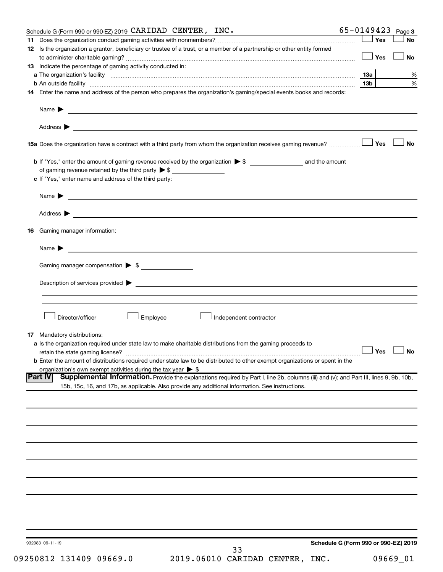|    | Schedule G (Form 990 or 990-EZ) 2019 CARIDAD CENTER, INC.                                                                                                     | 65-0149423           | Page 3    |
|----|---------------------------------------------------------------------------------------------------------------------------------------------------------------|----------------------|-----------|
|    |                                                                                                                                                               | Yes                  | <b>No</b> |
|    | 12 Is the organization a grantor, beneficiary or trustee of a trust, or a member of a partnership or other entity formed                                      |                      |           |
|    |                                                                                                                                                               | ⊥ Yes                | <b>No</b> |
|    | <b>13</b> Indicate the percentage of gaming activity conducted in:                                                                                            |                      |           |
|    | a The organization's facility www.communication.communications are related by the critical conditions and the c                                               | 13a                  | %         |
|    | <b>b</b> An outside facility <i>www.communicality www.communicality.communicality www.communicality www.communicality.communicality www.communicality.com</i> | 13 <sub>b</sub>      | %         |
|    | 14 Enter the name and address of the person who prepares the organization's gaming/special events books and records:                                          |                      |           |
|    | Name $\blacktriangleright$<br><u>and the contract of the contract of the contract of the contract of the contract of the contract of</u>                      |                      |           |
|    | Address $\blacktriangleright$                                                                                                                                 |                      |           |
|    |                                                                                                                                                               |                      | <b>No</b> |
|    |                                                                                                                                                               |                      |           |
|    | of gaming revenue retained by the third party $\triangleright$ \$                                                                                             |                      |           |
|    | c If "Yes," enter name and address of the third party:                                                                                                        |                      |           |
|    |                                                                                                                                                               |                      |           |
|    | Name $\blacktriangleright$                                                                                                                                    |                      |           |
|    |                                                                                                                                                               |                      |           |
| 16 | Gaming manager information:                                                                                                                                   |                      |           |
|    | Name $\blacktriangleright$                                                                                                                                    |                      |           |
|    | Gaming manager compensation > \$                                                                                                                              |                      |           |
|    |                                                                                                                                                               |                      |           |
|    | Description of services provided $\blacktriangleright$                                                                                                        |                      |           |
|    |                                                                                                                                                               |                      |           |
|    |                                                                                                                                                               |                      |           |
|    | Director/officer<br>Employee<br>Independent contractor                                                                                                        |                      |           |
|    | <b>17</b> Mandatory distributions:                                                                                                                            |                      |           |
|    | <b>a</b> Is the organization required under state law to make charitable distributions from the gaming proceeds to                                            |                      |           |
|    |                                                                                                                                                               | $\Box$ Yes $\Box$ No |           |
|    | <b>b</b> Enter the amount of distributions required under state law to be distributed to other exempt organizations or spent in the                           |                      |           |
|    | organization's own exempt activities during the tax year $\triangleright$ \$                                                                                  |                      |           |
|    | Supplemental Information. Provide the explanations required by Part I, line 2b, columns (iii) and (v); and Part III, lines 9, 9b, 10b,<br><b>Part IV</b>      |                      |           |
|    | 15b, 15c, 16, and 17b, as applicable. Also provide any additional information. See instructions.                                                              |                      |           |
|    |                                                                                                                                                               |                      |           |
|    |                                                                                                                                                               |                      |           |
|    |                                                                                                                                                               |                      |           |
|    |                                                                                                                                                               |                      |           |
|    |                                                                                                                                                               |                      |           |
|    |                                                                                                                                                               |                      |           |
|    |                                                                                                                                                               |                      |           |
|    |                                                                                                                                                               |                      |           |
|    |                                                                                                                                                               |                      |           |
|    |                                                                                                                                                               |                      |           |
|    |                                                                                                                                                               |                      |           |
|    |                                                                                                                                                               |                      |           |
|    |                                                                                                                                                               |                      |           |
|    |                                                                                                                                                               |                      |           |
|    |                                                                                                                                                               |                      |           |
|    | Schedule G (Form 990 or 990-EZ) 2019<br>932083 09-11-19                                                                                                       |                      |           |
|    | 33                                                                                                                                                            |                      |           |
|    | 09250812 131409 09669.0<br>2019.06010 CARIDAD CENTER, INC.                                                                                                    |                      | 09669_01  |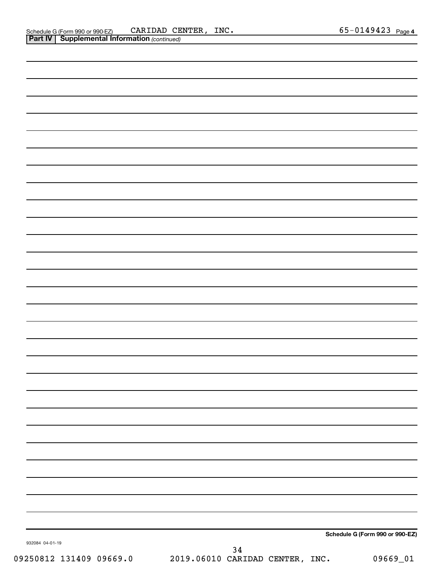| 932084 04-01-19 | Schedule G (Form 990 or 990-EZ)<br>$34$ |
|-----------------|-----------------------------------------|

09250812 131409 09669.0 2019.06010 CARIDAD CENTER, INC. 09669\_01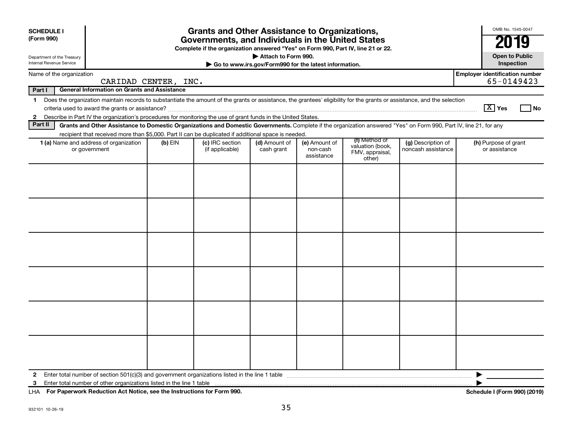| <b>SCHEDULE I</b><br>(Form 990)                                                                         |                                                                                                                                                                                                                                                                                                                     | <b>Grants and Other Assistance to Organizations,</b><br>Governments, and Individuals in the United States<br>Complete if the organization answered "Yes" on Form 990, Part IV, line 21 or 22.<br>Attach to Form 990. |                                    |                             |                                         |                                                                |                                          |                                       |  |  |  |
|---------------------------------------------------------------------------------------------------------|---------------------------------------------------------------------------------------------------------------------------------------------------------------------------------------------------------------------------------------------------------------------------------------------------------------------|----------------------------------------------------------------------------------------------------------------------------------------------------------------------------------------------------------------------|------------------------------------|-----------------------------|-----------------------------------------|----------------------------------------------------------------|------------------------------------------|---------------------------------------|--|--|--|
|                                                                                                         | Department of the Treasury<br><b>Internal Revenue Service</b><br>Go to www.irs.gov/Form990 for the latest information.                                                                                                                                                                                              |                                                                                                                                                                                                                      |                                    |                             |                                         |                                                                |                                          |                                       |  |  |  |
| <b>Employer identification number</b><br>Name of the organization<br>65-0149423<br>CARIDAD CENTER, INC. |                                                                                                                                                                                                                                                                                                                     |                                                                                                                                                                                                                      |                                    |                             |                                         |                                                                |                                          |                                       |  |  |  |
| <b>General Information on Grants and Assistance</b><br>Part I                                           |                                                                                                                                                                                                                                                                                                                     |                                                                                                                                                                                                                      |                                    |                             |                                         |                                                                |                                          |                                       |  |  |  |
| $\mathbf 1$<br>$\mathbf{2}$                                                                             | Does the organization maintain records to substantiate the amount of the grants or assistance, the grantees' eligibility for the grants or assistance, and the selection<br>$\sqrt{X}$ Yes<br>l No<br>Describe in Part IV the organization's procedures for monitoring the use of grant funds in the United States. |                                                                                                                                                                                                                      |                                    |                             |                                         |                                                                |                                          |                                       |  |  |  |
| Part II                                                                                                 | Grants and Other Assistance to Domestic Organizations and Domestic Governments. Complete if the organization answered "Yes" on Form 990, Part IV, line 21, for any                                                                                                                                                  |                                                                                                                                                                                                                      |                                    |                             |                                         |                                                                |                                          |                                       |  |  |  |
|                                                                                                         | recipient that received more than \$5,000. Part II can be duplicated if additional space is needed.                                                                                                                                                                                                                 |                                                                                                                                                                                                                      |                                    |                             |                                         |                                                                |                                          |                                       |  |  |  |
|                                                                                                         | <b>1 (a)</b> Name and address of organization<br>or government                                                                                                                                                                                                                                                      | $(b)$ EIN                                                                                                                                                                                                            | (c) IRC section<br>(if applicable) | (d) Amount of<br>cash grant | (e) Amount of<br>non-cash<br>assistance | (f) Method of<br>valuation (book,<br>FMV, appraisal,<br>other) | (g) Description of<br>noncash assistance | (h) Purpose of grant<br>or assistance |  |  |  |
|                                                                                                         |                                                                                                                                                                                                                                                                                                                     |                                                                                                                                                                                                                      |                                    |                             |                                         |                                                                |                                          |                                       |  |  |  |
| 2<br>3                                                                                                  |                                                                                                                                                                                                                                                                                                                     |                                                                                                                                                                                                                      |                                    |                             |                                         |                                                                |                                          |                                       |  |  |  |

**For Paperwork Reduction Act Notice, see the Instructions for Form 990. Schedule I (Form 990) (2019)** LHA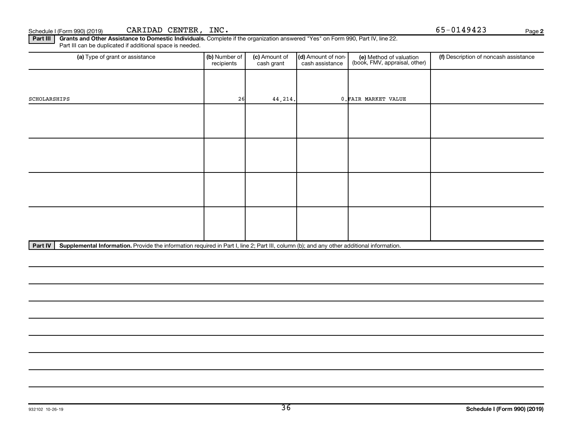Schedule I (Form 990) (2019) CARIDAD CENTER, INC. THE RESERVING SCHEDULE IN THE Rage Page Page 199423

Part III | Grants and Other Assistance to Domestic Individuals. Complete if the organization answered "Yes" on Form 990, Part IV, line 22. Part III can be duplicated if additional space is needed.

| (a) Type of grant or assistance | (b) Number of<br>recipients | (d) Amount of non-<br>(c) Amount of<br>cash assistance<br>cash grant |  | (e) Method of valuation<br>(book, FMV, appraisal, other) | (f) Description of noncash assistance |
|---------------------------------|-----------------------------|----------------------------------------------------------------------|--|----------------------------------------------------------|---------------------------------------|
|                                 |                             |                                                                      |  |                                                          |                                       |
| SCHOLARSHIPS                    | 26                          | 44, 214.                                                             |  | 0. FAIR MARKET VALUE                                     |                                       |
|                                 |                             |                                                                      |  |                                                          |                                       |
|                                 |                             |                                                                      |  |                                                          |                                       |
|                                 |                             |                                                                      |  |                                                          |                                       |
|                                 |                             |                                                                      |  |                                                          |                                       |
|                                 |                             |                                                                      |  |                                                          |                                       |
|                                 |                             |                                                                      |  |                                                          |                                       |
|                                 |                             |                                                                      |  |                                                          |                                       |
|                                 |                             |                                                                      |  |                                                          |                                       |

Part IV | Supplemental Information. Provide the information required in Part I, line 2; Part III, column (b); and any other additional information.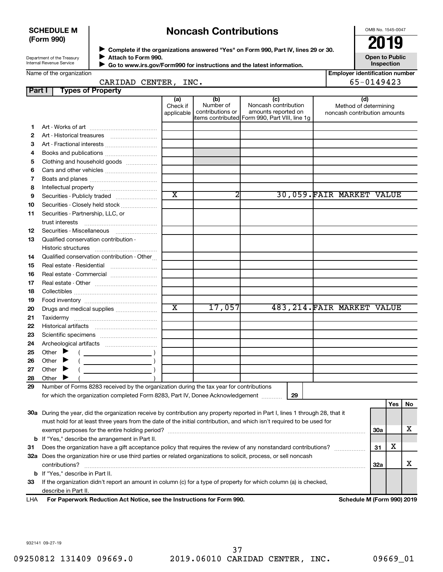#### **SCHEDULE M (Form 990)**

# **Noncash Contributions**

OMB No. 1545-0047

**Employer identification number**

65-0149423

| Department of the Treasury |
|----------------------------|
| Internal Revenue Service   |
|                            |

◆ Complete if the organizations answered "Yes" on Form 990, Part IV, lines 29 or 30.<br>▶ Complete if the organizations answered "Yes" on Form 990, Part IV, lines 29 or 30. **Attach to Form 990.** J

**Open to Public Inspection**

| Name of the organization |  |
|--------------------------|--|
|--------------------------|--|

 **Go to www.irs.gov/Form990 for instructions and the latest information.** J

| Name of the organization                  |                 |                  |                      | <b>Emplover iden</b> |
|-------------------------------------------|-----------------|------------------|----------------------|----------------------|
| CARIDAD CENTER,                           | INC.            |                  |                      | 65–0                 |
| <b>Part I</b><br><b>Types of Property</b> |                 |                  |                      |                      |
|                                           | (a)<br>Check if | (b)<br>Number of | Noncash contribution | (d)<br>Method of de  |

|    |                                                                                                                                | la)<br>Check if<br>applicable <b>l</b> | <b>וטן</b><br>Number of<br>contributions or | ∖∽,<br>Noncash contribution<br>amounts reported on<br>items contributed Form 990, Part VIII, line 1g | w<br>Method of determining<br>noncash contribution amounts |            |            |    |
|----|--------------------------------------------------------------------------------------------------------------------------------|----------------------------------------|---------------------------------------------|------------------------------------------------------------------------------------------------------|------------------------------------------------------------|------------|------------|----|
| 1. |                                                                                                                                |                                        |                                             |                                                                                                      |                                                            |            |            |    |
| 2  |                                                                                                                                |                                        |                                             |                                                                                                      |                                                            |            |            |    |
| З  | Art - Fractional interests                                                                                                     |                                        |                                             |                                                                                                      |                                                            |            |            |    |
| 4  | Books and publications                                                                                                         |                                        |                                             |                                                                                                      |                                                            |            |            |    |
| 5  | Clothing and household goods                                                                                                   |                                        |                                             |                                                                                                      |                                                            |            |            |    |
| 6  |                                                                                                                                |                                        |                                             |                                                                                                      |                                                            |            |            |    |
| 7  |                                                                                                                                |                                        |                                             |                                                                                                      |                                                            |            |            |    |
| 8  |                                                                                                                                |                                        |                                             |                                                                                                      |                                                            |            |            |    |
| 9  | Securities - Publicly traded                                                                                                   | $\overline{\text{x}}$                  | 2                                           |                                                                                                      | 30,059.FAIR MARKET VALUE                                   |            |            |    |
| 10 | Securities - Closely held stock                                                                                                |                                        |                                             |                                                                                                      |                                                            |            |            |    |
| 11 | Securities - Partnership, LLC, or                                                                                              |                                        |                                             |                                                                                                      |                                                            |            |            |    |
|    |                                                                                                                                |                                        |                                             |                                                                                                      |                                                            |            |            |    |
| 12 |                                                                                                                                |                                        |                                             |                                                                                                      |                                                            |            |            |    |
| 13 | Qualified conservation contribution -                                                                                          |                                        |                                             |                                                                                                      |                                                            |            |            |    |
|    |                                                                                                                                |                                        |                                             |                                                                                                      |                                                            |            |            |    |
| 14 | Qualified conservation contribution - Other                                                                                    |                                        |                                             |                                                                                                      |                                                            |            |            |    |
| 15 |                                                                                                                                |                                        |                                             |                                                                                                      |                                                            |            |            |    |
| 16 | Real estate - Commercial                                                                                                       |                                        |                                             |                                                                                                      |                                                            |            |            |    |
| 17 |                                                                                                                                |                                        |                                             |                                                                                                      |                                                            |            |            |    |
| 18 |                                                                                                                                |                                        |                                             |                                                                                                      |                                                            |            |            |    |
| 19 |                                                                                                                                |                                        |                                             |                                                                                                      |                                                            |            |            |    |
| 20 | Drugs and medical supplies                                                                                                     | $\overline{\mathtt{x}}$                | 17,057                                      |                                                                                                      | 483, 214. FAIR MARKET VALUE                                |            |            |    |
| 21 |                                                                                                                                |                                        |                                             |                                                                                                      |                                                            |            |            |    |
| 22 |                                                                                                                                |                                        |                                             |                                                                                                      |                                                            |            |            |    |
| 23 |                                                                                                                                |                                        |                                             |                                                                                                      |                                                            |            |            |    |
| 24 |                                                                                                                                |                                        |                                             |                                                                                                      |                                                            |            |            |    |
| 25 | Other $\blacktriangleright$                                                                                                    |                                        |                                             |                                                                                                      |                                                            |            |            |    |
| 26 | Other $\blacktriangleright$                                                                                                    |                                        |                                             |                                                                                                      |                                                            |            |            |    |
| 27 | Other $\blacktriangleright$                                                                                                    |                                        |                                             |                                                                                                      |                                                            |            |            |    |
| 28 | Other                                                                                                                          |                                        |                                             |                                                                                                      |                                                            |            |            |    |
| 29 | Number of Forms 8283 received by the organization during the tax year for contributions                                        |                                        |                                             |                                                                                                      |                                                            |            |            |    |
|    | for which the organization completed Form 8283, Part IV, Donee Acknowledgement                                                 |                                        |                                             | 29                                                                                                   |                                                            |            |            |    |
|    |                                                                                                                                |                                        |                                             |                                                                                                      |                                                            |            | <b>Yes</b> | No |
|    | 30a During the year, did the organization receive by contribution any property reported in Part I, lines 1 through 28, that it |                                        |                                             |                                                                                                      |                                                            |            |            |    |
|    | must hold for at least three years from the date of the initial contribution, and which isn't required to be used for          |                                        |                                             |                                                                                                      |                                                            |            |            |    |
|    | exempt purposes for the entire holding period?                                                                                 |                                        |                                             |                                                                                                      |                                                            | <b>30a</b> |            | x  |
|    | <b>b</b> If "Yes," describe the arrangement in Part II.                                                                        |                                        |                                             |                                                                                                      |                                                            |            |            |    |

| 31 Does the organization have a gift acceptance policy that requires the review of any nonstandard contributions? |
|-------------------------------------------------------------------------------------------------------------------|
| 32a Does the organization hire or use third parties or related organizations to solicit, process, or sell noncash |
| contributions?                                                                                                    |
| <b>b</b> If "Yes," describe in Part II.                                                                           |
|                                                                                                                   |

| 33 If the organization didn't report an amount in column (c) for a type of property for which column (a) is checked, |
|----------------------------------------------------------------------------------------------------------------------|
| describe in Part II.                                                                                                 |

**For Paperwork Reduction Act Notice, see the Instructions for Form 990. Schedule M (Form 990) 2019** LHA

**31**

X

X

**32a**

932141 09-27-19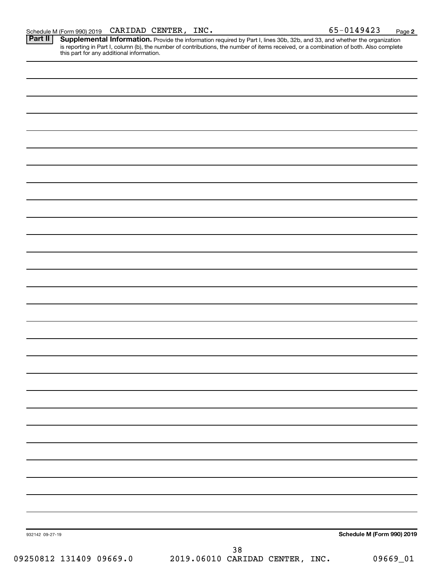Provide the information required by Part I, lines 30b, 32b, and 33, and whether the organization is reporting in Part I, column (b), the number of contributions, the number of items received, or a combination of both. Also complete this part for any additional information. **Part II Supplemental Information.** 

| 932142 09-27-19         |                                 | Schedule M (Form 990) 2019 |
|-------------------------|---------------------------------|----------------------------|
|                         | $38\,$                          |                            |
| 09250812 131409 09669.0 | 2019.06010 CARIDAD CENTER, INC. | 09669_01                   |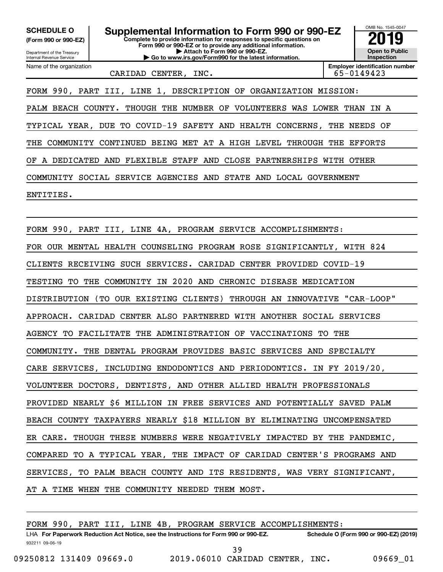Department of the Treasury **(Form 990 or 990-EZ)**

Name of the organization

Internal Revenue Service

**Complete to provide information for responses to specific questions on Form 990 or 990-EZ or to provide any additional information. | Attach to Form 990 or 990-EZ. | Go to www.irs.gov/Form990 for the latest information. SCHEDULE O Supplemental Information to Form 990 or 990-EZ 2019** 



CARIDAD CENTER, INC. 65-0149423

**Employer identification number**

FORM 990, PART III, LINE 1, DESCRIPTION OF ORGANIZATION MISSION:

PALM BEACH COUNTY. THOUGH THE NUMBER OF VOLUNTEERS WAS LOWER THAN IN A

TYPICAL YEAR, DUE TO COVID-19 SAFETY AND HEALTH CONCERNS, THE NEEDS OF

THE COMMUNITY CONTINUED BEING MET AT A HIGH LEVEL THROUGH THE EFFORTS

OF A DEDICATED AND FLEXIBLE STAFF AND CLOSE PARTNERSHIPS WITH OTHER

COMMUNITY SOCIAL SERVICE AGENCIES AND STATE AND LOCAL GOVERNMENT

ENTITIES.

FORM 990, PART III, LINE 4A, PROGRAM SERVICE ACCOMPLISHMENTS:

FOR OUR MENTAL HEALTH COUNSELING PROGRAM ROSE SIGNIFICANTLY, WITH 824

CLIENTS RECEIVING SUCH SERVICES. CARIDAD CENTER PROVIDED COVID-19

TESTING TO THE COMMUNITY IN 2020 AND CHRONIC DISEASE MEDICATION

DISTRIBUTION (TO OUR EXISTING CLIENTS) THROUGH AN INNOVATIVE "CAR-LOOP"

APPROACH. CARIDAD CENTER ALSO PARTNERED WITH ANOTHER SOCIAL SERVICES

AGENCY TO FACILITATE THE ADMINISTRATION OF VACCINATIONS TO THE

COMMUNITY. THE DENTAL PROGRAM PROVIDES BASIC SERVICES AND SPECIALTY

CARE SERVICES, INCLUDING ENDODONTICS AND PERIODONTICS. IN FY 2019/20,

VOLUNTEER DOCTORS, DENTISTS, AND OTHER ALLIED HEALTH PROFESSIONALS

PROVIDED NEARLY \$6 MILLION IN FREE SERVICES AND POTENTIALLY SAVED PALM

BEACH COUNTY TAXPAYERS NEARLY \$18 MILLION BY ELIMINATING UNCOMPENSATED

ER CARE. THOUGH THESE NUMBERS WERE NEGATIVELY IMPACTED BY THE PANDEMIC,

COMPARED TO A TYPICAL YEAR, THE IMPACT OF CARIDAD CENTER'S PROGRAMS AND

SERVICES, TO PALM BEACH COUNTY AND ITS RESIDENTS, WAS VERY SIGNIFICANT,

AT A TIME WHEN THE COMMUNITY NEEDED THEM MOST.

|  |  |  |  | FORM 990, PART III, LINE 4B, PROGRAM SERVICE ACCOMPLISHMENTS: |
|--|--|--|--|---------------------------------------------------------------|
|  |  |  |  |                                                               |

932211 09-06-19 LHA For Paperwork Reduction Act Notice, see the Instructions for Form 990 or 990-EZ. Schedule O (Form 990 or 990-EZ) (2019) 39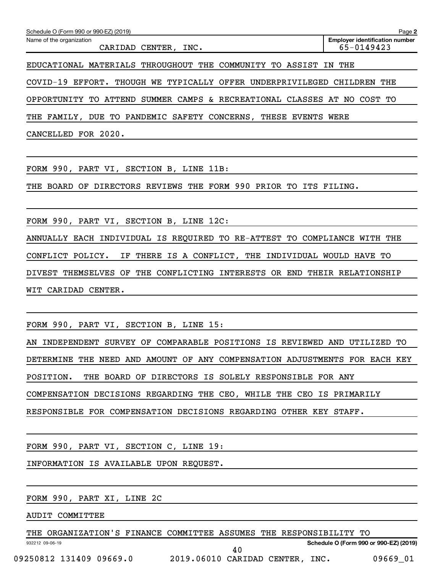| Schedule O (Form 990 or 990-EZ) (2019)                          | Page 2                                              |
|-----------------------------------------------------------------|-----------------------------------------------------|
| Name of the organization<br>CARIDAD CENTER, INC.                | <b>Employer identification number</b><br>65-0149423 |
| EDUCATIONAL MATERIALS THROUGHOUT THE COMMUNITY TO ASSIST IN THE |                                                     |

COVID-19 EFFORT. THOUGH WE TYPICALLY OFFER UNDERPRIVILEGED CHILDREN THE

OPPORTUNITY TO ATTEND SUMMER CAMPS & RECREATIONAL CLASSES AT NO COST TO

THE FAMILY, DUE TO PANDEMIC SAFETY CONCERNS, THESE EVENTS WERE

CANCELLED FOR 2020.

FORM 990, PART VI, SECTION B, LINE 11B:

THE BOARD OF DIRECTORS REVIEWS THE FORM 990 PRIOR TO ITS FILING.

FORM 990, PART VI, SECTION B, LINE 12C:

ANNUALLY EACH INDIVIDUAL IS REQUIRED TO RE-ATTEST TO COMPLIANCE WITH THE CONFLICT POLICY. IF THERE IS A CONFLICT, THE INDIVIDUAL WOULD HAVE TO DIVEST THEMSELVES OF THE CONFLICTING INTERESTS OR END THEIR RELATIONSHIP WIT CARIDAD CENTER.

FORM 990, PART VI, SECTION B, LINE 15:

AN INDEPENDENT SURVEY OF COMPARABLE POSITIONS IS REVIEWED AND UTILIZED TO DETERMINE THE NEED AND AMOUNT OF ANY COMPENSATION ADJUSTMENTS FOR EACH KEY POSITION. THE BOARD OF DIRECTORS IS SOLELY RESPONSIBLE FOR ANY COMPENSATION DECISIONS REGARDING THE CEO, WHILE THE CEO IS PRIMARILY RESPONSIBLE FOR COMPENSATION DECISIONS REGARDING OTHER KEY STAFF.

FORM 990, PART VI, SECTION C, LINE 19:

INFORMATION IS AVAILABLE UPON REQUEST.

FORM 990, PART XI, LINE 2C

AUDIT COMMITTEE

THE ORGANIZATION'S FINANCE COMMITTEE ASSUMES THE RESPONSIBILITY TO

40

932212 09-06-19

09250812 131409 09669.0 2019.06010 CARIDAD CENTER, INC. 09669\_01

**Schedule O (Form 990 or 990-EZ) (2019)**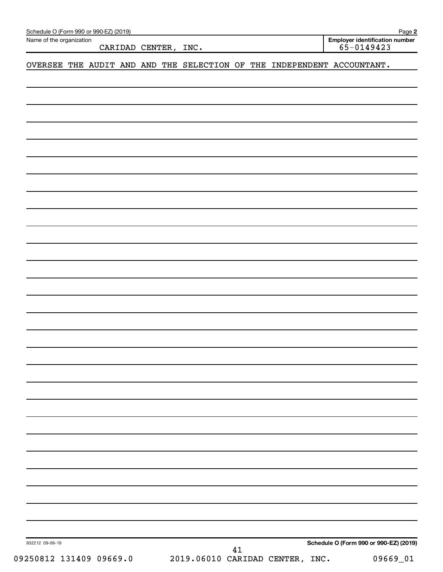| Name of the organization |  |  | CARIDAD CENTER, INC. |        |                                 | Employer identification number<br>$65-0149423$                         |
|--------------------------|--|--|----------------------|--------|---------------------------------|------------------------------------------------------------------------|
|                          |  |  |                      |        |                                 | OVERSEE THE AUDIT AND AND THE SELECTION OF THE INDEPENDENT ACCOUNTANT. |
|                          |  |  |                      |        |                                 |                                                                        |
|                          |  |  |                      |        |                                 |                                                                        |
|                          |  |  |                      |        |                                 |                                                                        |
|                          |  |  |                      |        |                                 |                                                                        |
|                          |  |  |                      |        |                                 |                                                                        |
|                          |  |  |                      |        |                                 |                                                                        |
|                          |  |  |                      |        |                                 |                                                                        |
|                          |  |  |                      |        |                                 |                                                                        |
|                          |  |  |                      |        |                                 |                                                                        |
|                          |  |  |                      |        |                                 |                                                                        |
|                          |  |  |                      |        |                                 |                                                                        |
|                          |  |  |                      |        |                                 |                                                                        |
|                          |  |  |                      |        |                                 |                                                                        |
|                          |  |  |                      |        |                                 |                                                                        |
|                          |  |  |                      |        |                                 |                                                                        |
|                          |  |  |                      |        |                                 |                                                                        |
|                          |  |  |                      |        |                                 |                                                                        |
|                          |  |  |                      |        |                                 |                                                                        |
|                          |  |  |                      |        |                                 |                                                                        |
|                          |  |  |                      |        |                                 |                                                                        |
|                          |  |  |                      |        |                                 |                                                                        |
|                          |  |  |                      |        |                                 |                                                                        |
|                          |  |  |                      |        |                                 |                                                                        |
|                          |  |  |                      |        |                                 |                                                                        |
|                          |  |  |                      |        |                                 |                                                                        |
|                          |  |  |                      |        |                                 |                                                                        |
|                          |  |  |                      |        |                                 |                                                                        |
|                          |  |  |                      |        |                                 |                                                                        |
|                          |  |  |                      |        |                                 |                                                                        |
|                          |  |  |                      |        |                                 |                                                                        |
|                          |  |  |                      |        |                                 |                                                                        |
|                          |  |  |                      |        |                                 |                                                                        |
|                          |  |  |                      |        |                                 |                                                                        |
|                          |  |  |                      |        |                                 | Schedule O (Form 990 or 990-EZ) (2019)                                 |
| 932212 09-06-19          |  |  |                      | $41\,$ | 2019.06010 CARIDAD CENTER, INC. |                                                                        |